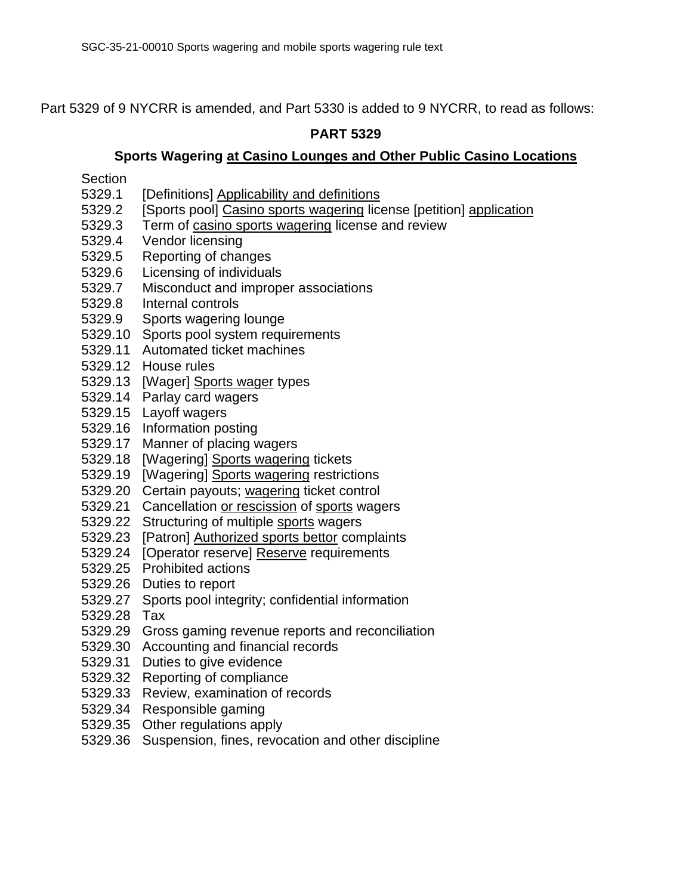Part 5329 of 9 NYCRR is amended, and Part 5330 is added to 9 NYCRR, to read as follows:

# **PART 5329**

#### **Sports Wagering at Casino Lounges and Other Public Casino Locations**

Section

- 5329.1 [Definitions] Applicability and definitions
- 5329.2 [Sports pool] Casino sports wagering license [petition] application
- 5329.3 Term of casino sports wagering license and review
- 5329.4 Vendor licensing
- 5329.5 Reporting of changes
- 5329.6 Licensing of individuals
- 5329.7 Misconduct and improper associations
- 5329.8 Internal controls
- 5329.9 Sports wagering lounge
- 5329.10 Sports pool system requirements
- 5329.11 Automated ticket machines
- 5329.12 House rules
- 5329.13 [Wager] Sports wager types
- 5329.14 Parlay card wagers
- 5329.15 Layoff wagers
- 5329.16 Information posting
- 5329.17 Manner of placing wagers
- 5329.18 [Wagering] Sports wagering tickets
- 5329.19 [Wagering] Sports wagering restrictions
- 5329.20 Certain payouts; wagering ticket control
- 5329.21 Cancellation or rescission of sports wagers
- 5329.22 Structuring of multiple sports wagers
- 5329.23 [Patron] Authorized sports bettor complaints
- 5329.24 [Operator reserve] Reserve requirements
- 5329.25 Prohibited actions
- 5329.26 Duties to report
- 5329.27 Sports pool integrity; confidential information
- 5329.28 Tax
- 5329.29 Gross gaming revenue reports and reconciliation
- 5329.30 Accounting and financial records
- 5329.31 Duties to give evidence
- 5329.32 Reporting of compliance
- 5329.33 Review, examination of records
- 5329.34 Responsible gaming
- 5329.35 Other regulations apply
- 5329.36 Suspension, fines, revocation and other discipline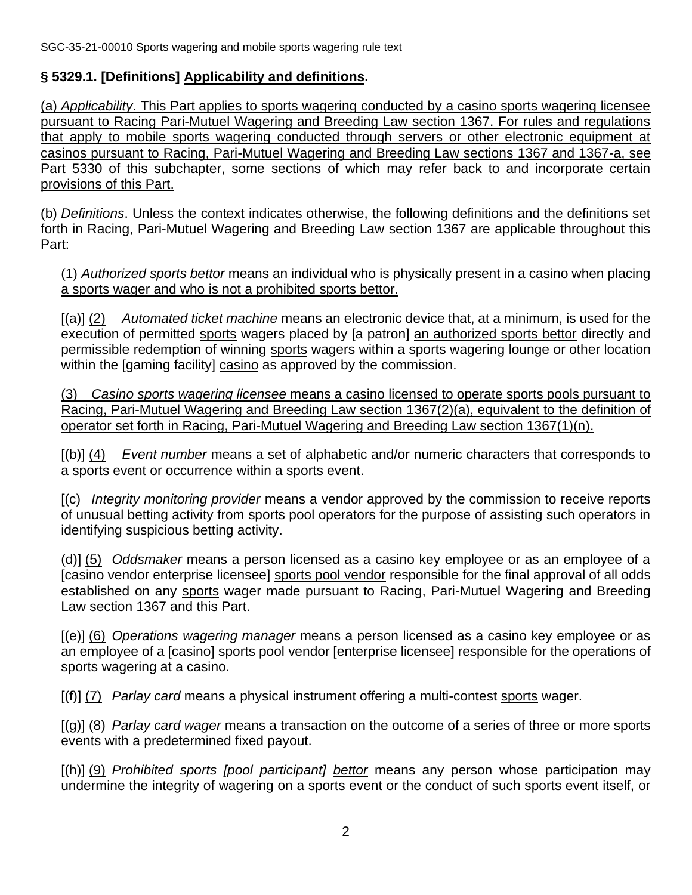# **§ 5329.1. [Definitions] Applicability and definitions.**

(a) *Applicability*. This Part applies to sports wagering conducted by a casino sports wagering licensee pursuant to Racing Pari-Mutuel Wagering and Breeding Law section 1367. For rules and regulations that apply to mobile sports wagering conducted through servers or other electronic equipment at casinos pursuant to Racing, Pari-Mutuel Wagering and Breeding Law sections 1367 and 1367-a, see Part 5330 of this subchapter, some sections of which may refer back to and incorporate certain provisions of this Part.

(b) *Definitions*. Unless the context indicates otherwise, the following definitions and the definitions set forth in Racing, Pari-Mutuel Wagering and Breeding Law section 1367 are applicable throughout this Part:

(1) *Authorized sports bettor* means an individual who is physically present in a casino when placing a sports wager and who is not a prohibited sports bettor.

[(a)] (2) *Automated ticket machine* means an electronic device that, at a minimum, is used for the execution of permitted sports wagers placed by [a patron] an authorized sports bettor directly and permissible redemption of winning sports wagers within a sports wagering lounge or other location within the [gaming facility] casino as approved by the commission.

(3) *Casino sports wagering licensee* means a casino licensed to operate sports pools pursuant to Racing, Pari-Mutuel Wagering and Breeding Law section 1367(2)(a), equivalent to the definition of operator set forth in Racing, Pari-Mutuel Wagering and Breeding Law section 1367(1)(n).

[(b)] (4) *Event number* means a set of alphabetic and/or numeric characters that corresponds to a sports event or occurrence within a sports event.

[(c) *Integrity monitoring provider* means a vendor approved by the commission to receive reports of unusual betting activity from sports pool operators for the purpose of assisting such operators in identifying suspicious betting activity.

(d)] (5) *Oddsmaker* means a person licensed as a casino key employee or as an employee of a [casino vendor enterprise licensee] sports pool vendor responsible for the final approval of all odds established on any sports wager made pursuant to Racing, Pari-Mutuel Wagering and Breeding Law section 1367 and this Part.

[(e)] (6) *Operations wagering manager* means a person licensed as a casino key employee or as an employee of a [casino] sports pool vendor [enterprise licensee] responsible for the operations of sports wagering at a casino.

[(f)] (7) *Parlay card* means a physical instrument offering a multi-contest sports wager.

[(g)] (8) *Parlay card wager* means a transaction on the outcome of a series of three or more sports events with a predetermined fixed payout.

[(h)] (9) *Prohibited sports [pool participant] bettor* means any person whose participation may undermine the integrity of wagering on a sports event or the conduct of such sports event itself, or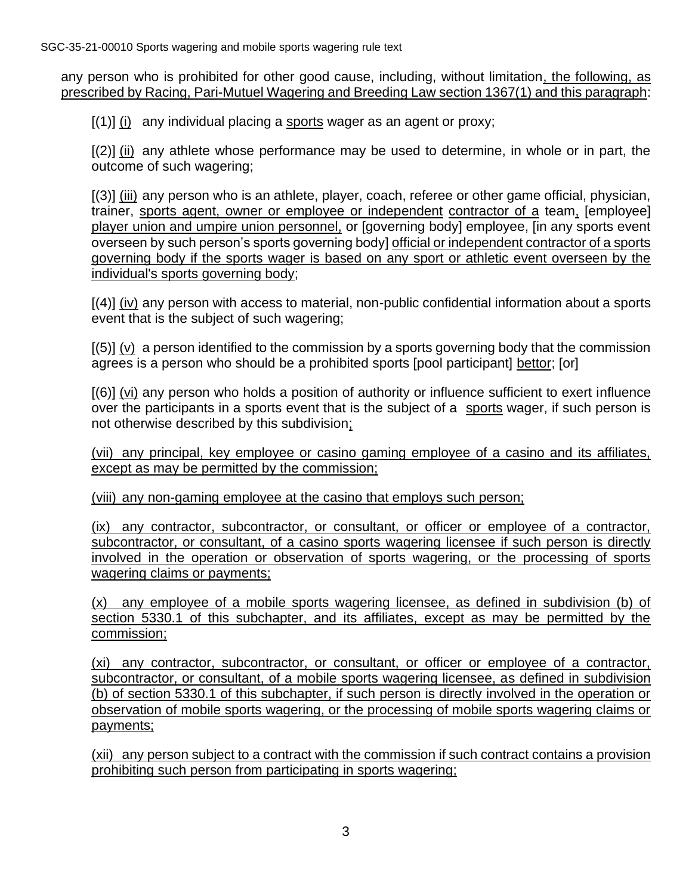any person who is prohibited for other good cause, including, without limitation, the following, as prescribed by Racing, Pari-Mutuel Wagering and Breeding Law section 1367(1) and this paragraph:

 $[(1)]$  (i) any individual placing a sports wager as an agent or proxy;

[(2)] (ii) any athlete whose performance may be used to determine, in whole or in part, the outcome of such wagering;

[(3)] (iii) any person who is an athlete, player, coach, referee or other game official, physician, trainer, sports agent, owner or employee or independent contractor of a team, [employee] player union and umpire union personnel, or [governing body] employee, [in any sports event overseen by such person's sports governing body] official or independent contractor of a sports governing body if the sports wager is based on any sport or athletic event overseen by the individual's sports governing body;

[(4)] (iv) any person with access to material, non-public confidential information about a sports event that is the subject of such wagering;

 $[(5)] (v)$  a person identified to the commission by a sports governing body that the commission agrees is a person who should be a prohibited sports [pool participant] bettor; [or]

[(6)] (vi) any person who holds a position of authority or influence sufficient to exert influence over the participants in a sports event that is the subject of a sports wager, if such person is not otherwise described by this subdivision;

(vii) any principal, key employee or casino gaming employee of a casino and its affiliates, except as may be permitted by the commission;

(viii) any non-gaming employee at the casino that employs such person;

(ix) any contractor, subcontractor, or consultant, or officer or employee of a contractor, subcontractor, or consultant, of a casino sports wagering licensee if such person is directly involved in the operation or observation of sports wagering, or the processing of sports wagering claims or payments;

(x) any employee of a mobile sports wagering licensee, as defined in subdivision (b) of section 5330.1 of this subchapter, and its affiliates, except as may be permitted by the commission;

(xi) any contractor, subcontractor, or consultant, or officer or employee of a contractor, subcontractor, or consultant, of a mobile sports wagering licensee, as defined in subdivision (b) of section 5330.1 of this subchapter, if such person is directly involved in the operation or observation of mobile sports wagering, or the processing of mobile sports wagering claims or payments;

(xii) any person subject to a contract with the commission if such contract contains a provision prohibiting such person from participating in sports wagering;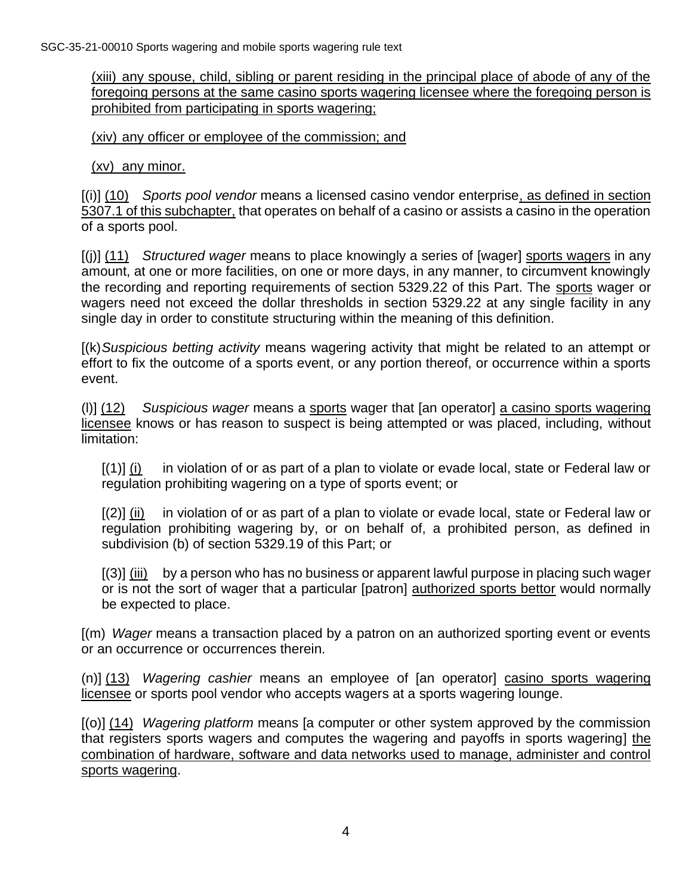(xiii) any spouse, child, sibling or parent residing in the principal place of abode of any of the foregoing persons at the same casino sports wagering licensee where the foregoing person is prohibited from participating in sports wagering;

(xiv) any officer or employee of the commission; and

(xv) any minor.

[(i)] (10) *Sports pool vendor* means a licensed casino vendor enterprise, as defined in section 5307.1 of this subchapter, that operates on behalf of a casino or assists a casino in the operation of a sports pool.

[(j)] (11) *Structured wager* means to place knowingly a series of [wager] sports wagers in any amount, at one or more facilities, on one or more days, in any manner, to circumvent knowingly the recording and reporting requirements of section 5329.22 of this Part. The sports wager or wagers need not exceed the dollar thresholds in section 5329.22 at any single facility in any single day in order to constitute structuring within the meaning of this definition.

[(k)*Suspicious betting activity* means wagering activity that might be related to an attempt or effort to fix the outcome of a sports event, or any portion thereof, or occurrence within a sports event.

(l)] (12) *Suspicious wager* means a sports wager that [an operator] a casino sports wagering licensee knows or has reason to suspect is being attempted or was placed, including, without limitation:

 $[(1)]$  (i) in violation of or as part of a plan to violate or evade local, state or Federal law or regulation prohibiting wagering on a type of sports event; or

 $[(2)]$  (ii) in violation of or as part of a plan to violate or evade local, state or Federal law or regulation prohibiting wagering by, or on behalf of, a prohibited person, as defined in subdivision (b) of section 5329.19 of this Part; or

[(3)] (iii) by a person who has no business or apparent lawful purpose in placing such wager or is not the sort of wager that a particular [patron] authorized sports bettor would normally be expected to place.

[(m) *Wager* means a transaction placed by a patron on an authorized sporting event or events or an occurrence or occurrences therein.

(n)] (13) *Wagering cashier* means an employee of [an operator] casino sports wagering licensee or sports pool vendor who accepts wagers at a sports wagering lounge.

[(o)] (14) *Wagering platform* means [a computer or other system approved by the commission that registers sports wagers and computes the wagering and payoffs in sports wagering] the combination of hardware, software and data networks used to manage, administer and control sports wagering.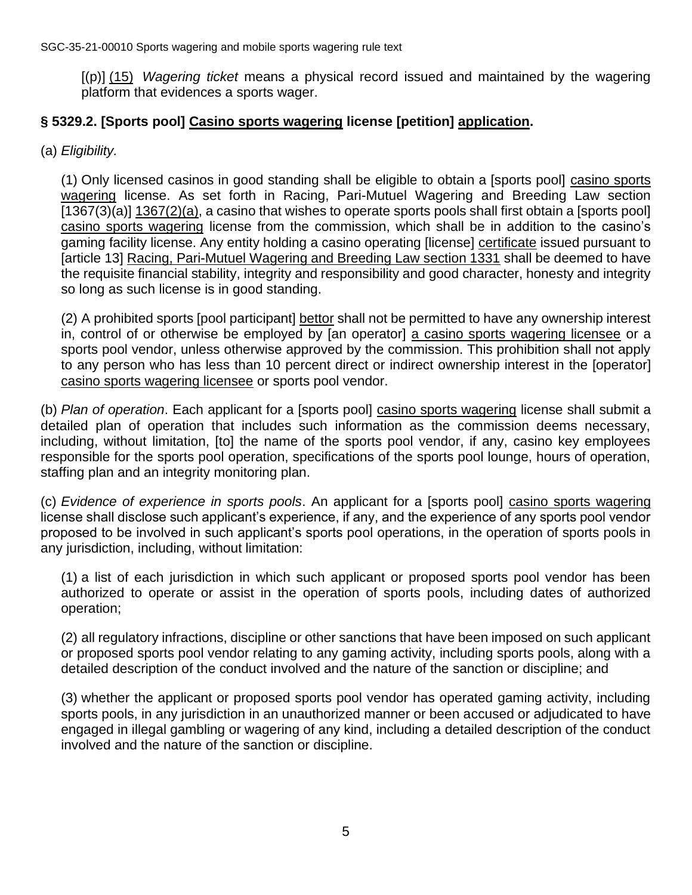[(p)] (15) *Wagering ticket* means a physical record issued and maintained by the wagering platform that evidences a sports wager.

# **§ 5329.2. [Sports pool] Casino sports wagering license [petition] application.**

(a) *Eligibility.*

(1) Only licensed casinos in good standing shall be eligible to obtain a [sports pool] casino sports wagering license. As set forth in Racing, Pari-Mutuel Wagering and Breeding Law section  $[1367(3)(a)]$   $1367(2)(a)$ , a casino that wishes to operate sports pools shall first obtain a [sports pool] casino sports wagering license from the commission, which shall be in addition to the casino's gaming facility license. Any entity holding a casino operating [license] certificate issued pursuant to [article 13] Racing, Pari-Mutuel Wagering and Breeding Law section 1331 shall be deemed to have the requisite financial stability, integrity and responsibility and good character, honesty and integrity so long as such license is in good standing.

(2) A prohibited sports [pool participant] bettor shall not be permitted to have any ownership interest in, control of or otherwise be employed by [an operator] a casino sports wagering licensee or a sports pool vendor, unless otherwise approved by the commission. This prohibition shall not apply to any person who has less than 10 percent direct or indirect ownership interest in the [operator] casino sports wagering licensee or sports pool vendor.

(b) *Plan of operation*. Each applicant for a [sports pool] casino sports wagering license shall submit a detailed plan of operation that includes such information as the commission deems necessary, including, without limitation, [to] the name of the sports pool vendor, if any, casino key employees responsible for the sports pool operation, specifications of the sports pool lounge, hours of operation, staffing plan and an integrity monitoring plan.

(c) *Evidence of experience in sports pools*. An applicant for a [sports pool] casino sports wagering license shall disclose such applicant's experience, if any, and the experience of any sports pool vendor proposed to be involved in such applicant's sports pool operations, in the operation of sports pools in any jurisdiction, including, without limitation:

(1) a list of each jurisdiction in which such applicant or proposed sports pool vendor has been authorized to operate or assist in the operation of sports pools, including dates of authorized operation;

(2) all regulatory infractions, discipline or other sanctions that have been imposed on such applicant or proposed sports pool vendor relating to any gaming activity, including sports pools, along with a detailed description of the conduct involved and the nature of the sanction or discipline; and

(3) whether the applicant or proposed sports pool vendor has operated gaming activity, including sports pools, in any jurisdiction in an unauthorized manner or been accused or adjudicated to have engaged in illegal gambling or wagering of any kind, including a detailed description of the conduct involved and the nature of the sanction or discipline.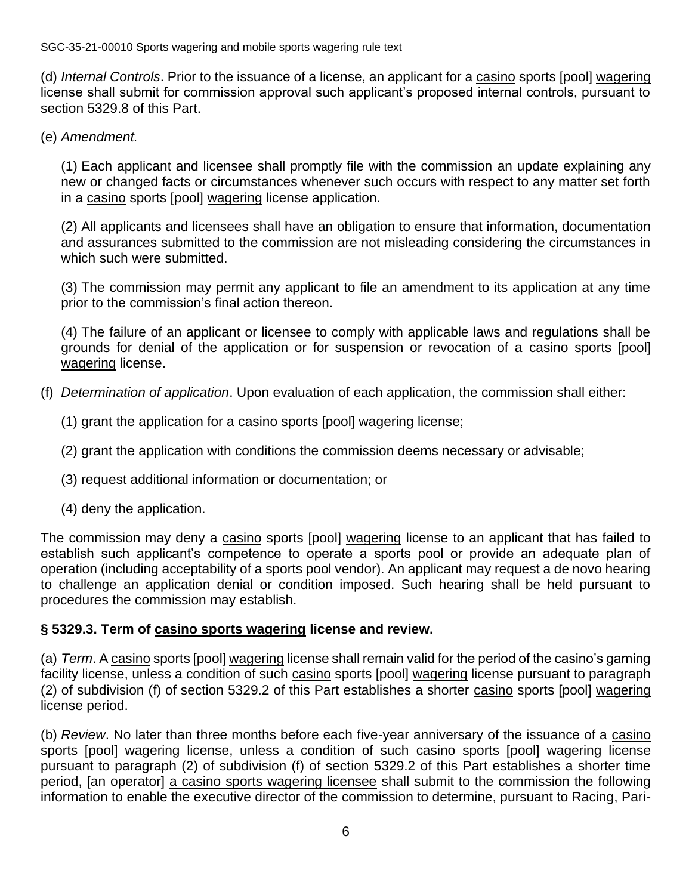(d) *Internal Controls*. Prior to the issuance of a license, an applicant for a casino sports [pool] wagering license shall submit for commission approval such applicant's proposed internal controls, pursuant to section 5329.8 of this Part.

(e) *Amendment.*

(1) Each applicant and licensee shall promptly file with the commission an update explaining any new or changed facts or circumstances whenever such occurs with respect to any matter set forth in a casino sports [pool] wagering license application.

(2) All applicants and licensees shall have an obligation to ensure that information, documentation and assurances submitted to the commission are not misleading considering the circumstances in which such were submitted.

(3) The commission may permit any applicant to file an amendment to its application at any time prior to the commission's final action thereon.

(4) The failure of an applicant or licensee to comply with applicable laws and regulations shall be grounds for denial of the application or for suspension or revocation of a casino sports [pool] wagering license.

- (f) *Determination of application*. Upon evaluation of each application, the commission shall either:
	- (1) grant the application for a casino sports [pool] wagering license;
	- (2) grant the application with conditions the commission deems necessary or advisable;
	- (3) request additional information or documentation; or
	- (4) deny the application.

The commission may deny a casino sports [pool] wagering license to an applicant that has failed to establish such applicant's competence to operate a sports pool or provide an adequate plan of operation (including acceptability of a sports pool vendor). An applicant may request a de novo hearing to challenge an application denial or condition imposed. Such hearing shall be held pursuant to procedures the commission may establish.

#### **§ 5329.3. Term of casino sports wagering license and review.**

(a) *Term*. A casino sports [pool] wagering license shall remain valid for the period of the casino's gaming facility license, unless a condition of such casino sports [pool] wagering license pursuant to paragraph (2) of subdivision (f) of section 5329.2 of this Part establishes a shorter casino sports [pool] wagering license period.

(b) *Review*. No later than three months before each five-year anniversary of the issuance of a casino sports [pool] wagering license, unless a condition of such casino sports [pool] wagering license pursuant to paragraph (2) of subdivision (f) of section 5329.2 of this Part establishes a shorter time period, [an operator] a casino sports wagering licensee shall submit to the commission the following information to enable the executive director of the commission to determine, pursuant to Racing, Pari-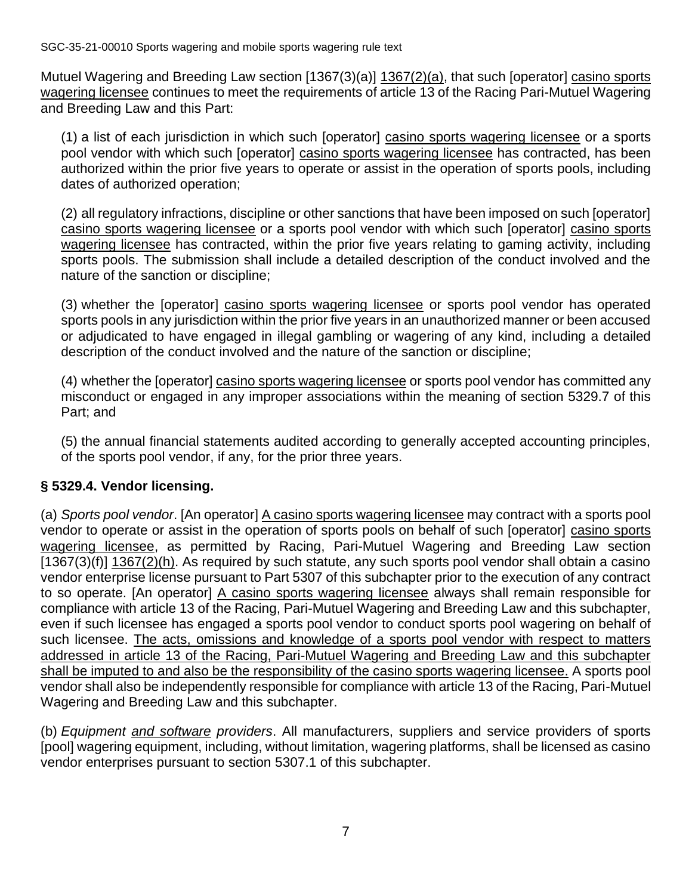Mutuel Wagering and Breeding Law section [1367(3)(a)] 1367(2)(a), that such [operator] casino sports wagering licensee continues to meet the requirements of article 13 of the Racing Pari-Mutuel Wagering and Breeding Law and this Part:

(1) a list of each jurisdiction in which such [operator] casino sports wagering licensee or a sports pool vendor with which such [operator] casino sports wagering licensee has contracted, has been authorized within the prior five years to operate or assist in the operation of sports pools, including dates of authorized operation;

(2) all regulatory infractions, discipline or other sanctions that have been imposed on such [operator] casino sports wagering licensee or a sports pool vendor with which such [operator] casino sports wagering licensee has contracted, within the prior five years relating to gaming activity, including sports pools. The submission shall include a detailed description of the conduct involved and the nature of the sanction or discipline;

(3) whether the [operator] casino sports wagering licensee or sports pool vendor has operated sports pools in any jurisdiction within the prior five years in an unauthorized manner or been accused or adjudicated to have engaged in illegal gambling or wagering of any kind, including a detailed description of the conduct involved and the nature of the sanction or discipline;

(4) whether the [operator] casino sports wagering licensee or sports pool vendor has committed any misconduct or engaged in any improper associations within the meaning of section 5329.7 of this Part; and

(5) the annual financial statements audited according to generally accepted accounting principles, of the sports pool vendor, if any, for the prior three years.

# **§ 5329.4. Vendor licensing.**

(a) *Sports pool vendor*. [An operator] A casino sports wagering licensee may contract with a sports pool vendor to operate or assist in the operation of sports pools on behalf of such [operator] casino sports wagering licensee, as permitted by Racing, Pari-Mutuel Wagering and Breeding Law section  $(1367(3)(f))$  1367(2)(h). As required by such statute, any such sports pool vendor shall obtain a casino vendor enterprise license pursuant to Part 5307 of this subchapter prior to the execution of any contract to so operate. [An operator] A casino sports wagering licensee always shall remain responsible for compliance with article 13 of the Racing, Pari-Mutuel Wagering and Breeding Law and this subchapter, even if such licensee has engaged a sports pool vendor to conduct sports pool wagering on behalf of such licensee. The acts, omissions and knowledge of a sports pool vendor with respect to matters addressed in article 13 of the Racing, Pari-Mutuel Wagering and Breeding Law and this subchapter shall be imputed to and also be the responsibility of the casino sports wagering licensee. A sports pool vendor shall also be independently responsible for compliance with article 13 of the Racing, Pari-Mutuel Wagering and Breeding Law and this subchapter.

(b) *Equipment and software providers*. All manufacturers, suppliers and service providers of sports [pool] wagering equipment, including, without limitation, wagering platforms, shall be licensed as casino vendor enterprises pursuant to section 5307.1 of this subchapter.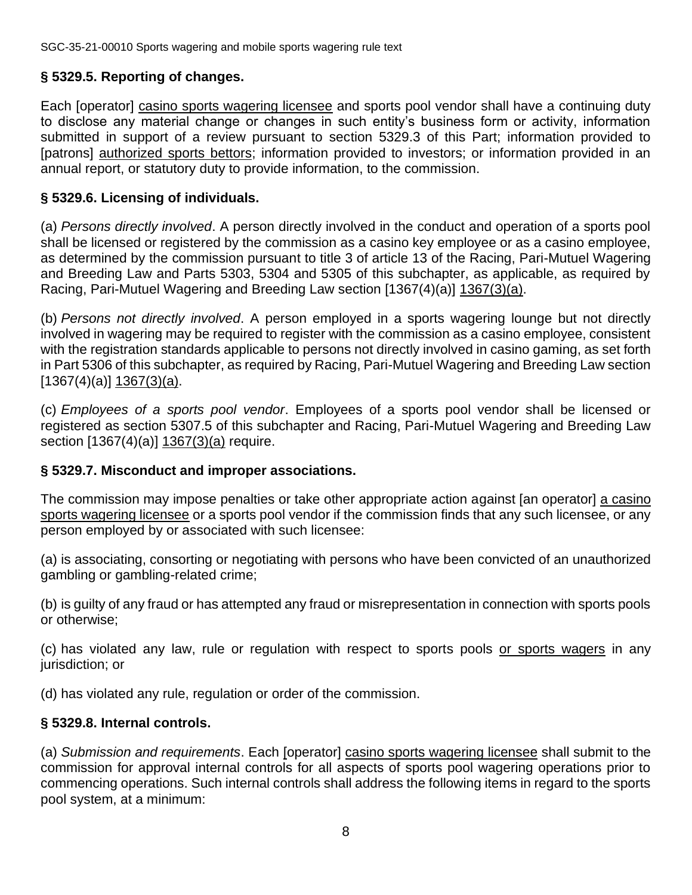# **§ 5329.5. Reporting of changes.**

Each [operator] casino sports wagering licensee and sports pool vendor shall have a continuing duty to disclose any material change or changes in such entity's business form or activity, information submitted in support of a review pursuant to section 5329.3 of this Part; information provided to [patrons] authorized sports bettors; information provided to investors; or information provided in an annual report, or statutory duty to provide information, to the commission.

# **§ 5329.6. Licensing of individuals.**

(a) *Persons directly involved*. A person directly involved in the conduct and operation of a sports pool shall be licensed or registered by the commission as a casino key employee or as a casino employee, as determined by the commission pursuant to title 3 of article 13 of the Racing, Pari-Mutuel Wagering and Breeding Law and Parts 5303, 5304 and 5305 of this subchapter, as applicable, as required by Racing, Pari-Mutuel Wagering and Breeding Law section [1367(4)(a)] 1367(3)(a).

(b) *Persons not directly involved*. A person employed in a sports wagering lounge but not directly involved in wagering may be required to register with the commission as a casino employee, consistent with the registration standards applicable to persons not directly involved in casino gaming, as set forth in Part 5306 of this subchapter, as required by Racing, Pari-Mutuel Wagering and Breeding Law section  $[1367(4)(a)]$  1367(3)(a).

(c) *Employees of a sports pool vendor*. Employees of a sports pool vendor shall be licensed or registered as section 5307.5 of this subchapter and Racing, Pari-Mutuel Wagering and Breeding Law section [1367(4)(a)] 1367(3)(a) require.

# **§ 5329.7. Misconduct and improper associations.**

The commission may impose penalties or take other appropriate action against [an operator] a casino sports wagering licensee or a sports pool vendor if the commission finds that any such licensee, or any person employed by or associated with such licensee:

(a) is associating, consorting or negotiating with persons who have been convicted of an unauthorized gambling or gambling-related crime;

(b) is guilty of any fraud or has attempted any fraud or misrepresentation in connection with sports pools or otherwise;

(c) has violated any law, rule or regulation with respect to sports pools or sports wagers in any jurisdiction; or

(d) has violated any rule, regulation or order of the commission.

# **§ 5329.8. Internal controls.**

(a) *Submission and requirements*. Each [operator] casino sports wagering licensee shall submit to the commission for approval internal controls for all aspects of sports pool wagering operations prior to commencing operations. Such internal controls shall address the following items in regard to the sports pool system, at a minimum: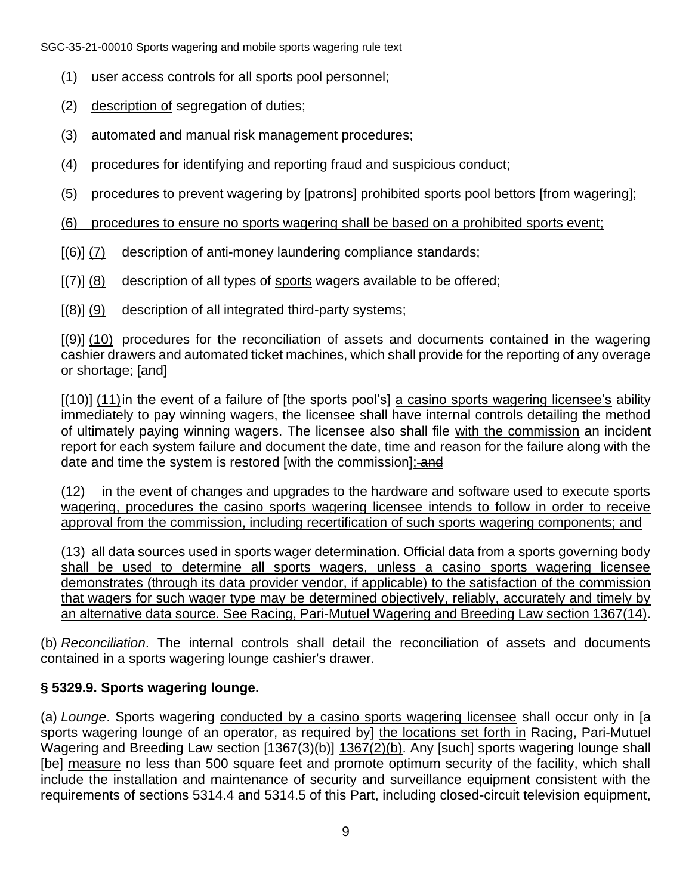- (1) user access controls for all sports pool personnel;
- (2) description of segregation of duties;
- (3) automated and manual risk management procedures;
- (4) procedures for identifying and reporting fraud and suspicious conduct;
- (5) procedures to prevent wagering by [patrons] prohibited sports pool bettors [from wagering];

(6) procedures to ensure no sports wagering shall be based on a prohibited sports event;

- [(6)] (7) description of anti-money laundering compliance standards;
- $[(7)] (8)$  description of all types of sports wagers available to be offered;
- $[(8)]$  (9) description of all integrated third-party systems;

[(9)] (10) procedures for the reconciliation of assets and documents contained in the wagering cashier drawers and automated ticket machines, which shall provide for the reporting of any overage or shortage; [and]

[(10)] (11) in the event of a failure of [the sports pool's] a casino sports wagering licensee's ability immediately to pay winning wagers, the licensee shall have internal controls detailing the method of ultimately paying winning wagers. The licensee also shall file with the commission an incident report for each system failure and document the date, time and reason for the failure along with the date and time the system is restored [with the commission]: and

(12) in the event of changes and upgrades to the hardware and software used to execute sports wagering, procedures the casino sports wagering licensee intends to follow in order to receive approval from the commission, including recertification of such sports wagering components; and

(13) all data sources used in sports wager determination. Official data from a sports governing body shall be used to determine all sports wagers, unless a casino sports wagering licensee demonstrates (through its data provider vendor, if applicable) to the satisfaction of the commission that wagers for such wager type may be determined objectively, reliably, accurately and timely by an alternative data source. See Racing, Pari-Mutuel Wagering and Breeding Law section 1367(14).

(b) *Reconciliation*. The internal controls shall detail the reconciliation of assets and documents contained in a sports wagering lounge cashier's drawer.

# **§ 5329.9. Sports wagering lounge.**

(a) *Lounge*. Sports wagering conducted by a casino sports wagering licensee shall occur only in [a sports wagering lounge of an operator, as required by] the locations set forth in Racing, Pari-Mutuel Wagering and Breeding Law section [1367(3)(b)] 1367(2)(b). Any [such] sports wagering lounge shall [be] measure no less than 500 square feet and promote optimum security of the facility, which shall include the installation and maintenance of security and surveillance equipment consistent with the requirements of sections 5314.4 and 5314.5 of this Part, including closed-circuit television equipment,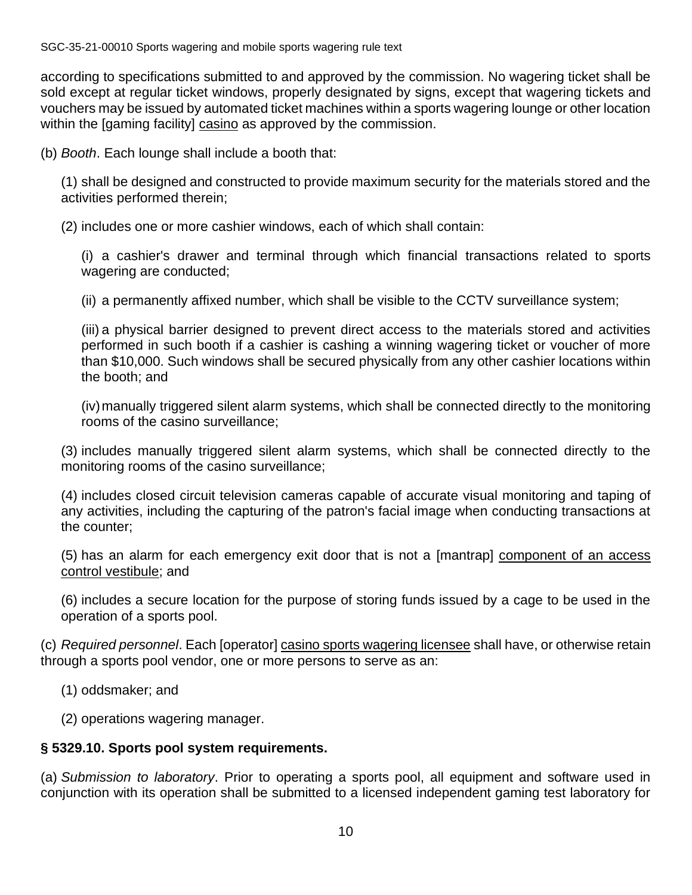according to specifications submitted to and approved by the commission. No wagering ticket shall be sold except at regular ticket windows, properly designated by signs, except that wagering tickets and vouchers may be issued by automated ticket machines within a sports wagering lounge or other location within the [gaming facility] casino as approved by the commission.

(b) *Booth*. Each lounge shall include a booth that:

(1) shall be designed and constructed to provide maximum security for the materials stored and the activities performed therein;

(2) includes one or more cashier windows, each of which shall contain:

(i) a cashier's drawer and terminal through which financial transactions related to sports wagering are conducted;

(ii) a permanently affixed number, which shall be visible to the CCTV surveillance system;

(iii) a physical barrier designed to prevent direct access to the materials stored and activities performed in such booth if a cashier is cashing a winning wagering ticket or voucher of more than \$10,000. Such windows shall be secured physically from any other cashier locations within the booth; and

(iv)manually triggered silent alarm systems, which shall be connected directly to the monitoring rooms of the casino surveillance;

(3) includes manually triggered silent alarm systems, which shall be connected directly to the monitoring rooms of the casino surveillance;

(4) includes closed circuit television cameras capable of accurate visual monitoring and taping of any activities, including the capturing of the patron's facial image when conducting transactions at the counter;

(5) has an alarm for each emergency exit door that is not a [mantrap] component of an access control vestibule; and

(6) includes a secure location for the purpose of storing funds issued by a cage to be used in the operation of a sports pool.

(c) *Required personnel*. Each [operator] casino sports wagering licensee shall have, or otherwise retain through a sports pool vendor, one or more persons to serve as an:

(1) oddsmaker; and

(2) operations wagering manager.

# **§ 5329.10. Sports pool system requirements.**

(a) *Submission to laboratory*. Prior to operating a sports pool, all equipment and software used in conjunction with its operation shall be submitted to a licensed independent gaming test laboratory for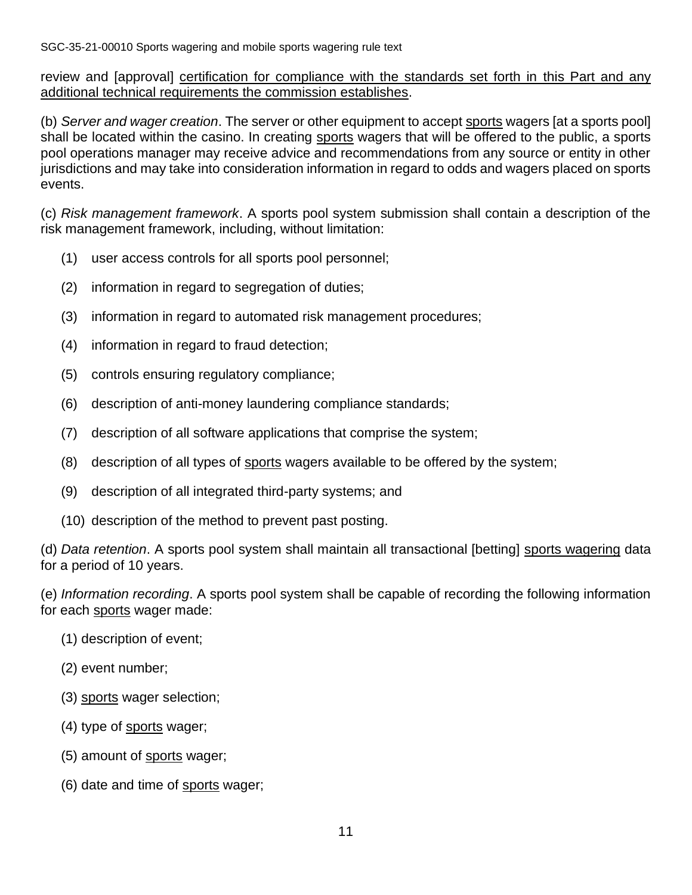review and [approval] certification for compliance with the standards set forth in this Part and any additional technical requirements the commission establishes.

(b) *Server and wager creation*. The server or other equipment to accept sports wagers [at a sports pool] shall be located within the casino. In creating sports wagers that will be offered to the public, a sports pool operations manager may receive advice and recommendations from any source or entity in other jurisdictions and may take into consideration information in regard to odds and wagers placed on sports events.

(c) *Risk management framework*. A sports pool system submission shall contain a description of the risk management framework, including, without limitation:

- (1) user access controls for all sports pool personnel;
- (2) information in regard to segregation of duties;
- (3) information in regard to automated risk management procedures;
- (4) information in regard to fraud detection;
- (5) controls ensuring regulatory compliance;
- (6) description of anti-money laundering compliance standards;
- (7) description of all software applications that comprise the system;
- (8) description of all types of sports wagers available to be offered by the system;
- (9) description of all integrated third-party systems; and
- (10) description of the method to prevent past posting.

(d) *Data retention*. A sports pool system shall maintain all transactional [betting] sports wagering data for a period of 10 years.

(e) *Information recording*. A sports pool system shall be capable of recording the following information for each sports wager made:

- (1) description of event;
- (2) event number;
- (3) sports wager selection;
- (4) type of sports wager;
- (5) amount of sports wager;
- (6) date and time of sports wager;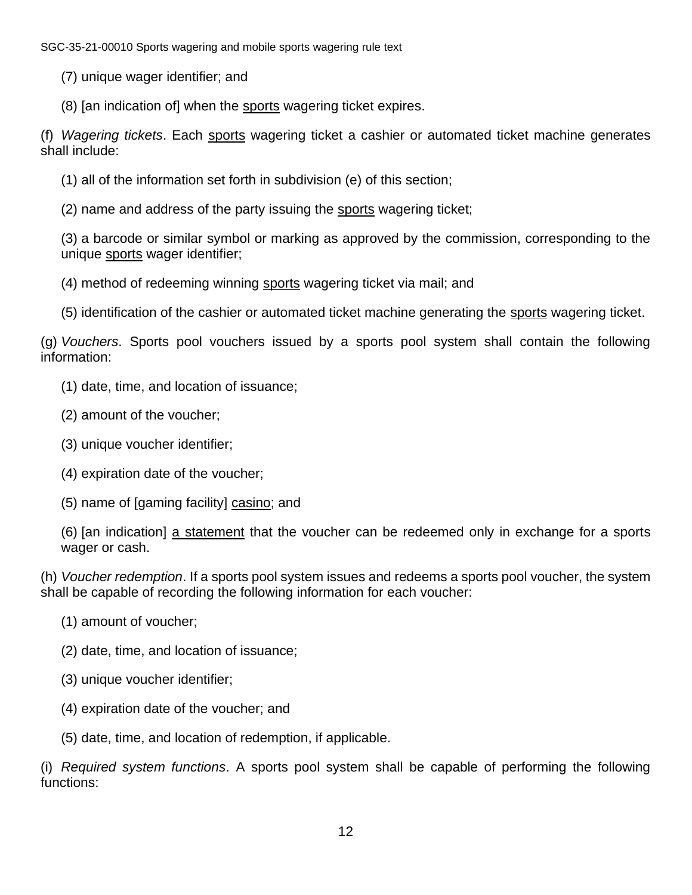(7) unique wager identifier; and

(8) [an indication of] when the sports wagering ticket expires.

(f) *Wagering tickets*. Each sports wagering ticket a cashier or automated ticket machine generates shall include:

- (1) all of the information set forth in subdivision (e) of this section;
- (2) name and address of the party issuing the sports wagering ticket;

(3) a barcode or similar symbol or marking as approved by the commission, corresponding to the unique sports wager identifier;

- (4) method of redeeming winning sports wagering ticket via mail; and
- (5) identification of the cashier or automated ticket machine generating the sports wagering ticket.

(g) *Vouchers*. Sports pool vouchers issued by a sports pool system shall contain the following information:

- (1) date, time, and location of issuance;
- (2) amount of the voucher;
- (3) unique voucher identifier;
- (4) expiration date of the voucher;
- (5) name of [gaming facility] casino; and

(6) [an indication] a statement that the voucher can be redeemed only in exchange for a sports wager or cash.

(h) *Voucher redemption*. If a sports pool system issues and redeems a sports pool voucher, the system shall be capable of recording the following information for each voucher:

- (1) amount of voucher;
- (2) date, time, and location of issuance;
- (3) unique voucher identifier;
- (4) expiration date of the voucher; and
- (5) date, time, and location of redemption, if applicable.

(i) *Required system functions*. A sports pool system shall be capable of performing the following functions: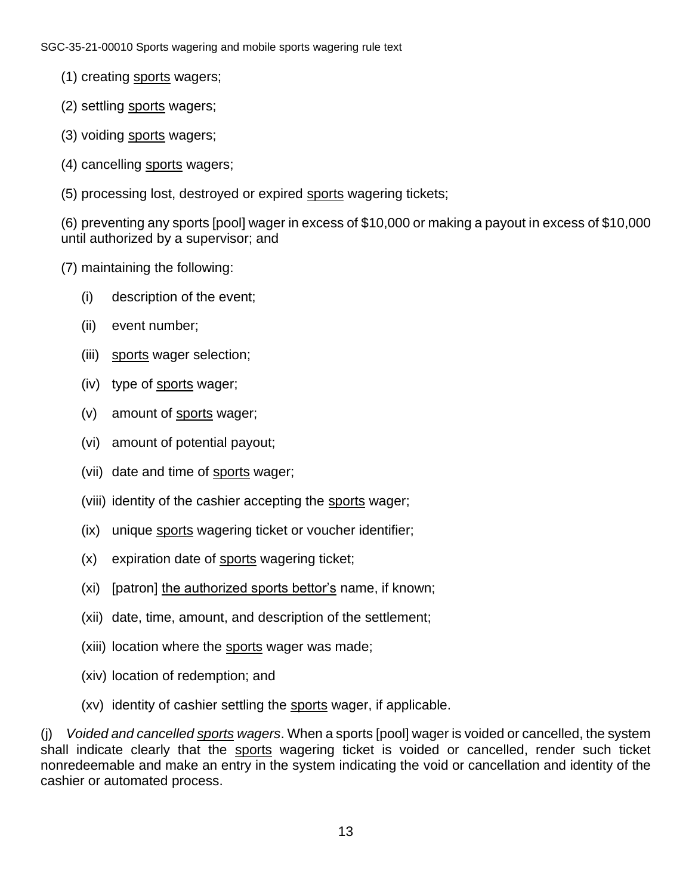- (1) creating sports wagers;
- (2) settling sports wagers;
- (3) voiding sports wagers;
- (4) cancelling sports wagers;
- (5) processing lost, destroyed or expired sports wagering tickets;

(6) preventing any sports [pool] wager in excess of \$10,000 or making a payout in excess of \$10,000 until authorized by a supervisor; and

- (7) maintaining the following:
	- (i) description of the event;
	- (ii) event number;
	- (iii) sports wager selection;
	- (iv) type of sports wager;
	- (v) amount of sports wager;
	- (vi) amount of potential payout;
	- (vii) date and time of sports wager;
	- (viii) identity of the cashier accepting the sports wager;
	- (ix) unique sports wagering ticket or voucher identifier;
	- (x) expiration date of sports wagering ticket;
	- (xi) [patron] the authorized sports bettor's name, if known;
	- (xii) date, time, amount, and description of the settlement;
	- (xiii) location where the sports wager was made;
	- (xiv) location of redemption; and
	- (xv) identity of cashier settling the sports wager, if applicable.

(j) *Voided and cancelled sports wagers*. When a sports [pool] wager is voided or cancelled, the system shall indicate clearly that the sports wagering ticket is voided or cancelled, render such ticket nonredeemable and make an entry in the system indicating the void or cancellation and identity of the cashier or automated process.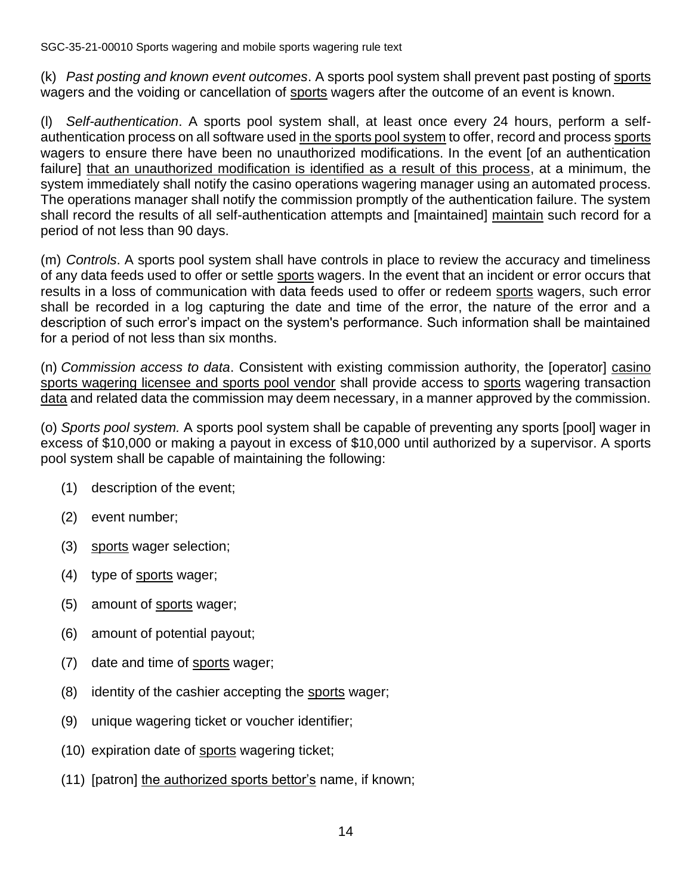(k) *Past posting and known event outcomes*. A sports pool system shall prevent past posting of sports wagers and the voiding or cancellation of sports wagers after the outcome of an event is known.

(l) *Self-authentication*. A sports pool system shall, at least once every 24 hours, perform a selfauthentication process on all software used in the sports pool system to offer, record and process sports wagers to ensure there have been no unauthorized modifications. In the event [of an authentication failure] that an unauthorized modification is identified as a result of this process, at a minimum, the system immediately shall notify the casino operations wagering manager using an automated process. The operations manager shall notify the commission promptly of the authentication failure. The system shall record the results of all self-authentication attempts and [maintained] maintain such record for a period of not less than 90 days.

(m) *Controls*. A sports pool system shall have controls in place to review the accuracy and timeliness of any data feeds used to offer or settle sports wagers. In the event that an incident or error occurs that results in a loss of communication with data feeds used to offer or redeem sports wagers, such error shall be recorded in a log capturing the date and time of the error, the nature of the error and a description of such error's impact on the system's performance. Such information shall be maintained for a period of not less than six months.

(n) *Commission access to data*. Consistent with existing commission authority, the [operator] casino sports wagering licensee and sports pool vendor shall provide access to sports wagering transaction data and related data the commission may deem necessary, in a manner approved by the commission.

(o) *Sports pool system.* A sports pool system shall be capable of preventing any sports [pool] wager in excess of \$10,000 or making a payout in excess of \$10,000 until authorized by a supervisor. A sports pool system shall be capable of maintaining the following:

- (1) description of the event;
- (2) event number;
- (3) sports wager selection;
- (4) type of sports wager;
- (5) amount of sports wager;
- (6) amount of potential payout;
- (7) date and time of sports wager;
- (8) identity of the cashier accepting the sports wager;
- (9) unique wagering ticket or voucher identifier;
- (10) expiration date of sports wagering ticket;
- (11) [patron] the authorized sports bettor's name, if known;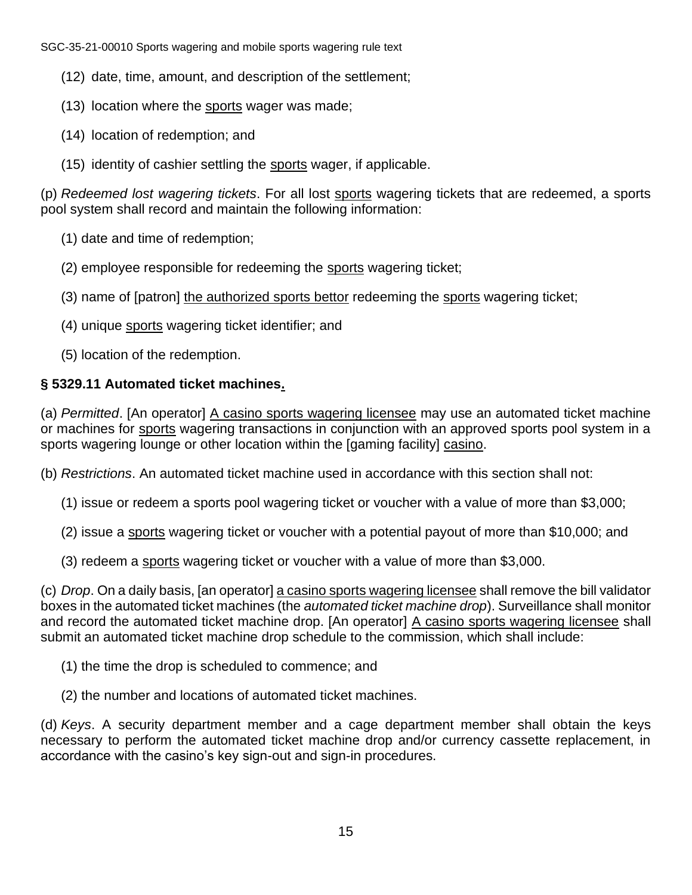- (12) date, time, amount, and description of the settlement;
- (13) location where the sports wager was made;
- (14) location of redemption; and
- (15) identity of cashier settling the sports wager, if applicable.

(p) *Redeemed lost wagering tickets*. For all lost sports wagering tickets that are redeemed, a sports pool system shall record and maintain the following information:

- (1) date and time of redemption;
- (2) employee responsible for redeeming the sports wagering ticket;
- (3) name of [patron] the authorized sports bettor redeeming the sports wagering ticket;
- (4) unique sports wagering ticket identifier; and
- (5) location of the redemption.

# **§ 5329.11 Automated ticket machines.**

(a) *Permitted*. [An operator] A casino sports wagering licensee may use an automated ticket machine or machines for sports wagering transactions in conjunction with an approved sports pool system in a sports wagering lounge or other location within the [gaming facility] casino.

(b) *Restrictions*. An automated ticket machine used in accordance with this section shall not:

- (1) issue or redeem a sports pool wagering ticket or voucher with a value of more than \$3,000;
- (2) issue a sports wagering ticket or voucher with a potential payout of more than \$10,000; and
- (3) redeem a sports wagering ticket or voucher with a value of more than \$3,000.

(c) *Drop*. On a daily basis, [an operator] a casino sports wagering licensee shall remove the bill validator boxes in the automated ticket machines (the *automated ticket machine drop*). Surveillance shall monitor and record the automated ticket machine drop. [An operator] A casino sports wagering licensee shall submit an automated ticket machine drop schedule to the commission, which shall include:

- (1) the time the drop is scheduled to commence; and
- (2) the number and locations of automated ticket machines.

(d) *Keys*. A security department member and a cage department member shall obtain the keys necessary to perform the automated ticket machine drop and/or currency cassette replacement, in accordance with the casino's key sign-out and sign-in procedures.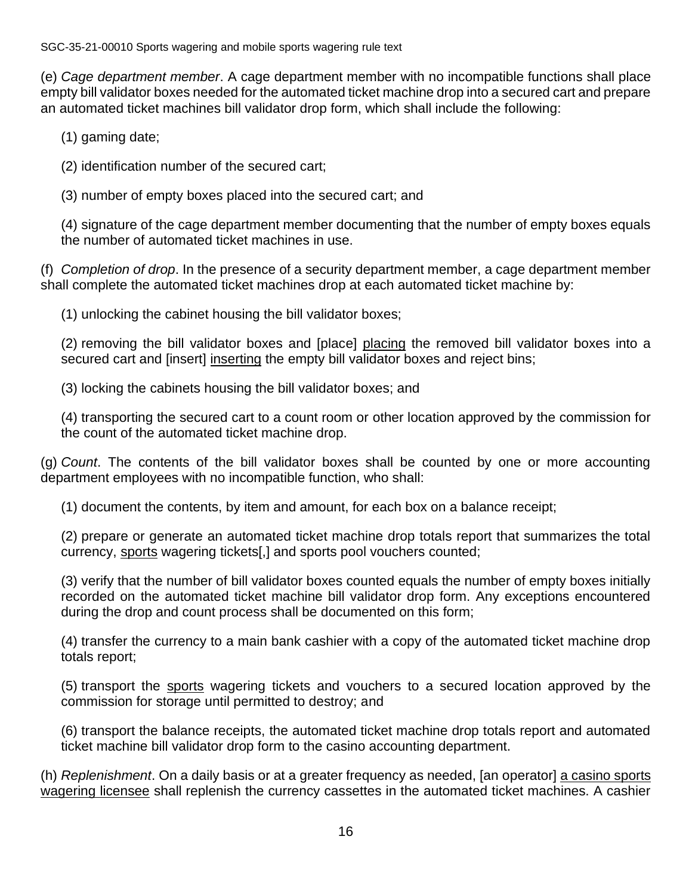(e) *Cage department member*. A cage department member with no incompatible functions shall place empty bill validator boxes needed for the automated ticket machine drop into a secured cart and prepare an automated ticket machines bill validator drop form, which shall include the following:

(1) gaming date;

(2) identification number of the secured cart;

(3) number of empty boxes placed into the secured cart; and

(4) signature of the cage department member documenting that the number of empty boxes equals the number of automated ticket machines in use.

(f) *Completion of drop*. In the presence of a security department member, a cage department member shall complete the automated ticket machines drop at each automated ticket machine by:

(1) unlocking the cabinet housing the bill validator boxes;

(2) removing the bill validator boxes and [place] placing the removed bill validator boxes into a secured cart and [insert] inserting the empty bill validator boxes and reject bins;

(3) locking the cabinets housing the bill validator boxes; and

(4) transporting the secured cart to a count room or other location approved by the commission for the count of the automated ticket machine drop.

(g) *Count*. The contents of the bill validator boxes shall be counted by one or more accounting department employees with no incompatible function, who shall:

(1) document the contents, by item and amount, for each box on a balance receipt;

(2) prepare or generate an automated ticket machine drop totals report that summarizes the total currency, sports wagering tickets[,] and sports pool vouchers counted;

(3) verify that the number of bill validator boxes counted equals the number of empty boxes initially recorded on the automated ticket machine bill validator drop form. Any exceptions encountered during the drop and count process shall be documented on this form;

(4) transfer the currency to a main bank cashier with a copy of the automated ticket machine drop totals report;

(5) transport the sports wagering tickets and vouchers to a secured location approved by the commission for storage until permitted to destroy; and

(6) transport the balance receipts, the automated ticket machine drop totals report and automated ticket machine bill validator drop form to the casino accounting department.

(h) *Replenishment*. On a daily basis or at a greater frequency as needed, [an operator] a casino sports wagering licensee shall replenish the currency cassettes in the automated ticket machines. A cashier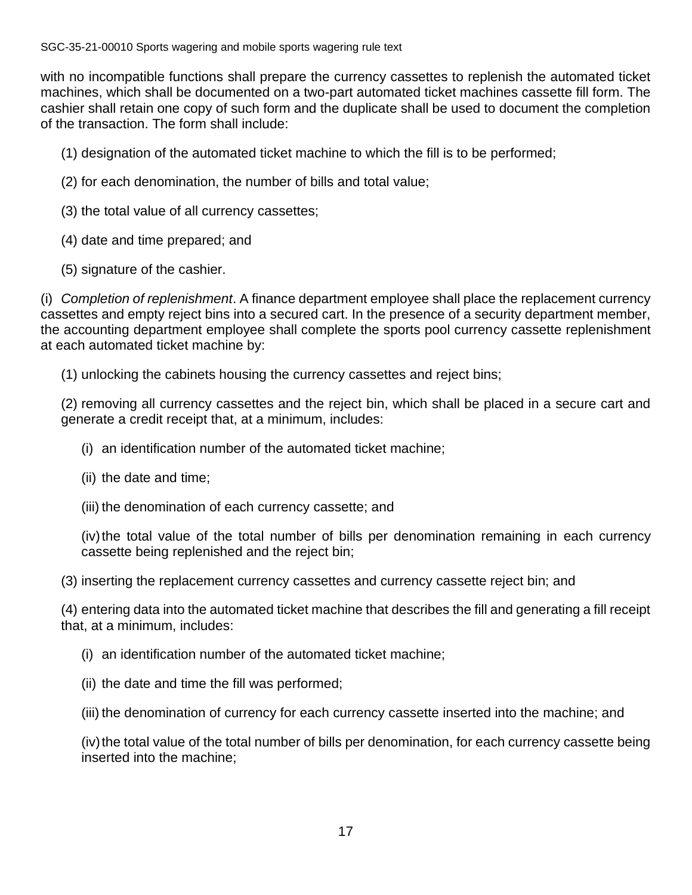with no incompatible functions shall prepare the currency cassettes to replenish the automated ticket machines, which shall be documented on a two-part automated ticket machines cassette fill form. The cashier shall retain one copy of such form and the duplicate shall be used to document the completion of the transaction. The form shall include:

- (1) designation of the automated ticket machine to which the fill is to be performed;
- (2) for each denomination, the number of bills and total value;
- (3) the total value of all currency cassettes;
- (4) date and time prepared; and
- (5) signature of the cashier.

(i) *Completion of replenishment*. A finance department employee shall place the replacement currency cassettes and empty reject bins into a secured cart. In the presence of a security department member, the accounting department employee shall complete the sports pool currency cassette replenishment at each automated ticket machine by:

(1) unlocking the cabinets housing the currency cassettes and reject bins;

(2) removing all currency cassettes and the reject bin, which shall be placed in a secure cart and generate a credit receipt that, at a minimum, includes:

- (i) an identification number of the automated ticket machine;
- (ii) the date and time;
- (iii) the denomination of each currency cassette; and

(iv) the total value of the total number of bills per denomination remaining in each currency cassette being replenished and the reject bin;

(3) inserting the replacement currency cassettes and currency cassette reject bin; and

(4) entering data into the automated ticket machine that describes the fill and generating a fill receipt that, at a minimum, includes:

- (i) an identification number of the automated ticket machine;
- (ii) the date and time the fill was performed;

(iii) the denomination of currency for each currency cassette inserted into the machine; and

(iv) the total value of the total number of bills per denomination, for each currency cassette being inserted into the machine;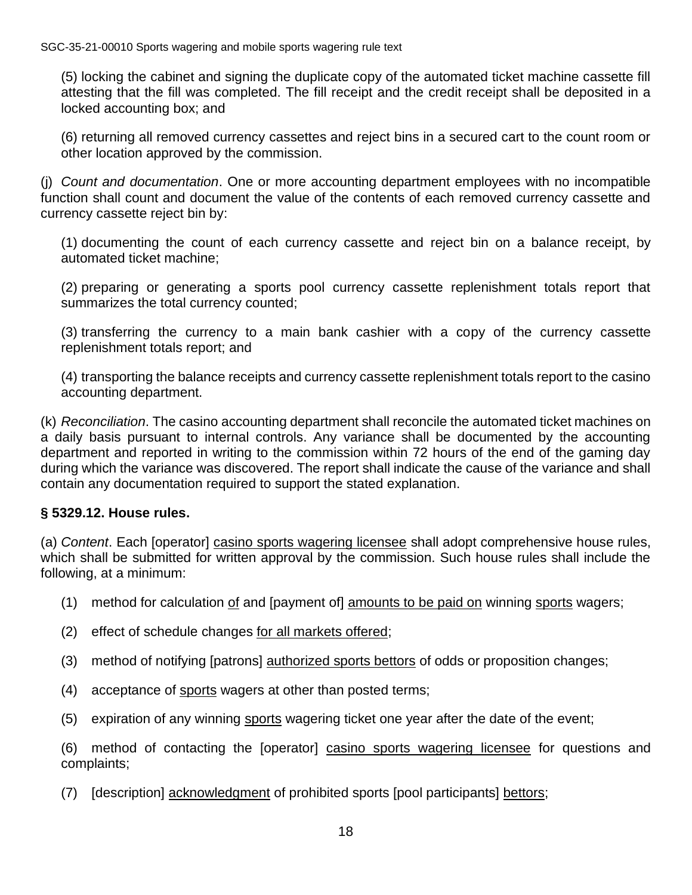(5) locking the cabinet and signing the duplicate copy of the automated ticket machine cassette fill attesting that the fill was completed. The fill receipt and the credit receipt shall be deposited in a locked accounting box; and

(6) returning all removed currency cassettes and reject bins in a secured cart to the count room or other location approved by the commission.

(j) *Count and documentation*. One or more accounting department employees with no incompatible function shall count and document the value of the contents of each removed currency cassette and currency cassette reject bin by:

(1) documenting the count of each currency cassette and reject bin on a balance receipt, by automated ticket machine;

(2) preparing or generating a sports pool currency cassette replenishment totals report that summarizes the total currency counted;

(3) transferring the currency to a main bank cashier with a copy of the currency cassette replenishment totals report; and

(4) transporting the balance receipts and currency cassette replenishment totals report to the casino accounting department.

(k) *Reconciliation*. The casino accounting department shall reconcile the automated ticket machines on a daily basis pursuant to internal controls. Any variance shall be documented by the accounting department and reported in writing to the commission within 72 hours of the end of the gaming day during which the variance was discovered. The report shall indicate the cause of the variance and shall contain any documentation required to support the stated explanation.

# **§ 5329.12. House rules.**

(a) *Content*. Each [operator] casino sports wagering licensee shall adopt comprehensive house rules, which shall be submitted for written approval by the commission. Such house rules shall include the following, at a minimum:

- (1) method for calculation of and [payment of] amounts to be paid on winning sports wagers;
- (2) effect of schedule changes for all markets offered;
- (3) method of notifying [patrons] authorized sports bettors of odds or proposition changes;
- (4) acceptance of sports wagers at other than posted terms;
- (5) expiration of any winning sports wagering ticket one year after the date of the event;

(6) method of contacting the [operator] casino sports wagering licensee for questions and complaints;

(7) [description] acknowledgment of prohibited sports [pool participants] bettors;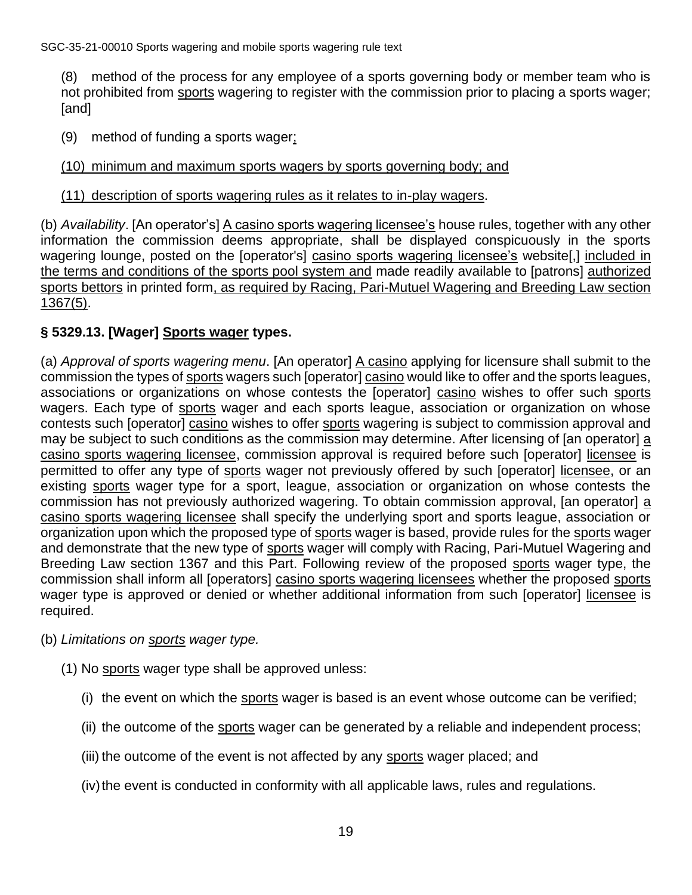(8) method of the process for any employee of a sports governing body or member team who is not prohibited from sports wagering to register with the commission prior to placing a sports wager; [and]

(9) method of funding a sports wager;

#### (10) minimum and maximum sports wagers by sports governing body; and

#### (11) description of sports wagering rules as it relates to in-play wagers.

(b) *Availability*. [An operator's] A casino sports wagering licensee's house rules, together with any other information the commission deems appropriate, shall be displayed conspicuously in the sports wagering lounge, posted on the [operator's] casino sports wagering licensee's website[,] included in the terms and conditions of the sports pool system and made readily available to [patrons] authorized sports bettors in printed form, as required by Racing, Pari-Mutuel Wagering and Breeding Law section 1367(5).

# **§ 5329.13. [Wager] Sports wager types.**

(a) *Approval of sports wagering menu*. [An operator] A casino applying for licensure shall submit to the commission the types of sports wagers such [operator] casino would like to offer and the sports leagues, associations or organizations on whose contests the [operator] casino wishes to offer such sports wagers. Each type of sports wager and each sports league, association or organization on whose contests such [operator] casino wishes to offer sports wagering is subject to commission approval and may be subject to such conditions as the commission may determine. After licensing of [an operator] a casino sports wagering licensee, commission approval is required before such [operator] licensee is permitted to offer any type of sports wager not previously offered by such [operator] licensee, or an existing sports wager type for a sport, league, association or organization on whose contests the commission has not previously authorized wagering. To obtain commission approval, [an operator] a casino sports wagering licensee shall specify the underlying sport and sports league, association or organization upon which the proposed type of sports wager is based, provide rules for the sports wager and demonstrate that the new type of sports wager will comply with Racing, Pari-Mutuel Wagering and Breeding Law section 1367 and this Part. Following review of the proposed sports wager type, the commission shall inform all [operators] casino sports wagering licensees whether the proposed sports wager type is approved or denied or whether additional information from such [operator] licensee is required.

#### (b) *Limitations on sports wager type.*

- (1) No sports wager type shall be approved unless:
	- (i) the event on which the sports wager is based is an event whose outcome can be verified;
	- (ii) the outcome of the sports wager can be generated by a reliable and independent process;
	- (iii) the outcome of the event is not affected by any sports wager placed; and
	- (iv) the event is conducted in conformity with all applicable laws, rules and regulations.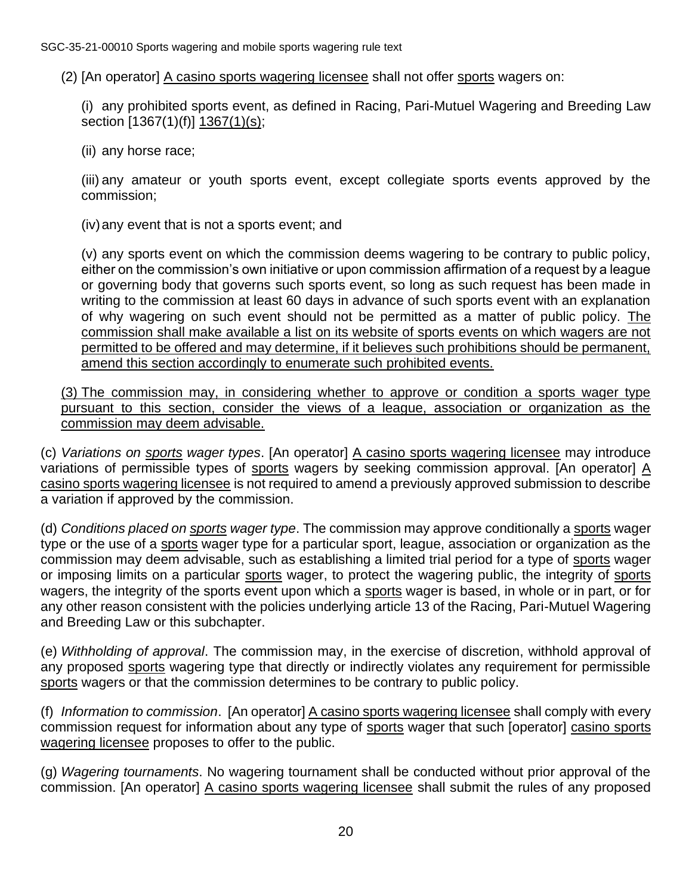(2) [An operator] A casino sports wagering licensee shall not offer sports wagers on:

(i) any prohibited sports event, as defined in Racing, Pari-Mutuel Wagering and Breeding Law section [1367(1)(f)] 1367(1)(s);

(ii) any horse race;

(iii) any amateur or youth sports event, except collegiate sports events approved by the commission;

(iv)any event that is not a sports event; and

(v) any sports event on which the commission deems wagering to be contrary to public policy, either on the commission's own initiative or upon commission affirmation of a request by a league or governing body that governs such sports event, so long as such request has been made in writing to the commission at least 60 days in advance of such sports event with an explanation of why wagering on such event should not be permitted as a matter of public policy. The commission shall make available a list on its website of sports events on which wagers are not permitted to be offered and may determine, if it believes such prohibitions should be permanent, amend this section accordingly to enumerate such prohibited events.

(3) The commission may, in considering whether to approve or condition a sports wager type pursuant to this section, consider the views of a league, association or organization as the commission may deem advisable.

(c) *Variations on sports wager types*. [An operator] A casino sports wagering licensee may introduce variations of permissible types of sports wagers by seeking commission approval. [An operator]  $\underline{A}$ casino sports wagering licensee is not required to amend a previously approved submission to describe a variation if approved by the commission.

(d) *Conditions placed on sports wager type*. The commission may approve conditionally a sports wager type or the use of a sports wager type for a particular sport, league, association or organization as the commission may deem advisable, such as establishing a limited trial period for a type of sports wager or imposing limits on a particular sports wager, to protect the wagering public, the integrity of sports wagers, the integrity of the sports event upon which a sports wager is based, in whole or in part, or for any other reason consistent with the policies underlying article 13 of the Racing, Pari-Mutuel Wagering and Breeding Law or this subchapter.

(e) *Withholding of approval*. The commission may, in the exercise of discretion, withhold approval of any proposed sports wagering type that directly or indirectly violates any requirement for permissible sports wagers or that the commission determines to be contrary to public policy.

(f) *Information to commission*. [An operator] A casino sports wagering licensee shall comply with every commission request for information about any type of sports wager that such [operator] casino sports wagering licensee proposes to offer to the public.

(g) *Wagering tournaments*. No wagering tournament shall be conducted without prior approval of the commission. [An operator] A casino sports wagering licensee shall submit the rules of any proposed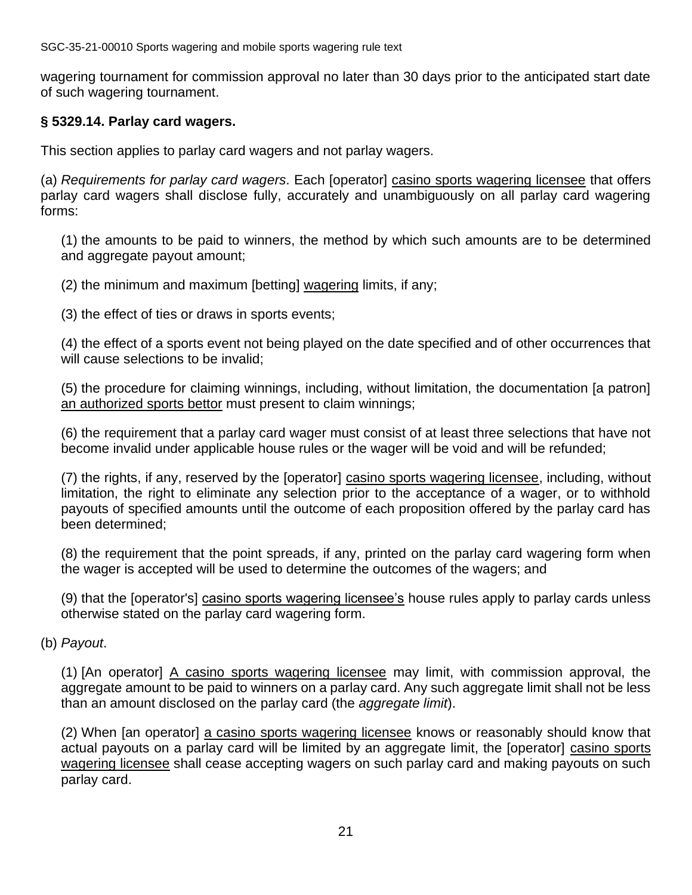wagering tournament for commission approval no later than 30 days prior to the anticipated start date of such wagering tournament.

#### **§ 5329.14. Parlay card wagers.**

This section applies to parlay card wagers and not parlay wagers.

(a) *Requirements for parlay card wagers*. Each [operator] casino sports wagering licensee that offers parlay card wagers shall disclose fully, accurately and unambiguously on all parlay card wagering forms:

(1) the amounts to be paid to winners, the method by which such amounts are to be determined and aggregate payout amount;

(2) the minimum and maximum [betting] wagering limits, if any;

(3) the effect of ties or draws in sports events;

(4) the effect of a sports event not being played on the date specified and of other occurrences that will cause selections to be invalid;

(5) the procedure for claiming winnings, including, without limitation, the documentation [a patron] an authorized sports bettor must present to claim winnings;

(6) the requirement that a parlay card wager must consist of at least three selections that have not become invalid under applicable house rules or the wager will be void and will be refunded;

(7) the rights, if any, reserved by the [operator] casino sports wagering licensee, including, without limitation, the right to eliminate any selection prior to the acceptance of a wager, or to withhold payouts of specified amounts until the outcome of each proposition offered by the parlay card has been determined;

(8) the requirement that the point spreads, if any, printed on the parlay card wagering form when the wager is accepted will be used to determine the outcomes of the wagers; and

(9) that the [operator's] casino sports wagering licensee's house rules apply to parlay cards unless otherwise stated on the parlay card wagering form.

(b) *Payout*.

(1) [An operator] A casino sports wagering licensee may limit, with commission approval, the aggregate amount to be paid to winners on a parlay card. Any such aggregate limit shall not be less than an amount disclosed on the parlay card (the *aggregate limit*).

(2) When [an operator] a casino sports wagering licensee knows or reasonably should know that actual payouts on a parlay card will be limited by an aggregate limit, the [operator] casino sports wagering licensee shall cease accepting wagers on such parlay card and making payouts on such parlay card.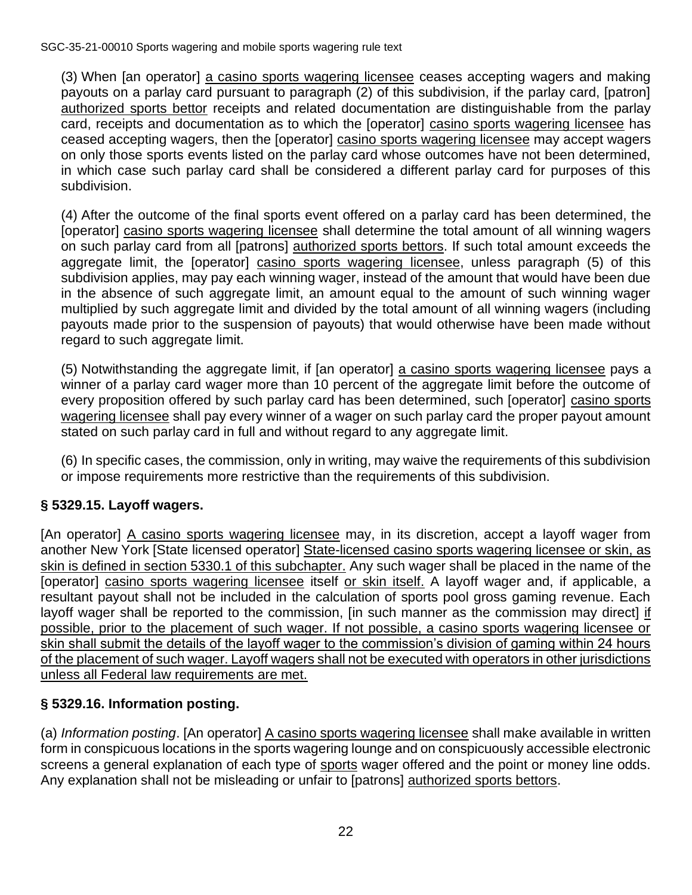(3) When [an operator] a casino sports wagering licensee ceases accepting wagers and making payouts on a parlay card pursuant to paragraph (2) of this subdivision, if the parlay card, [patron] authorized sports bettor receipts and related documentation are distinguishable from the parlay card, receipts and documentation as to which the [operator] casino sports wagering licensee has ceased accepting wagers, then the [operator] casino sports wagering licensee may accept wagers on only those sports events listed on the parlay card whose outcomes have not been determined, in which case such parlay card shall be considered a different parlay card for purposes of this subdivision.

(4) After the outcome of the final sports event offered on a parlay card has been determined, the [operator] casino sports wagering licensee shall determine the total amount of all winning wagers on such parlay card from all [patrons] authorized sports bettors. If such total amount exceeds the aggregate limit, the [operator] casino sports wagering licensee, unless paragraph (5) of this subdivision applies, may pay each winning wager, instead of the amount that would have been due in the absence of such aggregate limit, an amount equal to the amount of such winning wager multiplied by such aggregate limit and divided by the total amount of all winning wagers (including payouts made prior to the suspension of payouts) that would otherwise have been made without regard to such aggregate limit.

(5) Notwithstanding the aggregate limit, if [an operator] a casino sports wagering licensee pays a winner of a parlay card wager more than 10 percent of the aggregate limit before the outcome of every proposition offered by such parlay card has been determined, such [operator] casino sports wagering licensee shall pay every winner of a wager on such parlay card the proper payout amount stated on such parlay card in full and without regard to any aggregate limit.

(6) In specific cases, the commission, only in writing, may waive the requirements of this subdivision or impose requirements more restrictive than the requirements of this subdivision.

# **§ 5329.15. Layoff wagers.**

[An operator] A casino sports wagering licensee may, in its discretion, accept a layoff wager from another New York [State licensed operator] State-licensed casino sports wagering licensee or skin, as skin is defined in section 5330.1 of this subchapter. Any such wager shall be placed in the name of the [operator] casino sports wagering licensee itself or skin itself. A layoff wager and, if applicable, a resultant payout shall not be included in the calculation of sports pool gross gaming revenue. Each layoff wager shall be reported to the commission, [in such manner as the commission may direct] if possible, prior to the placement of such wager. If not possible, a casino sports wagering licensee or skin shall submit the details of the layoff wager to the commission's division of gaming within 24 hours of the placement of such wager. Layoff wagers shall not be executed with operators in other jurisdictions unless all Federal law requirements are met.

# **§ 5329.16. Information posting.**

(a) *Information posting*. [An operator] A casino sports wagering licensee shall make available in written form in conspicuous locations in the sports wagering lounge and on conspicuously accessible electronic screens a general explanation of each type of sports wager offered and the point or money line odds. Any explanation shall not be misleading or unfair to [patrons] authorized sports bettors.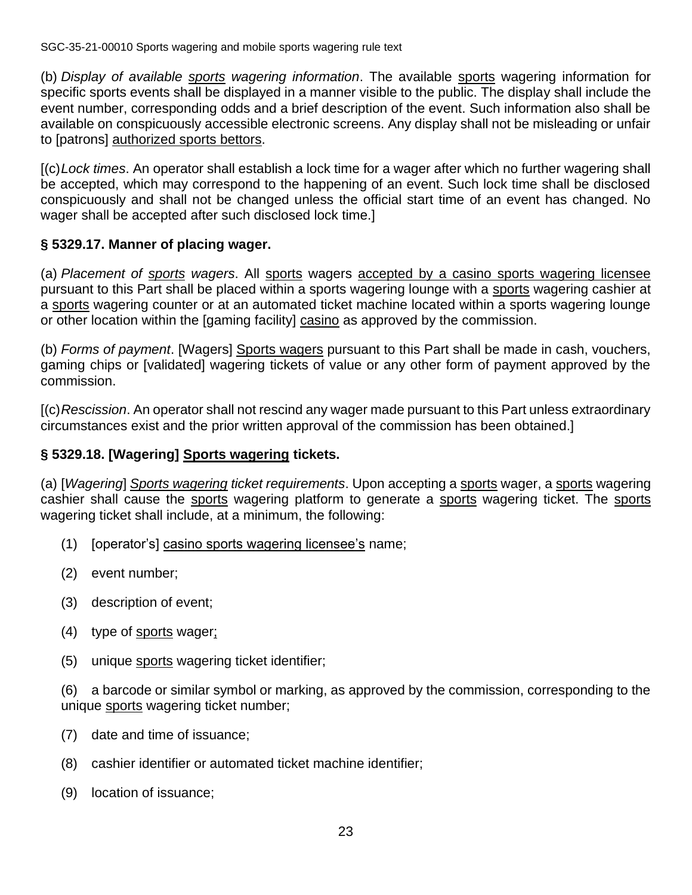(b) *Display of available sports wagering information*. The available sports wagering information for specific sports events shall be displayed in a manner visible to the public. The display shall include the event number, corresponding odds and a brief description of the event. Such information also shall be available on conspicuously accessible electronic screens. Any display shall not be misleading or unfair to [patrons] authorized sports bettors.

[(c)*Lock times*. An operator shall establish a lock time for a wager after which no further wagering shall be accepted, which may correspond to the happening of an event. Such lock time shall be disclosed conspicuously and shall not be changed unless the official start time of an event has changed. No wager shall be accepted after such disclosed lock time.]

# **§ 5329.17. Manner of placing wager.**

(a) *Placement of sports wagers*. All sports wagers accepted by a casino sports wagering licensee pursuant to this Part shall be placed within a sports wagering lounge with a sports wagering cashier at a sports wagering counter or at an automated ticket machine located within a sports wagering lounge or other location within the [gaming facility] casino as approved by the commission.

(b) *Forms of payment*. [Wagers] Sports wagers pursuant to this Part shall be made in cash, vouchers, gaming chips or [validated] wagering tickets of value or any other form of payment approved by the commission.

[(c)*Rescission*. An operator shall not rescind any wager made pursuant to this Part unless extraordinary circumstances exist and the prior written approval of the commission has been obtained.]

# **§ 5329.18. [Wagering] Sports wagering tickets.**

(a) [*Wagering*] *Sports wagering ticket requirements*. Upon accepting a sports wager, a sports wagering cashier shall cause the sports wagering platform to generate a sports wagering ticket. The sports wagering ticket shall include, at a minimum, the following:

- (1) [operator's] casino sports wagering licensee's name;
- (2) event number;
- (3) description of event;
- (4) type of sports wager;
- (5) unique sports wagering ticket identifier;

(6) a barcode or similar symbol or marking, as approved by the commission, corresponding to the unique sports wagering ticket number;

- (7) date and time of issuance;
- (8) cashier identifier or automated ticket machine identifier;
- (9) location of issuance;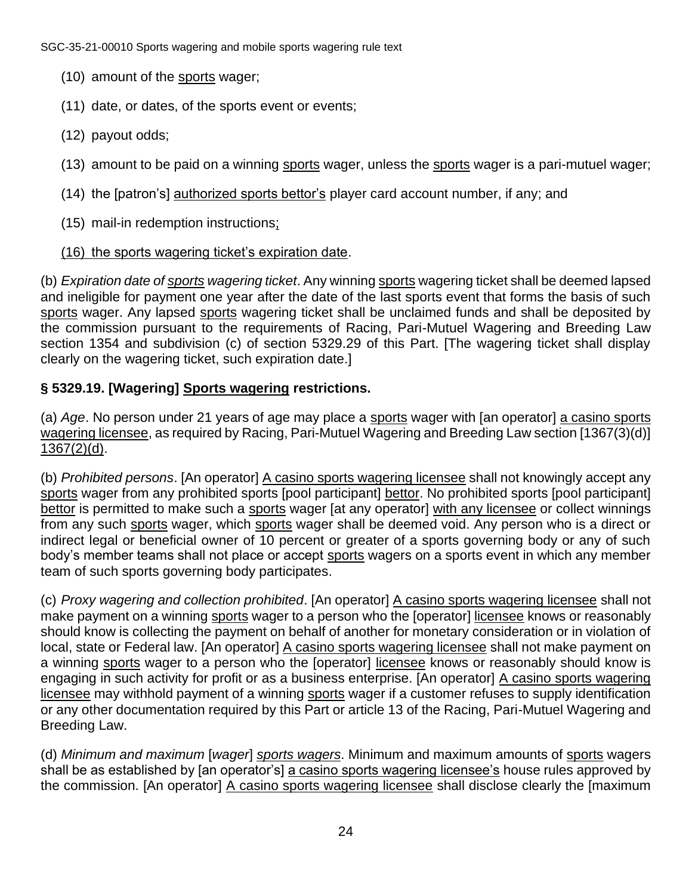- (10) amount of the sports wager;
- (11) date, or dates, of the sports event or events;
- (12) payout odds;
- (13) amount to be paid on a winning sports wager, unless the sports wager is a pari-mutuel wager;
- (14) the [patron's] authorized sports bettor's player card account number, if any; and
- (15) mail-in redemption instructions;
- (16) the sports wagering ticket's expiration date.

(b) *Expiration date of sports wagering ticket*. Any winning sports wagering ticket shall be deemed lapsed and ineligible for payment one year after the date of the last sports event that forms the basis of such sports wager. Any lapsed sports wagering ticket shall be unclaimed funds and shall be deposited by the commission pursuant to the requirements of Racing, Pari-Mutuel Wagering and Breeding Law section 1354 and subdivision (c) of section 5329.29 of this Part. [The wagering ticket shall display clearly on the wagering ticket, such expiration date.]

# **§ 5329.19. [Wagering] Sports wagering restrictions.**

(a) *Age*. No person under 21 years of age may place a sports wager with [an operator] a casino sports wagering licensee, as required by Racing, Pari-Mutuel Wagering and Breeding Law section [1367(3)(d)] 1367(2)(d).

(b) *Prohibited persons*. [An operator] A casino sports wagering licensee shall not knowingly accept any sports wager from any prohibited sports [pool participant] bettor. No prohibited sports [pool participant] bettor is permitted to make such a sports wager [at any operator] with any licensee or collect winnings from any such sports wager, which sports wager shall be deemed void. Any person who is a direct or indirect legal or beneficial owner of 10 percent or greater of a sports governing body or any of such body's member teams shall not place or accept sports wagers on a sports event in which any member team of such sports governing body participates.

(c) *Proxy wagering and collection prohibited*. [An operator] A casino sports wagering licensee shall not make payment on a winning sports wager to a person who the [operator] licensee knows or reasonably should know is collecting the payment on behalf of another for monetary consideration or in violation of local, state or Federal law. [An operator] A casino sports wagering licensee shall not make payment on a winning sports wager to a person who the [operator] licensee knows or reasonably should know is engaging in such activity for profit or as a business enterprise. [An operator] A casino sports wagering licensee may withhold payment of a winning sports wager if a customer refuses to supply identification or any other documentation required by this Part or article 13 of the Racing, Pari-Mutuel Wagering and Breeding Law.

(d) *Minimum and maximum* [*wager*] *sports wagers*. Minimum and maximum amounts of sports wagers shall be as established by [an operator's] a casino sports wagering licensee's house rules approved by the commission. [An operator] A casino sports wagering licensee shall disclose clearly the [maximum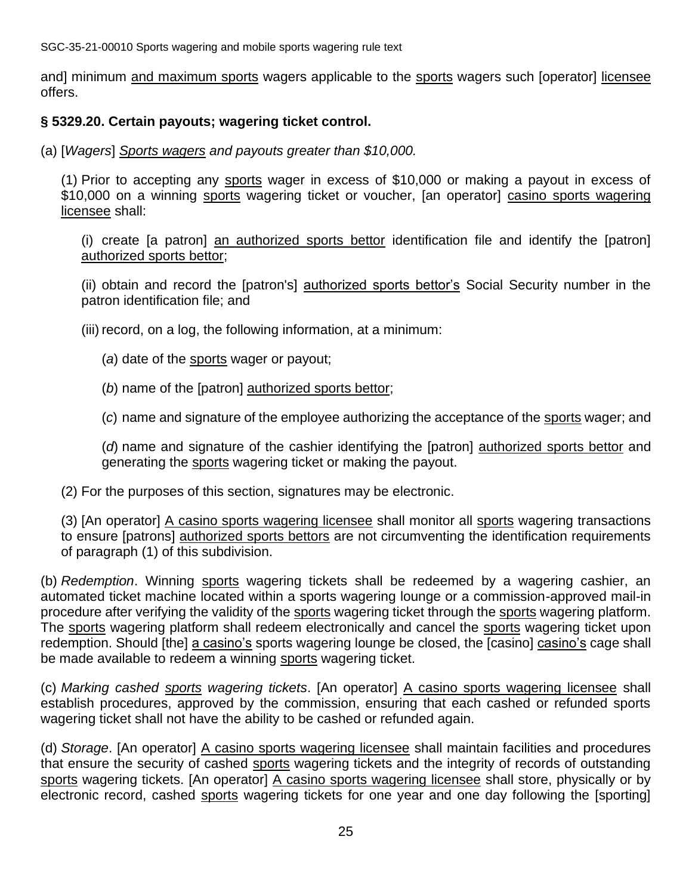and] minimum and maximum sports wagers applicable to the sports wagers such [operator] licensee offers.

#### **§ 5329.20. Certain payouts; wagering ticket control.**

(a) [*Wagers*] *Sports wagers and payouts greater than \$10,000.*

(1) Prior to accepting any sports wager in excess of \$10,000 or making a payout in excess of \$10,000 on a winning sports wagering ticket or voucher, [an operator] casino sports wagering licensee shall:

(i) create [a patron] an authorized sports bettor identification file and identify the [patron] authorized sports bettor;

(ii) obtain and record the [patron's] authorized sports bettor's Social Security number in the patron identification file; and

(iii) record, on a log, the following information, at a minimum:

- (*a*) date of the sports wager or payout;
- (*b*) name of the [patron] authorized sports bettor;

(*c*) name and signature of the employee authorizing the acceptance of the sports wager; and

(*d*) name and signature of the cashier identifying the [patron] authorized sports bettor and generating the sports wagering ticket or making the payout.

(2) For the purposes of this section, signatures may be electronic.

(3) [An operator] A casino sports wagering licensee shall monitor all sports wagering transactions to ensure [patrons] authorized sports bettors are not circumventing the identification requirements of paragraph (1) of this subdivision.

(b) *Redemption*. Winning sports wagering tickets shall be redeemed by a wagering cashier, an automated ticket machine located within a sports wagering lounge or a commission-approved mail-in procedure after verifying the validity of the sports wagering ticket through the sports wagering platform. The sports wagering platform shall redeem electronically and cancel the sports wagering ticket upon redemption. Should [the] a casino's sports wagering lounge be closed, the [casino] casino's cage shall be made available to redeem a winning sports wagering ticket.

(c) *Marking cashed sports wagering tickets*. [An operator] A casino sports wagering licensee shall establish procedures, approved by the commission, ensuring that each cashed or refunded sports wagering ticket shall not have the ability to be cashed or refunded again.

(d) *Storage*. [An operator] A casino sports wagering licensee shall maintain facilities and procedures that ensure the security of cashed sports wagering tickets and the integrity of records of outstanding sports wagering tickets. [An operator] A casino sports wagering licensee shall store, physically or by electronic record, cashed sports wagering tickets for one year and one day following the [sporting]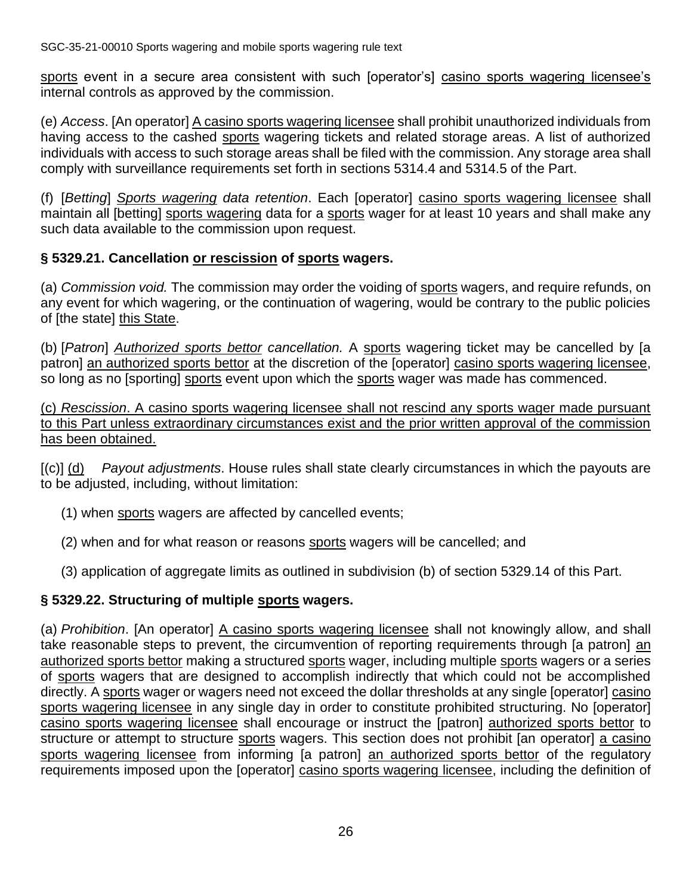sports event in a secure area consistent with such [operator's] casino sports wagering licensee's internal controls as approved by the commission.

(e) *Access*. [An operator] A casino sports wagering licensee shall prohibit unauthorized individuals from having access to the cashed sports wagering tickets and related storage areas. A list of authorized individuals with access to such storage areas shall be filed with the commission. Any storage area shall comply with surveillance requirements set forth in sections 5314.4 and 5314.5 of the Part.

(f) [*Betting*] *Sports wagering data retention*. Each [operator] casino sports wagering licensee shall maintain all [betting] sports wagering data for a sports wager for at least 10 years and shall make any such data available to the commission upon request.

# **§ 5329.21. Cancellation or rescission of sports wagers.**

(a) *Commission void.* The commission may order the voiding of sports wagers, and require refunds, on any event for which wagering, or the continuation of wagering, would be contrary to the public policies of [the state] this State.

(b) [*Patron*] *Authorized sports bettor cancellation.* A sports wagering ticket may be cancelled by [a patron] an authorized sports bettor at the discretion of the [operator] casino sports wagering licensee, so long as no [sporting] sports event upon which the sports wager was made has commenced.

(c) *Rescission*. A casino sports wagering licensee shall not rescind any sports wager made pursuant to this Part unless extraordinary circumstances exist and the prior written approval of the commission has been obtained.

[(c)] (d) *Payout adjustments*. House rules shall state clearly circumstances in which the payouts are to be adjusted, including, without limitation:

- (1) when sports wagers are affected by cancelled events;
- (2) when and for what reason or reasons sports wagers will be cancelled; and
- (3) application of aggregate limits as outlined in subdivision (b) of section 5329.14 of this Part.

# **§ 5329.22. Structuring of multiple sports wagers.**

(a) *Prohibition*. [An operator] A casino sports wagering licensee shall not knowingly allow, and shall take reasonable steps to prevent, the circumvention of reporting requirements through [a patron] an authorized sports bettor making a structured sports wager, including multiple sports wagers or a series of sports wagers that are designed to accomplish indirectly that which could not be accomplished directly. A sports wager or wagers need not exceed the dollar thresholds at any single [operator] casino sports wagering licensee in any single day in order to constitute prohibited structuring. No [operator] casino sports wagering licensee shall encourage or instruct the [patron] authorized sports bettor to structure or attempt to structure sports wagers. This section does not prohibit [an operator] a casino sports wagering licensee from informing [a patron] an authorized sports bettor of the regulatory requirements imposed upon the [operator] casino sports wagering licensee, including the definition of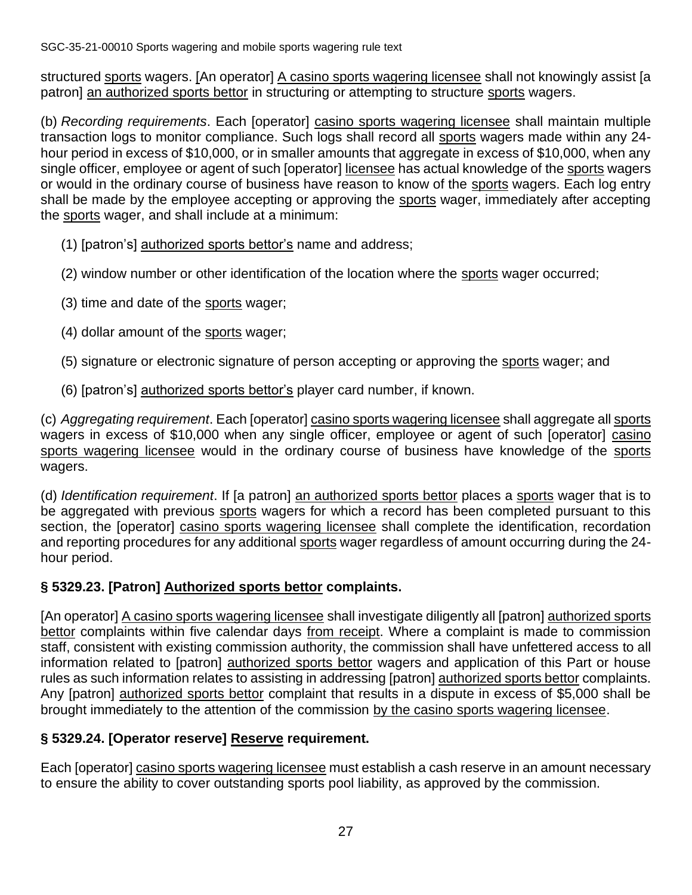structured sports wagers. [An operator] A casino sports wagering licensee shall not knowingly assist [a patron] an authorized sports bettor in structuring or attempting to structure sports wagers.

(b) *Recording requirements*. Each [operator] casino sports wagering licensee shall maintain multiple transaction logs to monitor compliance. Such logs shall record all sports wagers made within any 24 hour period in excess of \$10,000, or in smaller amounts that aggregate in excess of \$10,000, when any single officer, employee or agent of such [operator] licensee has actual knowledge of the sports wagers or would in the ordinary course of business have reason to know of the sports wagers. Each log entry shall be made by the employee accepting or approving the sports wager, immediately after accepting the sports wager, and shall include at a minimum:

- (1) [patron's] authorized sports bettor's name and address;
- (2) window number or other identification of the location where the sports wager occurred;
- (3) time and date of the sports wager;
- (4) dollar amount of the sports wager;
- (5) signature or electronic signature of person accepting or approving the sports wager; and
- (6) [patron's] authorized sports bettor's player card number, if known.

(c) *Aggregating requirement*. Each [operator] casino sports wagering licensee shall aggregate all sports wagers in excess of \$10,000 when any single officer, employee or agent of such [operator] casino sports wagering licensee would in the ordinary course of business have knowledge of the sports wagers.

(d) *Identification requirement*. If [a patron] an authorized sports bettor places a sports wager that is to be aggregated with previous sports wagers for which a record has been completed pursuant to this section, the [operator] casino sports wagering licensee shall complete the identification, recordation and reporting procedures for any additional sports wager regardless of amount occurring during the 24 hour period.

# **§ 5329.23. [Patron] Authorized sports bettor complaints.**

[An operator] A casino sports wagering licensee shall investigate diligently all [patron] authorized sports bettor complaints within five calendar days from receipt. Where a complaint is made to commission staff, consistent with existing commission authority, the commission shall have unfettered access to all information related to [patron] authorized sports bettor wagers and application of this Part or house rules as such information relates to assisting in addressing [patron] authorized sports bettor complaints. Any [patron] authorized sports bettor complaint that results in a dispute in excess of \$5,000 shall be brought immediately to the attention of the commission by the casino sports wagering licensee.

# **§ 5329.24. [Operator reserve] Reserve requirement.**

Each [operator] casino sports wagering licensee must establish a cash reserve in an amount necessary to ensure the ability to cover outstanding sports pool liability, as approved by the commission.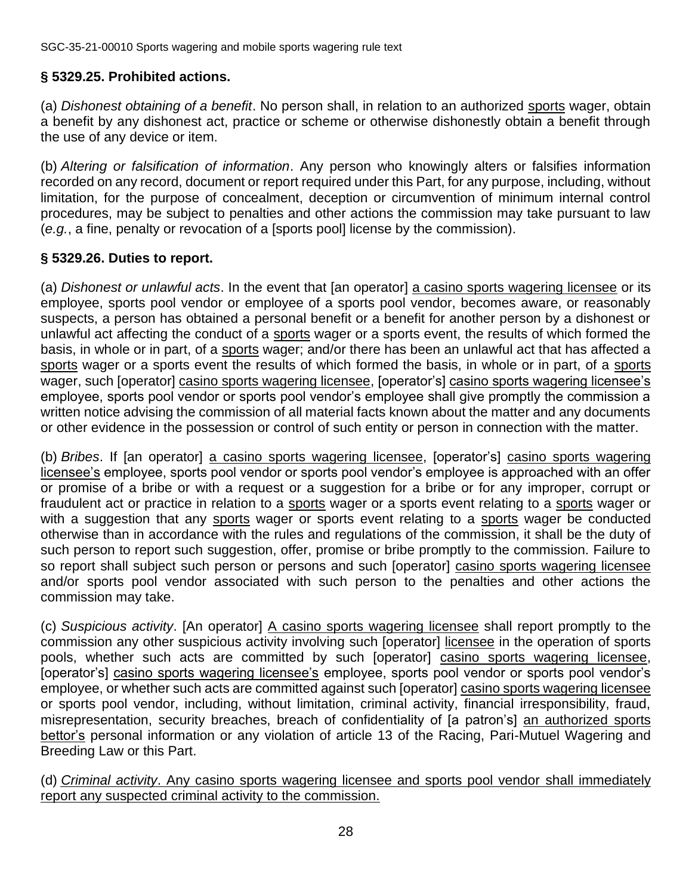# **§ 5329.25. Prohibited actions.**

(a) *Dishonest obtaining of a benefit*. No person shall, in relation to an authorized sports wager, obtain a benefit by any dishonest act, practice or scheme or otherwise dishonestly obtain a benefit through the use of any device or item.

(b) *Altering or falsification of information*. Any person who knowingly alters or falsifies information recorded on any record, document or report required under this Part, for any purpose, including, without limitation, for the purpose of concealment, deception or circumvention of minimum internal control procedures, may be subject to penalties and other actions the commission may take pursuant to law (*e.g.*, a fine, penalty or revocation of a [sports pool] license by the commission).

#### **§ 5329.26. Duties to report.**

(a) *Dishonest or unlawful acts*. In the event that [an operator] a casino sports wagering licensee or its employee, sports pool vendor or employee of a sports pool vendor, becomes aware, or reasonably suspects, a person has obtained a personal benefit or a benefit for another person by a dishonest or unlawful act affecting the conduct of a sports wager or a sports event, the results of which formed the basis, in whole or in part, of a sports wager; and/or there has been an unlawful act that has affected a sports wager or a sports event the results of which formed the basis, in whole or in part, of a sports wager, such [operator] casino sports wagering licensee, [operator's] casino sports wagering licensee's employee, sports pool vendor or sports pool vendor's employee shall give promptly the commission a written notice advising the commission of all material facts known about the matter and any documents or other evidence in the possession or control of such entity or person in connection with the matter.

(b) *Bribes*. If [an operator] a casino sports wagering licensee, [operator's] casino sports wagering licensee's employee, sports pool vendor or sports pool vendor's employee is approached with an offer or promise of a bribe or with a request or a suggestion for a bribe or for any improper, corrupt or fraudulent act or practice in relation to a sports wager or a sports event relating to a sports wager or with a suggestion that any sports wager or sports event relating to a sports wager be conducted otherwise than in accordance with the rules and regulations of the commission, it shall be the duty of such person to report such suggestion, offer, promise or bribe promptly to the commission. Failure to so report shall subject such person or persons and such [operator] casino sports wagering licensee and/or sports pool vendor associated with such person to the penalties and other actions the commission may take.

(c) *Suspicious activity*. [An operator] A casino sports wagering licensee shall report promptly to the commission any other suspicious activity involving such [operator] licensee in the operation of sports pools, whether such acts are committed by such [operator] casino sports wagering licensee, [operator's] casino sports wagering licensee's employee, sports pool vendor or sports pool vendor's employee, or whether such acts are committed against such [operator] casino sports wagering licensee or sports pool vendor, including, without limitation, criminal activity, financial irresponsibility, fraud, misrepresentation, security breaches, breach of confidentiality of [a patron's] an authorized sports bettor's personal information or any violation of article 13 of the Racing, Pari-Mutuel Wagering and Breeding Law or this Part.

(d) *Criminal activity*. Any casino sports wagering licensee and sports pool vendor shall immediately report any suspected criminal activity to the commission.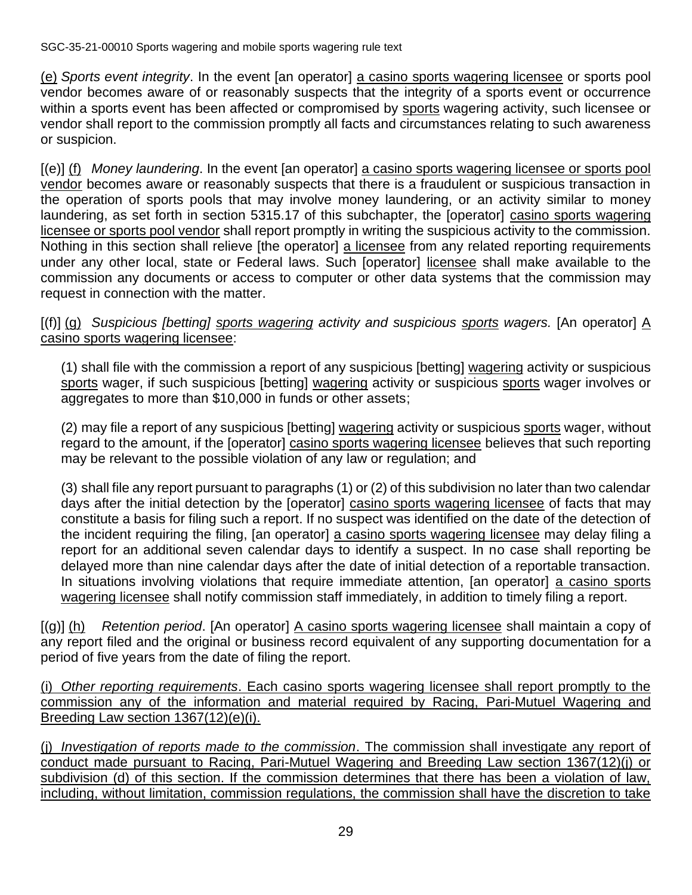(e) *Sports event integrity*. In the event [an operator] a casino sports wagering licensee or sports pool vendor becomes aware of or reasonably suspects that the integrity of a sports event or occurrence within a sports event has been affected or compromised by sports wagering activity, such licensee or vendor shall report to the commission promptly all facts and circumstances relating to such awareness or suspicion.

[(e)] (f) *Money laundering*. In the event [an operator] a casino sports wagering licensee or sports pool vendor becomes aware or reasonably suspects that there is a fraudulent or suspicious transaction in the operation of sports pools that may involve money laundering, or an activity similar to money laundering, as set forth in section 5315.17 of this subchapter, the [operator] casino sports wagering licensee or sports pool vendor shall report promptly in writing the suspicious activity to the commission. Nothing in this section shall relieve [the operator] a licensee from any related reporting requirements under any other local, state or Federal laws. Such [operator] licensee shall make available to the commission any documents or access to computer or other data systems that the commission may request in connection with the matter.

[(f)] (g) *Suspicious [betting] sports wagering activity and suspicious sports wagers.* [An operator] A casino sports wagering licensee:

(1) shall file with the commission a report of any suspicious [betting] wagering activity or suspicious sports wager, if such suspicious [betting] wagering activity or suspicious sports wager involves or aggregates to more than \$10,000 in funds or other assets;

(2) may file a report of any suspicious [betting] wagering activity or suspicious sports wager, without regard to the amount, if the [operator] casino sports wagering licensee believes that such reporting may be relevant to the possible violation of any law or regulation; and

(3) shall file any report pursuant to paragraphs (1) or (2) of this subdivision no later than two calendar days after the initial detection by the [operator] casino sports wagering licensee of facts that may constitute a basis for filing such a report. If no suspect was identified on the date of the detection of the incident requiring the filing, [an operator] a casino sports wagering licensee may delay filing a report for an additional seven calendar days to identify a suspect. In no case shall reporting be delayed more than nine calendar days after the date of initial detection of a reportable transaction. In situations involving violations that require immediate attention, [an operator] a casino sports wagering licensee shall notify commission staff immediately, in addition to timely filing a report.

[(g)] (h) *Retention period*. [An operator] A casino sports wagering licensee shall maintain a copy of any report filed and the original or business record equivalent of any supporting documentation for a period of five years from the date of filing the report.

(i) *Other reporting requirements*. Each casino sports wagering licensee shall report promptly to the commission any of the information and material required by Racing, Pari-Mutuel Wagering and Breeding Law section 1367(12)(e)(i).

(j) *Investigation of reports made to the commission*. The commission shall investigate any report of conduct made pursuant to Racing, Pari-Mutuel Wagering and Breeding Law section 1367(12)(j) or subdivision (d) of this section. If the commission determines that there has been a violation of law, including, without limitation, commission regulations, the commission shall have the discretion to take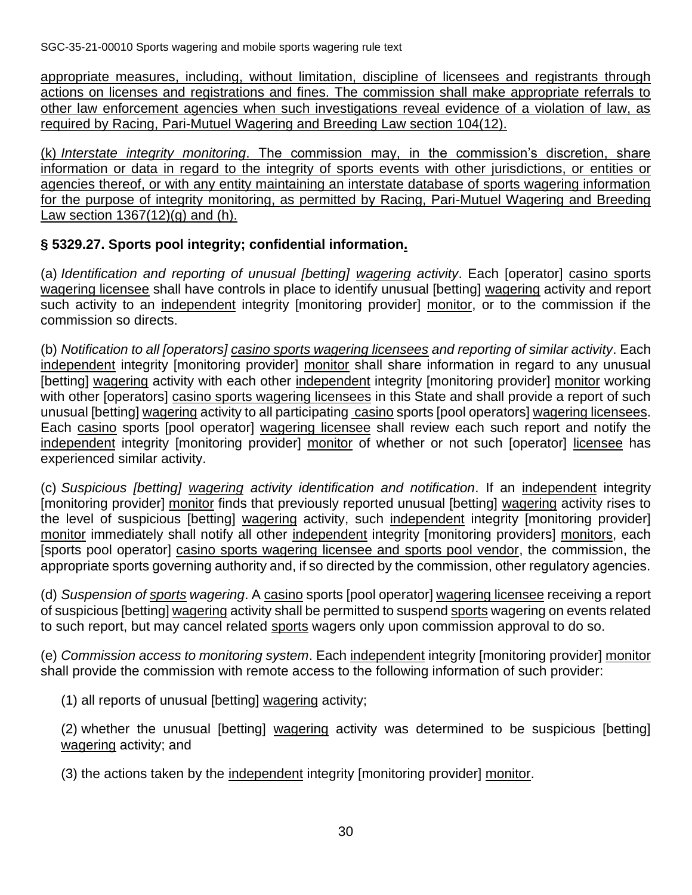appropriate measures, including, without limitation, discipline of licensees and registrants through actions on licenses and registrations and fines. The commission shall make appropriate referrals to other law enforcement agencies when such investigations reveal evidence of a violation of law, as required by Racing, Pari-Mutuel Wagering and Breeding Law section 104(12).

(k) *Interstate integrity monitoring*. The commission may, in the commission's discretion, share information or data in regard to the integrity of sports events with other jurisdictions, or entities or agencies thereof, or with any entity maintaining an interstate database of sports wagering information for the purpose of integrity monitoring, as permitted by Racing, Pari-Mutuel Wagering and Breeding Law section  $1367(12)(g)$  and (h).

#### **§ 5329.27. Sports pool integrity; confidential information.**

(a) *Identification and reporting of unusual [betting] wagering activity*. Each [operator] casino sports wagering licensee shall have controls in place to identify unusual [betting] wagering activity and report such activity to an independent integrity [monitoring provider] monitor, or to the commission if the commission so directs.

(b) *Notification to all [operators] casino sports wagering licensees and reporting of similar activity*. Each independent integrity [monitoring provider] monitor shall share information in regard to any unusual [betting] wagering activity with each other independent integrity [monitoring provider] monitor working with other [operators] casino sports wagering licensees in this State and shall provide a report of such unusual [betting] wagering activity to all participating casino sports [pool operators] wagering licensees. Each casino sports [pool operator] wagering licensee shall review each such report and notify the independent integrity [monitoring provider] monitor of whether or not such [operator] licensee has experienced similar activity.

(c) *Suspicious [betting] wagering activity identification and notification*. If an independent integrity [monitoring provider] monitor finds that previously reported unusual [betting] wagering activity rises to the level of suspicious [betting] wagering activity, such independent integrity [monitoring provider] monitor immediately shall notify all other independent integrity [monitoring providers] monitors, each [sports pool operator] casino sports wagering licensee and sports pool vendor, the commission, the appropriate sports governing authority and, if so directed by the commission, other regulatory agencies.

(d) *Suspension of sports wagering*. A casino sports [pool operator] wagering licensee receiving a report of suspicious [betting] wagering activity shall be permitted to suspend sports wagering on events related to such report, but may cancel related sports wagers only upon commission approval to do so.

(e) *Commission access to monitoring system*. Each independent integrity [monitoring provider] monitor shall provide the commission with remote access to the following information of such provider:

(1) all reports of unusual [betting] wagering activity;

(2) whether the unusual [betting] wagering activity was determined to be suspicious [betting] wagering activity; and

(3) the actions taken by the independent integrity [monitoring provider] monitor.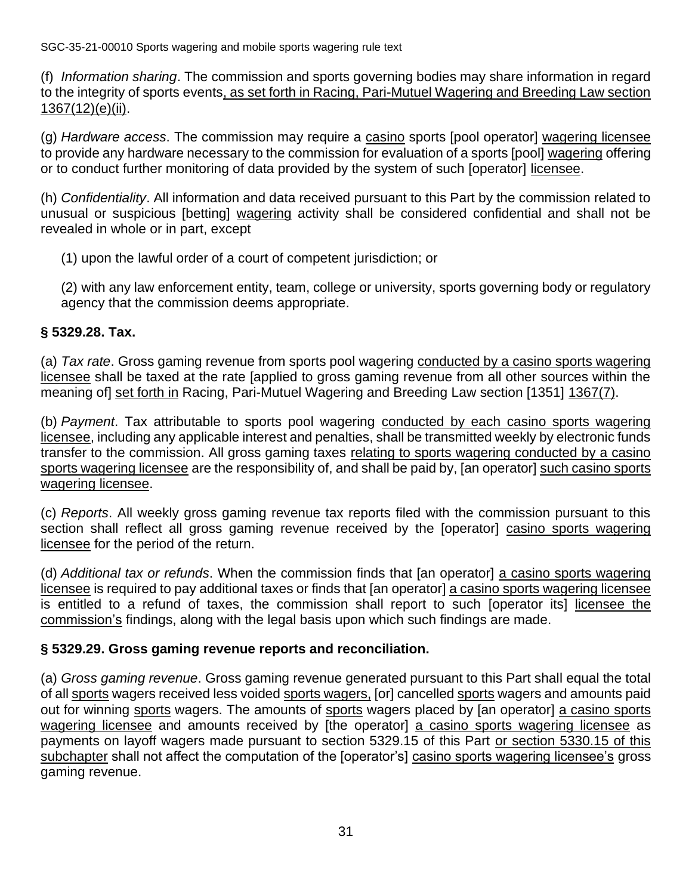(f) *Information sharing*. The commission and sports governing bodies may share information in regard to the integrity of sports events, as set forth in Racing, Pari-Mutuel Wagering and Breeding Law section 1367(12)(e)(ii).

(g) *Hardware access*. The commission may require a casino sports [pool operator] wagering licensee to provide any hardware necessary to the commission for evaluation of a sports [pool] wagering offering or to conduct further monitoring of data provided by the system of such [operator] licensee.

(h) *Confidentiality*. All information and data received pursuant to this Part by the commission related to unusual or suspicious [betting] wagering activity shall be considered confidential and shall not be revealed in whole or in part, except

(1) upon the lawful order of a court of competent jurisdiction; or

(2) with any law enforcement entity, team, college or university, sports governing body or regulatory agency that the commission deems appropriate.

#### **§ 5329.28. Tax.**

(a) *Tax rate*. Gross gaming revenue from sports pool wagering conducted by a casino sports wagering licensee shall be taxed at the rate [applied to gross gaming revenue from all other sources within the meaning of] set forth in Racing, Pari-Mutuel Wagering and Breeding Law section [1351] 1367(7).

(b) *Payment*. Tax attributable to sports pool wagering conducted by each casino sports wagering licensee, including any applicable interest and penalties, shall be transmitted weekly by electronic funds transfer to the commission. All gross gaming taxes relating to sports wagering conducted by a casino sports wagering licensee are the responsibility of, and shall be paid by, [an operator] such casino sports wagering licensee.

(c) *Reports*. All weekly gross gaming revenue tax reports filed with the commission pursuant to this section shall reflect all gross gaming revenue received by the [operator] casino sports wagering licensee for the period of the return.

(d) *Additional tax or refunds*. When the commission finds that [an operator] a casino sports wagering licensee is required to pay additional taxes or finds that [an operator] a casino sports wagering licensee is entitled to a refund of taxes, the commission shall report to such [operator its] licensee the commission's findings, along with the legal basis upon which such findings are made.

# **§ 5329.29. Gross gaming revenue reports and reconciliation.**

(a) *Gross gaming revenue*. Gross gaming revenue generated pursuant to this Part shall equal the total of all sports wagers received less voided sports wagers, [or] cancelled sports wagers and amounts paid out for winning sports wagers. The amounts of sports wagers placed by [an operator] a casino sports wagering licensee and amounts received by [the operator] a casino sports wagering licensee as payments on layoff wagers made pursuant to section 5329.15 of this Part or section 5330.15 of this subchapter shall not affect the computation of the [operator's] casino sports wagering licensee's gross gaming revenue.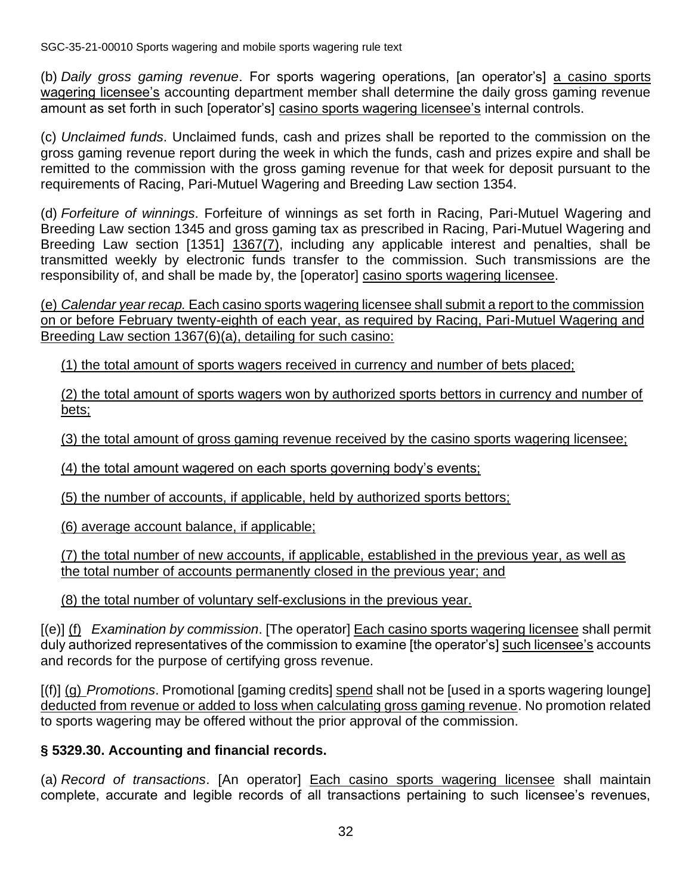(b) *Daily gross gaming revenue*. For sports wagering operations, [an operator's] a casino sports wagering licensee's accounting department member shall determine the daily gross gaming revenue amount as set forth in such [operator's] casino sports wagering licensee's internal controls.

(c) *Unclaimed funds*. Unclaimed funds, cash and prizes shall be reported to the commission on the gross gaming revenue report during the week in which the funds, cash and prizes expire and shall be remitted to the commission with the gross gaming revenue for that week for deposit pursuant to the requirements of Racing, Pari-Mutuel Wagering and Breeding Law section 1354.

(d) *Forfeiture of winnings*. Forfeiture of winnings as set forth in Racing, Pari-Mutuel Wagering and Breeding Law section 1345 and gross gaming tax as prescribed in Racing, Pari-Mutuel Wagering and Breeding Law section [1351] 1367(7), including any applicable interest and penalties, shall be transmitted weekly by electronic funds transfer to the commission. Such transmissions are the responsibility of, and shall be made by, the [operator] casino sports wagering licensee.

(e) *Calendar year recap.* Each casino sports wagering licensee shall submit a report to the commission on or before February twenty-eighth of each year, as required by Racing, Pari-Mutuel Wagering and Breeding Law section 1367(6)(a), detailing for such casino:

(1) the total amount of sports wagers received in currency and number of bets placed;

(2) the total amount of sports wagers won by authorized sports bettors in currency and number of bets;

(3) the total amount of gross gaming revenue received by the casino sports wagering licensee;

(4) the total amount wagered on each sports governing body's events;

(5) the number of accounts, if applicable, held by authorized sports bettors;

(6) average account balance, if applicable;

(7) the total number of new accounts, if applicable, established in the previous year, as well as the total number of accounts permanently closed in the previous year; and

(8) the total number of voluntary self-exclusions in the previous year.

[(e)] (f) *Examination by commission*. [The operator] Each casino sports wagering licensee shall permit duly authorized representatives of the commission to examine [the operator's] such licensee's accounts and records for the purpose of certifying gross revenue.

[(f)] (g) *Promotions*. Promotional [gaming credits] spend shall not be [used in a sports wagering lounge] deducted from revenue or added to loss when calculating gross gaming revenue. No promotion related to sports wagering may be offered without the prior approval of the commission.

# **§ 5329.30. Accounting and financial records.**

(a) *Record of transactions*. [An operator] Each casino sports wagering licensee shall maintain complete, accurate and legible records of all transactions pertaining to such licensee's revenues,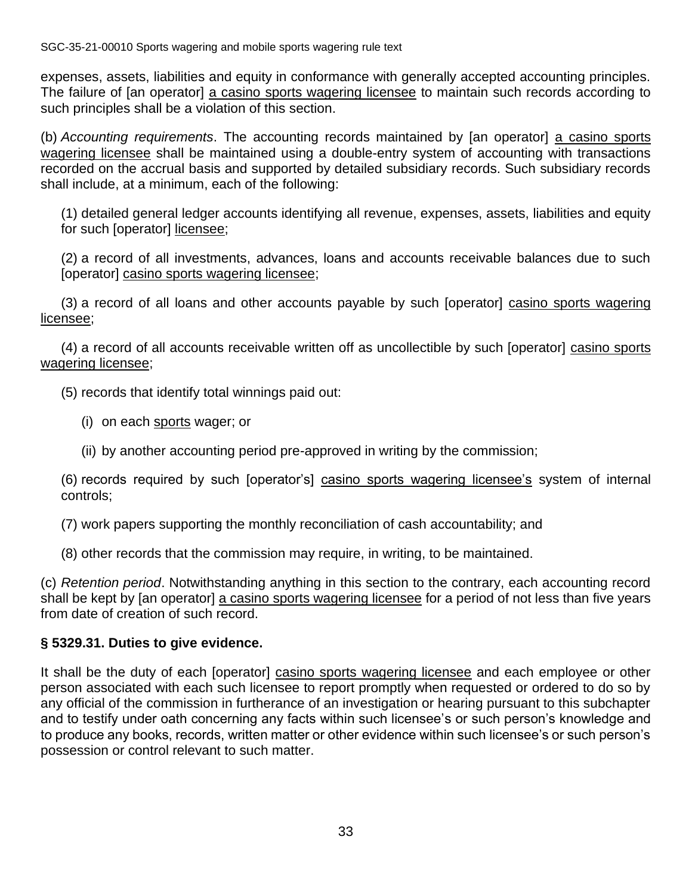expenses, assets, liabilities and equity in conformance with generally accepted accounting principles. The failure of [an operator] a casino sports wagering licensee to maintain such records according to such principles shall be a violation of this section.

(b) *Accounting requirements*. The accounting records maintained by [an operator] a casino sports wagering licensee shall be maintained using a double-entry system of accounting with transactions recorded on the accrual basis and supported by detailed subsidiary records. Such subsidiary records shall include, at a minimum, each of the following:

(1) detailed general ledger accounts identifying all revenue, expenses, assets, liabilities and equity for such [operator] licensee;

(2) a record of all investments, advances, loans and accounts receivable balances due to such [operator] casino sports wagering licensee;

(3) a record of all loans and other accounts payable by such [operator] casino sports wagering licensee;

(4) a record of all accounts receivable written off as uncollectible by such [operator] casino sports wagering licensee;

(5) records that identify total winnings paid out:

- (i) on each sports wager; or
- (ii) by another accounting period pre-approved in writing by the commission;

(6) records required by such [operator's] casino sports wagering licensee's system of internal controls;

(7) work papers supporting the monthly reconciliation of cash accountability; and

(8) other records that the commission may require, in writing, to be maintained.

(c) *Retention period*. Notwithstanding anything in this section to the contrary, each accounting record shall be kept by [an operator] a casino sports wagering licensee for a period of not less than five years from date of creation of such record.

# **§ 5329.31. Duties to give evidence.**

It shall be the duty of each [operator] casino sports wagering licensee and each employee or other person associated with each such licensee to report promptly when requested or ordered to do so by any official of the commission in furtherance of an investigation or hearing pursuant to this subchapter and to testify under oath concerning any facts within such licensee's or such person's knowledge and to produce any books, records, written matter or other evidence within such licensee's or such person's possession or control relevant to such matter.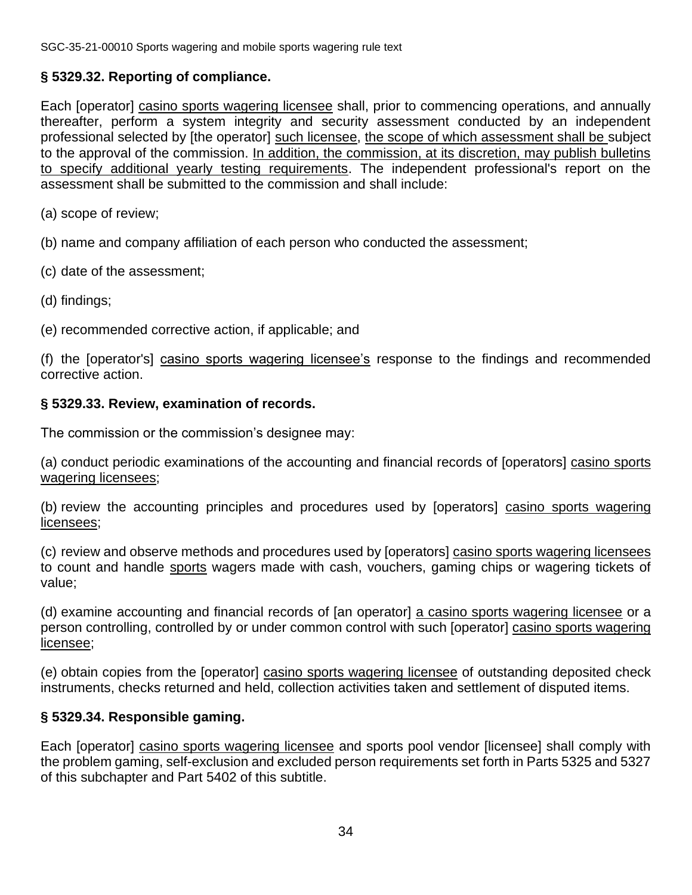# **§ 5329.32. Reporting of compliance.**

Each [operator] casino sports wagering licensee shall, prior to commencing operations, and annually thereafter, perform a system integrity and security assessment conducted by an independent professional selected by [the operator] such licensee, the scope of which assessment shall be subject to the approval of the commission. In addition, the commission, at its discretion, may publish bulletins to specify additional yearly testing requirements. The independent professional's report on the assessment shall be submitted to the commission and shall include:

(a) scope of review;

(b) name and company affiliation of each person who conducted the assessment;

- (c) date of the assessment;
- (d) findings;
- (e) recommended corrective action, if applicable; and

(f) the [operator's] casino sports wagering licensee's response to the findings and recommended corrective action.

#### **§ 5329.33. Review, examination of records.**

The commission or the commission's designee may:

(a) conduct periodic examinations of the accounting and financial records of [operators] casino sports wagering licensees;

(b) review the accounting principles and procedures used by [operators] casino sports wagering licensees;

(c) review and observe methods and procedures used by [operators] casino sports wagering licensees to count and handle sports wagers made with cash, vouchers, gaming chips or wagering tickets of value;

(d) examine accounting and financial records of [an operator] a casino sports wagering licensee or a person controlling, controlled by or under common control with such [operator] casino sports wagering licensee;

(e) obtain copies from the [operator] casino sports wagering licensee of outstanding deposited check instruments, checks returned and held, collection activities taken and settlement of disputed items.

# **§ 5329.34. Responsible gaming.**

Each [operator] casino sports wagering licensee and sports pool vendor [licensee] shall comply with the problem gaming, self-exclusion and excluded person requirements set forth in Parts 5325 and 5327 of this subchapter and Part 5402 of this subtitle.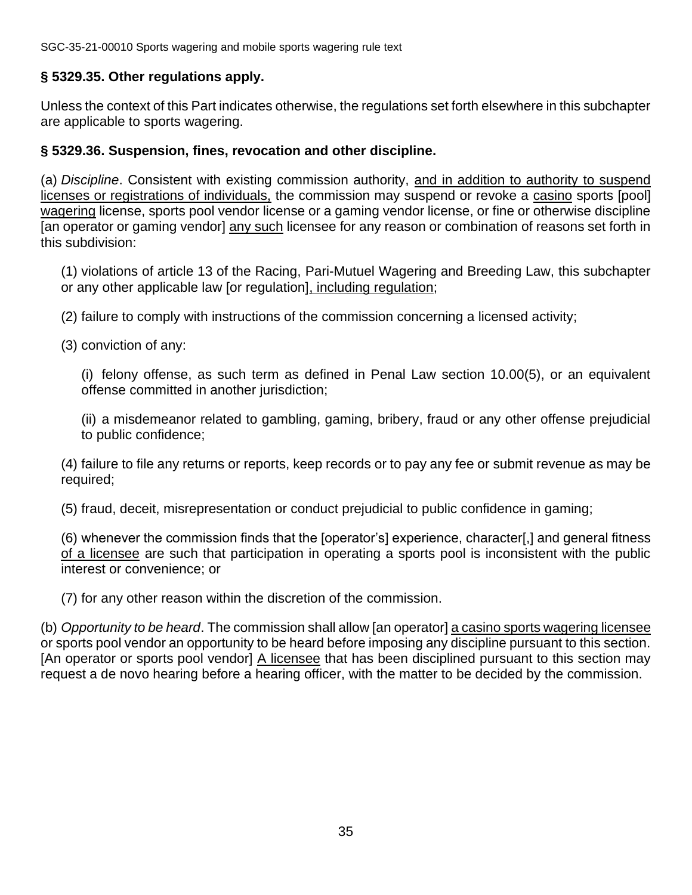#### **§ 5329.35. Other regulations apply.**

Unless the context of this Part indicates otherwise, the regulations set forth elsewhere in this subchapter are applicable to sports wagering.

#### **§ 5329.36. Suspension, fines, revocation and other discipline.**

(a) *Discipline*. Consistent with existing commission authority, and in addition to authority to suspend licenses or registrations of individuals, the commission may suspend or revoke a casino sports [pool] wagering license, sports pool vendor license or a gaming vendor license, or fine or otherwise discipline [an operator or gaming vendor] any such licensee for any reason or combination of reasons set forth in this subdivision:

(1) violations of article 13 of the Racing, Pari-Mutuel Wagering and Breeding Law, this subchapter or any other applicable law [or regulation], including regulation;

(2) failure to comply with instructions of the commission concerning a licensed activity;

(3) conviction of any:

(i) felony offense, as such term as defined in Penal Law section 10.00(5), or an equivalent offense committed in another jurisdiction;

(ii) a misdemeanor related to gambling, gaming, bribery, fraud or any other offense prejudicial to public confidence;

(4) failure to file any returns or reports, keep records or to pay any fee or submit revenue as may be required;

(5) fraud, deceit, misrepresentation or conduct prejudicial to public confidence in gaming;

(6) whenever the commission finds that the [operator's] experience, character[,] and general fitness of a licensee are such that participation in operating a sports pool is inconsistent with the public interest or convenience; or

(7) for any other reason within the discretion of the commission.

(b) *Opportunity to be heard*. The commission shall allow [an operator] a casino sports wagering licensee or sports pool vendor an opportunity to be heard before imposing any discipline pursuant to this section. [An operator or sports pool vendor] A licensee that has been disciplined pursuant to this section may request a de novo hearing before a hearing officer, with the matter to be decided by the commission.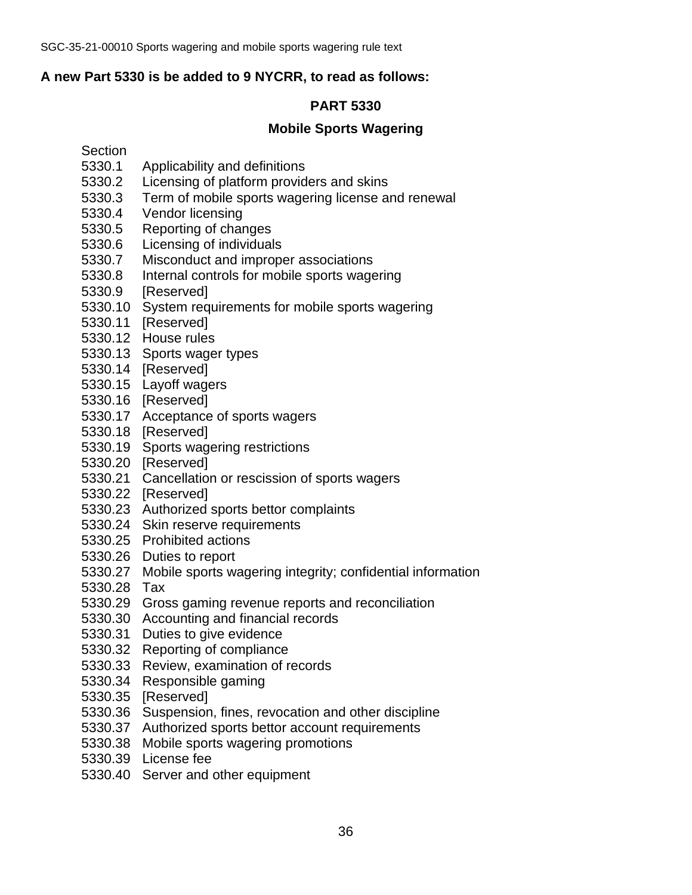#### **A new Part 5330 is be added to 9 NYCRR, to read as follows:**

# **PART 5330**

#### **Mobile Sports Wagering**

#### Section

- 5330.1 Applicability and definitions
- 5330.2 Licensing of platform providers and skins
- 5330.3 Term of mobile sports wagering license and renewal
- 5330.4 Vendor licensing
- 5330.5 Reporting of changes
- 5330.6 Licensing of individuals
- 5330.7 Misconduct and improper associations
- 5330.8 Internal controls for mobile sports wagering
- 5330.9 [Reserved]
- 5330.10 System requirements for mobile sports wagering
- 5330.11 [Reserved]
- 5330.12 House rules
- 5330.13 Sports wager types
- 5330.14 [Reserved]
- 5330.15 Layoff wagers
- 5330.16 [Reserved]
- 5330.17 Acceptance of sports wagers
- 5330.18 [Reserved]
- 5330.19 Sports wagering restrictions
- 5330.20 [Reserved]
- 5330.21 Cancellation or rescission of sports wagers
- 5330.22 [Reserved]
- 5330.23 Authorized sports bettor complaints
- 5330.24 Skin reserve requirements
- 5330.25 Prohibited actions
- 5330.26 Duties to report
- 5330.27 Mobile sports wagering integrity; confidential information
- 5330.28 Tax
- 5330.29 Gross gaming revenue reports and reconciliation
- 5330.30 Accounting and financial records
- 5330.31 Duties to give evidence
- 5330.32 Reporting of compliance
- 5330.33 Review, examination of records
- 5330.34 Responsible gaming
- 5330.35 [Reserved]
- 5330.36 Suspension, fines, revocation and other discipline
- 5330.37 Authorized sports bettor account requirements
- 5330.38 Mobile sports wagering promotions
- 5330.39 License fee
- 5330.40 Server and other equipment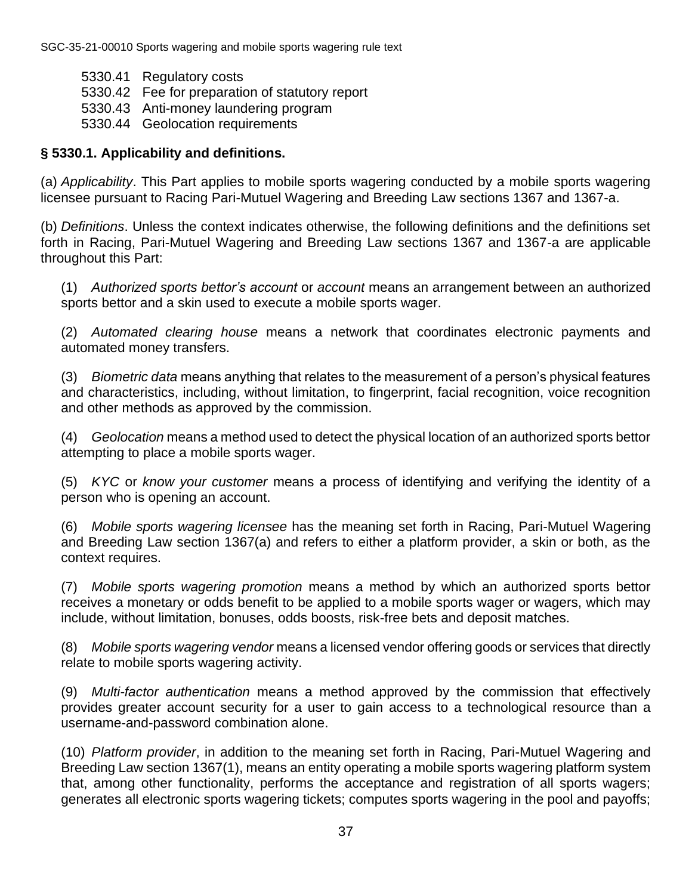- 5330.41 Regulatory costs
- 5330.42 Fee for preparation of statutory report
- 5330.43 Anti-money laundering program
- 5330.44 Geolocation requirements

# **§ 5330.1. Applicability and definitions.**

(a) *Applicability*. This Part applies to mobile sports wagering conducted by a mobile sports wagering licensee pursuant to Racing Pari-Mutuel Wagering and Breeding Law sections 1367 and 1367-a.

(b) *Definitions*. Unless the context indicates otherwise, the following definitions and the definitions set forth in Racing, Pari-Mutuel Wagering and Breeding Law sections 1367 and 1367-a are applicable throughout this Part:

(1) *Authorized sports bettor's account* or *account* means an arrangement between an authorized sports bettor and a skin used to execute a mobile sports wager.

(2) *Automated clearing house* means a network that coordinates electronic payments and automated money transfers.

(3) *Biometric data* means anything that relates to the measurement of a person's physical features and characteristics, including, without limitation, to fingerprint, facial recognition, voice recognition and other methods as approved by the commission.

(4) *Geolocation* means a method used to detect the physical location of an authorized sports bettor attempting to place a mobile sports wager.

(5) *KYC* or *know your customer* means a process of identifying and verifying the identity of a person who is opening an account.

(6) *Mobile sports wagering licensee* has the meaning set forth in Racing, Pari-Mutuel Wagering and Breeding Law section 1367(a) and refers to either a platform provider, a skin or both, as the context requires.

(7) *Mobile sports wagering promotion* means a method by which an authorized sports bettor receives a monetary or odds benefit to be applied to a mobile sports wager or wagers, which may include, without limitation, bonuses, odds boosts, risk-free bets and deposit matches.

(8) *Mobile sports wagering vendor* means a licensed vendor offering goods or services that directly relate to mobile sports wagering activity.

(9) *Multi-factor authentication* means a method approved by the commission that effectively provides greater account security for a user to gain access to a technological resource than a username-and-password combination alone.

(10) *Platform provider*, in addition to the meaning set forth in Racing, Pari-Mutuel Wagering and Breeding Law section 1367(1), means an entity operating a mobile sports wagering platform system that, among other functionality, performs the acceptance and registration of all sports wagers; generates all electronic sports wagering tickets; computes sports wagering in the pool and payoffs;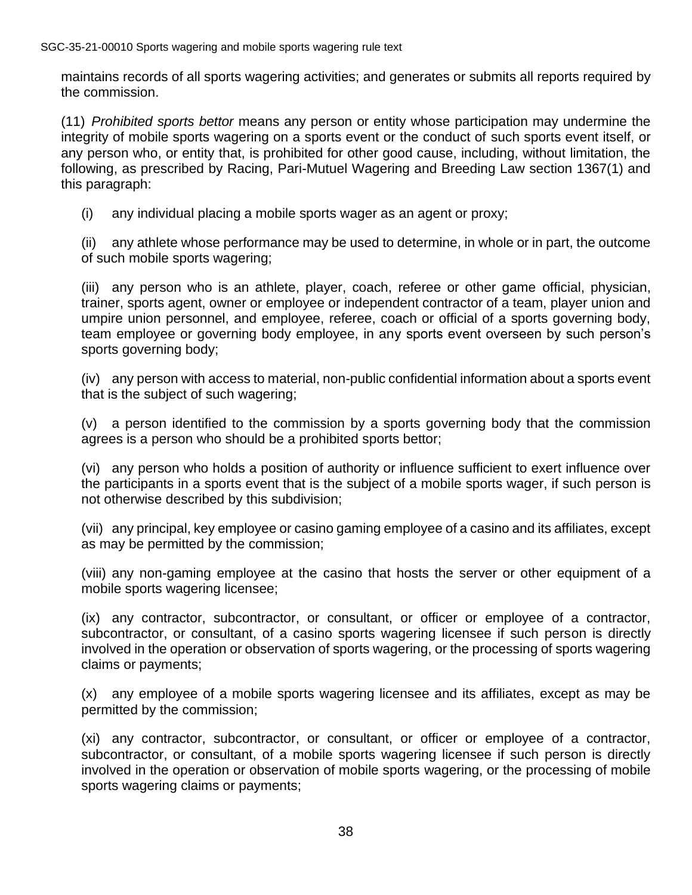maintains records of all sports wagering activities; and generates or submits all reports required by the commission.

(11) *Prohibited sports bettor* means any person or entity whose participation may undermine the integrity of mobile sports wagering on a sports event or the conduct of such sports event itself, or any person who, or entity that, is prohibited for other good cause, including, without limitation, the following, as prescribed by Racing, Pari-Mutuel Wagering and Breeding Law section 1367(1) and this paragraph:

(i) any individual placing a mobile sports wager as an agent or proxy;

(ii) any athlete whose performance may be used to determine, in whole or in part, the outcome of such mobile sports wagering;

(iii) any person who is an athlete, player, coach, referee or other game official, physician, trainer, sports agent, owner or employee or independent contractor of a team, player union and umpire union personnel, and employee, referee, coach or official of a sports governing body, team employee or governing body employee, in any sports event overseen by such person's sports governing body;

(iv) any person with access to material, non-public confidential information about a sports event that is the subject of such wagering;

(v) a person identified to the commission by a sports governing body that the commission agrees is a person who should be a prohibited sports bettor;

(vi) any person who holds a position of authority or influence sufficient to exert influence over the participants in a sports event that is the subject of a mobile sports wager, if such person is not otherwise described by this subdivision;

(vii) any principal, key employee or casino gaming employee of a casino and its affiliates, except as may be permitted by the commission;

(viii) any non-gaming employee at the casino that hosts the server or other equipment of a mobile sports wagering licensee;

(ix) any contractor, subcontractor, or consultant, or officer or employee of a contractor, subcontractor, or consultant, of a casino sports wagering licensee if such person is directly involved in the operation or observation of sports wagering, or the processing of sports wagering claims or payments;

(x) any employee of a mobile sports wagering licensee and its affiliates, except as may be permitted by the commission;

(xi) any contractor, subcontractor, or consultant, or officer or employee of a contractor, subcontractor, or consultant, of a mobile sports wagering licensee if such person is directly involved in the operation or observation of mobile sports wagering, or the processing of mobile sports wagering claims or payments;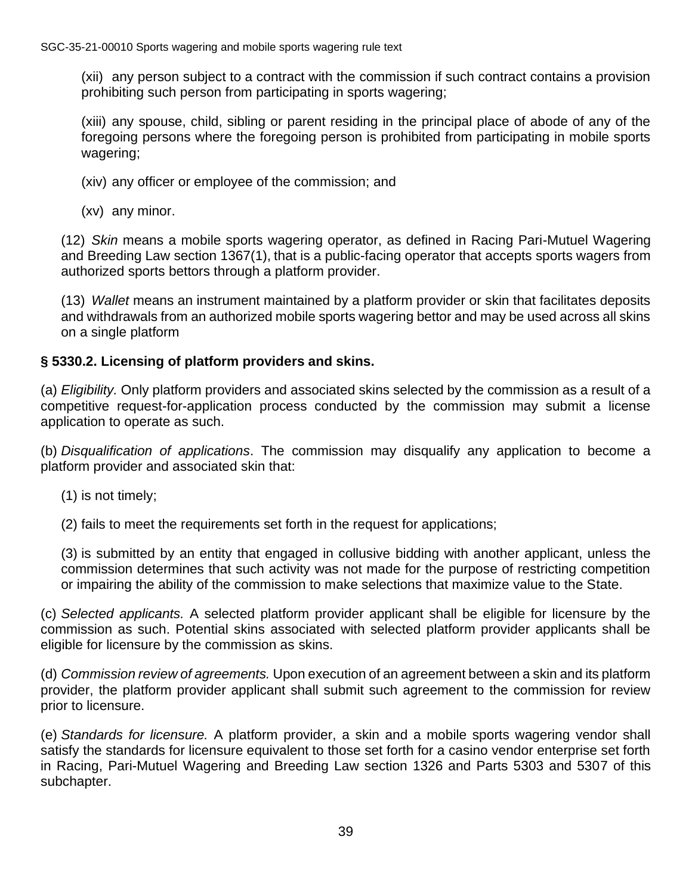(xii) any person subject to a contract with the commission if such contract contains a provision prohibiting such person from participating in sports wagering;

(xiii) any spouse, child, sibling or parent residing in the principal place of abode of any of the foregoing persons where the foregoing person is prohibited from participating in mobile sports wagering;

- (xiv) any officer or employee of the commission; and
- (xv) any minor.

(12) *Skin* means a mobile sports wagering operator, as defined in Racing Pari-Mutuel Wagering and Breeding Law section 1367(1), that is a public-facing operator that accepts sports wagers from authorized sports bettors through a platform provider.

(13) *Wallet* means an instrument maintained by a platform provider or skin that facilitates deposits and withdrawals from an authorized mobile sports wagering bettor and may be used across all skins on a single platform

# **§ 5330.2. Licensing of platform providers and skins.**

(a) *Eligibility.* Only platform providers and associated skins selected by the commission as a result of a competitive request-for-application process conducted by the commission may submit a license application to operate as such.

(b) *Disqualification of applications*. The commission may disqualify any application to become a platform provider and associated skin that:

(1) is not timely;

(2) fails to meet the requirements set forth in the request for applications;

(3) is submitted by an entity that engaged in collusive bidding with another applicant, unless the commission determines that such activity was not made for the purpose of restricting competition or impairing the ability of the commission to make selections that maximize value to the State.

(c) *Selected applicants.* A selected platform provider applicant shall be eligible for licensure by the commission as such. Potential skins associated with selected platform provider applicants shall be eligible for licensure by the commission as skins.

(d) *Commission review of agreements.* Upon execution of an agreement between a skin and its platform provider, the platform provider applicant shall submit such agreement to the commission for review prior to licensure.

(e) *Standards for licensure.* A platform provider, a skin and a mobile sports wagering vendor shall satisfy the standards for licensure equivalent to those set forth for a casino vendor enterprise set forth in Racing, Pari-Mutuel Wagering and Breeding Law section 1326 and Parts 5303 and 5307 of this subchapter.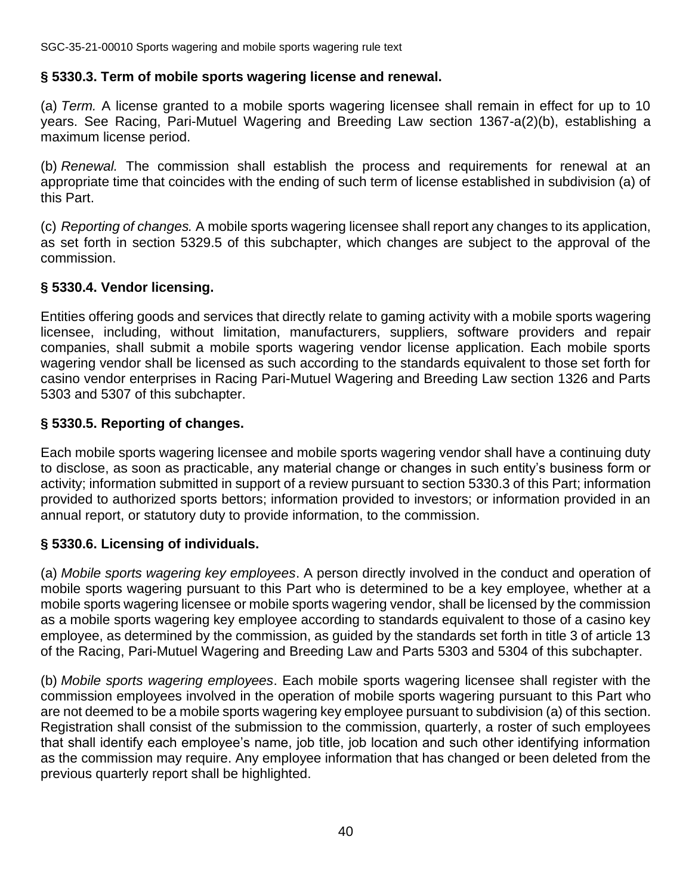#### **§ 5330.3. Term of mobile sports wagering license and renewal.**

(a) *Term.* A license granted to a mobile sports wagering licensee shall remain in effect for up to 10 years. See Racing, Pari-Mutuel Wagering and Breeding Law section 1367-a(2)(b), establishing a maximum license period.

(b) *Renewal.* The commission shall establish the process and requirements for renewal at an appropriate time that coincides with the ending of such term of license established in subdivision (a) of this Part.

(c) *Reporting of changes.* A mobile sports wagering licensee shall report any changes to its application, as set forth in section 5329.5 of this subchapter, which changes are subject to the approval of the commission.

# **§ 5330.4. Vendor licensing.**

Entities offering goods and services that directly relate to gaming activity with a mobile sports wagering licensee, including, without limitation, manufacturers, suppliers, software providers and repair companies, shall submit a mobile sports wagering vendor license application. Each mobile sports wagering vendor shall be licensed as such according to the standards equivalent to those set forth for casino vendor enterprises in Racing Pari-Mutuel Wagering and Breeding Law section 1326 and Parts 5303 and 5307 of this subchapter.

# **§ 5330.5. Reporting of changes.**

Each mobile sports wagering licensee and mobile sports wagering vendor shall have a continuing duty to disclose, as soon as practicable, any material change or changes in such entity's business form or activity; information submitted in support of a review pursuant to section 5330.3 of this Part; information provided to authorized sports bettors; information provided to investors; or information provided in an annual report, or statutory duty to provide information, to the commission.

# **§ 5330.6. Licensing of individuals.**

(a) *Mobile sports wagering key employees*. A person directly involved in the conduct and operation of mobile sports wagering pursuant to this Part who is determined to be a key employee, whether at a mobile sports wagering licensee or mobile sports wagering vendor, shall be licensed by the commission as a mobile sports wagering key employee according to standards equivalent to those of a casino key employee, as determined by the commission, as guided by the standards set forth in title 3 of article 13 of the Racing, Pari-Mutuel Wagering and Breeding Law and Parts 5303 and 5304 of this subchapter.

(b) *Mobile sports wagering employees*. Each mobile sports wagering licensee shall register with the commission employees involved in the operation of mobile sports wagering pursuant to this Part who are not deemed to be a mobile sports wagering key employee pursuant to subdivision (a) of this section. Registration shall consist of the submission to the commission, quarterly, a roster of such employees that shall identify each employee's name, job title, job location and such other identifying information as the commission may require. Any employee information that has changed or been deleted from the previous quarterly report shall be highlighted.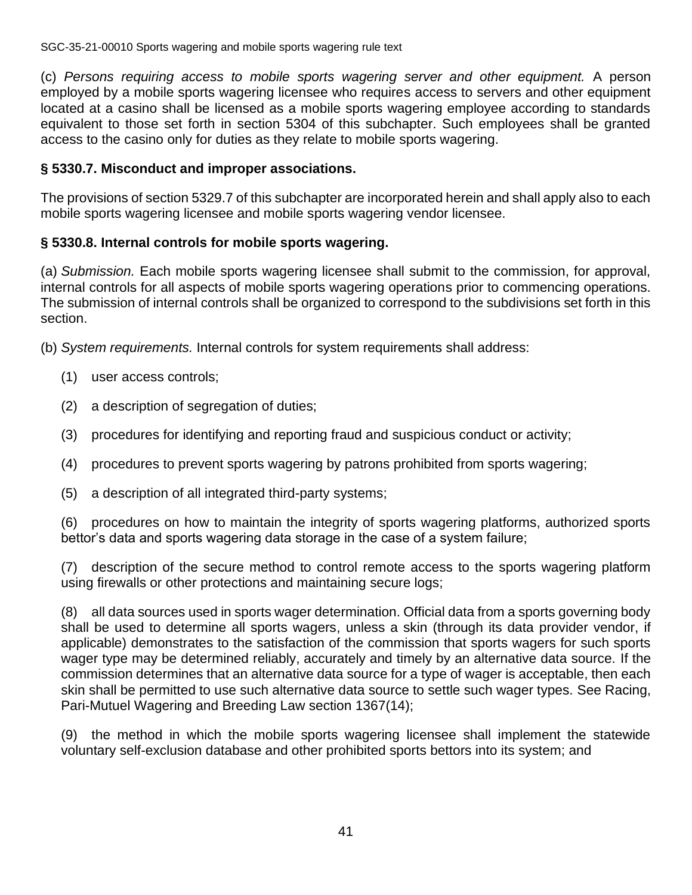(c) *Persons requiring access to mobile sports wagering server and other equipment.* A person employed by a mobile sports wagering licensee who requires access to servers and other equipment located at a casino shall be licensed as a mobile sports wagering employee according to standards equivalent to those set forth in section 5304 of this subchapter. Such employees shall be granted access to the casino only for duties as they relate to mobile sports wagering.

#### **§ 5330.7. Misconduct and improper associations.**

The provisions of section 5329.7 of this subchapter are incorporated herein and shall apply also to each mobile sports wagering licensee and mobile sports wagering vendor licensee.

#### **§ 5330.8. Internal controls for mobile sports wagering.**

(a) *Submission.* Each mobile sports wagering licensee shall submit to the commission, for approval, internal controls for all aspects of mobile sports wagering operations prior to commencing operations. The submission of internal controls shall be organized to correspond to the subdivisions set forth in this section.

(b) *System requirements.* Internal controls for system requirements shall address:

- (1) user access controls;
- (2) a description of segregation of duties;
- (3) procedures for identifying and reporting fraud and suspicious conduct or activity;
- (4) procedures to prevent sports wagering by patrons prohibited from sports wagering;
- (5) a description of all integrated third-party systems;

(6) procedures on how to maintain the integrity of sports wagering platforms, authorized sports bettor's data and sports wagering data storage in the case of a system failure;

(7) description of the secure method to control remote access to the sports wagering platform using firewalls or other protections and maintaining secure logs;

(8) all data sources used in sports wager determination. Official data from a sports governing body shall be used to determine all sports wagers, unless a skin (through its data provider vendor, if applicable) demonstrates to the satisfaction of the commission that sports wagers for such sports wager type may be determined reliably, accurately and timely by an alternative data source. If the commission determines that an alternative data source for a type of wager is acceptable, then each skin shall be permitted to use such alternative data source to settle such wager types. See Racing, Pari-Mutuel Wagering and Breeding Law section 1367(14);

(9) the method in which the mobile sports wagering licensee shall implement the statewide voluntary self-exclusion database and other prohibited sports bettors into its system; and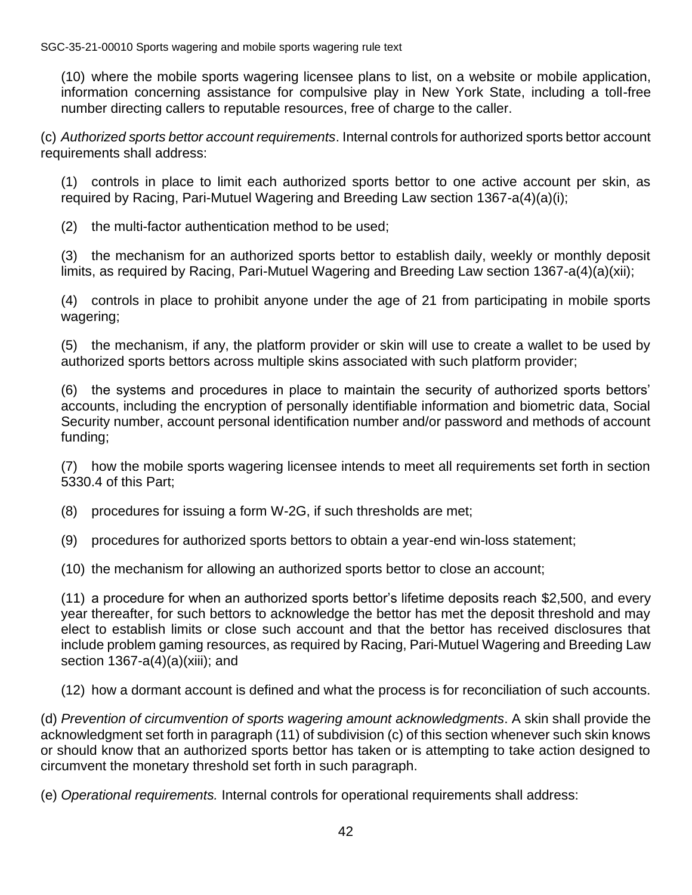(10) where the mobile sports wagering licensee plans to list, on a website or mobile application, information concerning assistance for compulsive play in New York State, including a toll-free number directing callers to reputable resources, free of charge to the caller.

(c) *Authorized sports bettor account requirements*. Internal controls for authorized sports bettor account requirements shall address:

(1) controls in place to limit each authorized sports bettor to one active account per skin, as required by Racing, Pari-Mutuel Wagering and Breeding Law section 1367-a(4)(a)(i);

(2) the multi-factor authentication method to be used;

(3) the mechanism for an authorized sports bettor to establish daily, weekly or monthly deposit limits, as required by Racing, Pari-Mutuel Wagering and Breeding Law section 1367-a(4)(a)(xii);

(4) controls in place to prohibit anyone under the age of 21 from participating in mobile sports wagering;

(5) the mechanism, if any, the platform provider or skin will use to create a wallet to be used by authorized sports bettors across multiple skins associated with such platform provider;

(6) the systems and procedures in place to maintain the security of authorized sports bettors' accounts, including the encryption of personally identifiable information and biometric data, Social Security number, account personal identification number and/or password and methods of account funding;

(7) how the mobile sports wagering licensee intends to meet all requirements set forth in section 5330.4 of this Part;

- (8) procedures for issuing a form W-2G, if such thresholds are met;
- (9) procedures for authorized sports bettors to obtain a year-end win-loss statement;
- (10) the mechanism for allowing an authorized sports bettor to close an account;

(11) a procedure for when an authorized sports bettor's lifetime deposits reach \$2,500, and every year thereafter, for such bettors to acknowledge the bettor has met the deposit threshold and may elect to establish limits or close such account and that the bettor has received disclosures that include problem gaming resources, as required by Racing, Pari-Mutuel Wagering and Breeding Law section 1367-a(4)(a)(xiii); and

(12) how a dormant account is defined and what the process is for reconciliation of such accounts.

(d) *Prevention of circumvention of sports wagering amount acknowledgments*. A skin shall provide the acknowledgment set forth in paragraph (11) of subdivision (c) of this section whenever such skin knows or should know that an authorized sports bettor has taken or is attempting to take action designed to circumvent the monetary threshold set forth in such paragraph.

(e) *Operational requirements.* Internal controls for operational requirements shall address: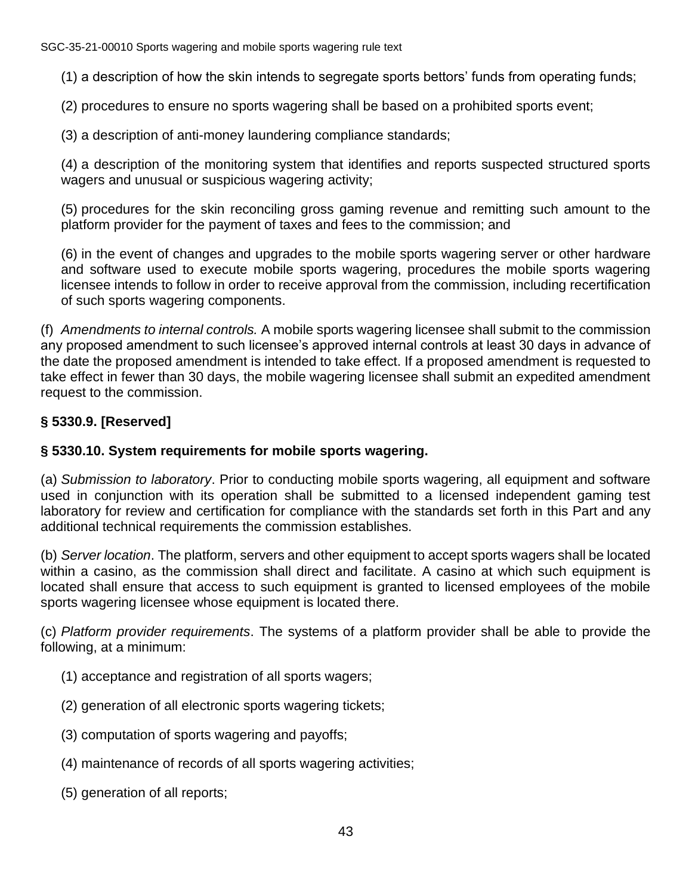(1) a description of how the skin intends to segregate sports bettors' funds from operating funds;

(2) procedures to ensure no sports wagering shall be based on a prohibited sports event;

(3) a description of anti-money laundering compliance standards;

(4) a description of the monitoring system that identifies and reports suspected structured sports wagers and unusual or suspicious wagering activity;

(5) procedures for the skin reconciling gross gaming revenue and remitting such amount to the platform provider for the payment of taxes and fees to the commission; and

(6) in the event of changes and upgrades to the mobile sports wagering server or other hardware and software used to execute mobile sports wagering, procedures the mobile sports wagering licensee intends to follow in order to receive approval from the commission, including recertification of such sports wagering components.

(f) *Amendments to internal controls.* A mobile sports wagering licensee shall submit to the commission any proposed amendment to such licensee's approved internal controls at least 30 days in advance of the date the proposed amendment is intended to take effect. If a proposed amendment is requested to take effect in fewer than 30 days, the mobile wagering licensee shall submit an expedited amendment request to the commission.

# **§ 5330.9. [Reserved]**

# **§ 5330.10. System requirements for mobile sports wagering.**

(a) *Submission to laboratory*. Prior to conducting mobile sports wagering, all equipment and software used in conjunction with its operation shall be submitted to a licensed independent gaming test laboratory for review and certification for compliance with the standards set forth in this Part and any additional technical requirements the commission establishes.

(b) *Server location*. The platform, servers and other equipment to accept sports wagers shall be located within a casino, as the commission shall direct and facilitate. A casino at which such equipment is located shall ensure that access to such equipment is granted to licensed employees of the mobile sports wagering licensee whose equipment is located there.

(c) *Platform provider requirements*. The systems of a platform provider shall be able to provide the following, at a minimum:

- (1) acceptance and registration of all sports wagers;
- (2) generation of all electronic sports wagering tickets;
- (3) computation of sports wagering and payoffs;
- (4) maintenance of records of all sports wagering activities;
- (5) generation of all reports;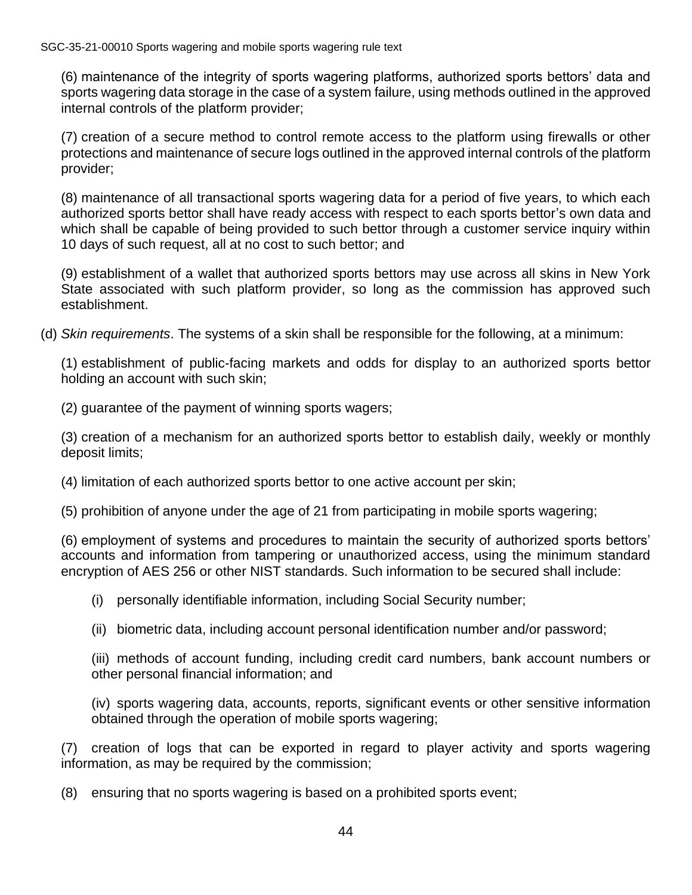(6) maintenance of the integrity of sports wagering platforms, authorized sports bettors' data and sports wagering data storage in the case of a system failure, using methods outlined in the approved internal controls of the platform provider;

(7) creation of a secure method to control remote access to the platform using firewalls or other protections and maintenance of secure logs outlined in the approved internal controls of the platform provider;

(8) maintenance of all transactional sports wagering data for a period of five years, to which each authorized sports bettor shall have ready access with respect to each sports bettor's own data and which shall be capable of being provided to such bettor through a customer service inquiry within 10 days of such request, all at no cost to such bettor; and

(9) establishment of a wallet that authorized sports bettors may use across all skins in New York State associated with such platform provider, so long as the commission has approved such establishment.

(d) *Skin requirements*. The systems of a skin shall be responsible for the following, at a minimum:

(1) establishment of public-facing markets and odds for display to an authorized sports bettor holding an account with such skin;

(2) guarantee of the payment of winning sports wagers;

(3) creation of a mechanism for an authorized sports bettor to establish daily, weekly or monthly deposit limits;

(4) limitation of each authorized sports bettor to one active account per skin;

(5) prohibition of anyone under the age of 21 from participating in mobile sports wagering;

(6) employment of systems and procedures to maintain the security of authorized sports bettors' accounts and information from tampering or unauthorized access, using the minimum standard encryption of AES 256 or other NIST standards. Such information to be secured shall include:

(i) personally identifiable information, including Social Security number;

(ii) biometric data, including account personal identification number and/or password;

(iii) methods of account funding, including credit card numbers, bank account numbers or other personal financial information; and

(iv) sports wagering data, accounts, reports, significant events or other sensitive information obtained through the operation of mobile sports wagering;

(7) creation of logs that can be exported in regard to player activity and sports wagering information, as may be required by the commission;

(8) ensuring that no sports wagering is based on a prohibited sports event;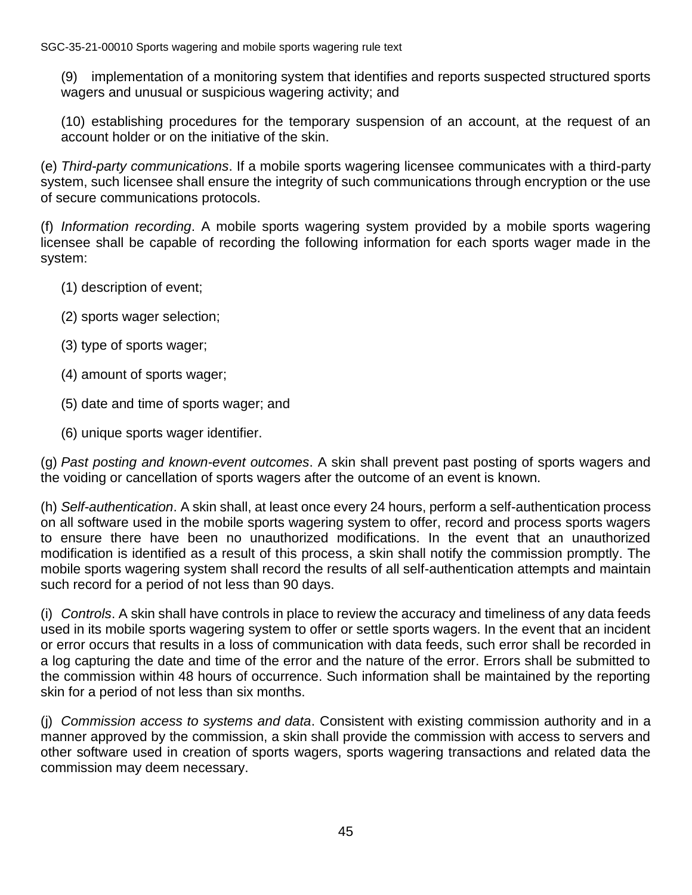(9) implementation of a monitoring system that identifies and reports suspected structured sports wagers and unusual or suspicious wagering activity; and

(10) establishing procedures for the temporary suspension of an account, at the request of an account holder or on the initiative of the skin.

(e) *Third-party communications*. If a mobile sports wagering licensee communicates with a third-party system, such licensee shall ensure the integrity of such communications through encryption or the use of secure communications protocols.

(f) *Information recording*. A mobile sports wagering system provided by a mobile sports wagering licensee shall be capable of recording the following information for each sports wager made in the system:

- (1) description of event;
- (2) sports wager selection;
- (3) type of sports wager;
- (4) amount of sports wager;
- (5) date and time of sports wager; and
- (6) unique sports wager identifier.

(g) *Past posting and known-event outcomes*. A skin shall prevent past posting of sports wagers and the voiding or cancellation of sports wagers after the outcome of an event is known.

(h) *Self-authentication*. A skin shall, at least once every 24 hours, perform a self-authentication process on all software used in the mobile sports wagering system to offer, record and process sports wagers to ensure there have been no unauthorized modifications. In the event that an unauthorized modification is identified as a result of this process, a skin shall notify the commission promptly. The mobile sports wagering system shall record the results of all self-authentication attempts and maintain such record for a period of not less than 90 days.

(i) *Controls*. A skin shall have controls in place to review the accuracy and timeliness of any data feeds used in its mobile sports wagering system to offer or settle sports wagers. In the event that an incident or error occurs that results in a loss of communication with data feeds, such error shall be recorded in a log capturing the date and time of the error and the nature of the error. Errors shall be submitted to the commission within 48 hours of occurrence. Such information shall be maintained by the reporting skin for a period of not less than six months.

(j) *Commission access to systems and data*. Consistent with existing commission authority and in a manner approved by the commission, a skin shall provide the commission with access to servers and other software used in creation of sports wagers, sports wagering transactions and related data the commission may deem necessary.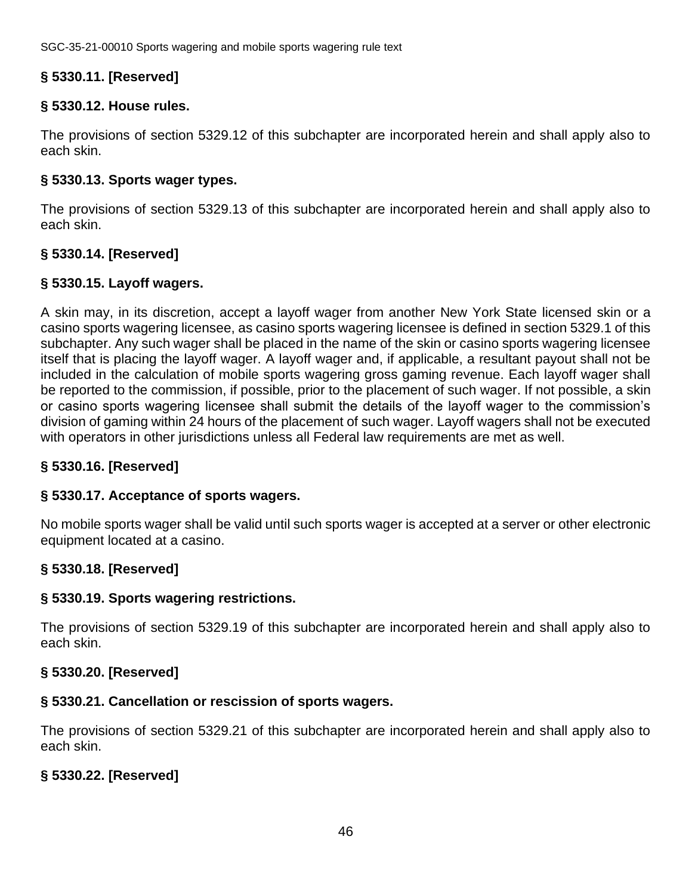# **§ 5330.11. [Reserved]**

#### **§ 5330.12. House rules.**

The provisions of section 5329.12 of this subchapter are incorporated herein and shall apply also to each skin.

#### **§ 5330.13. Sports wager types.**

The provisions of section 5329.13 of this subchapter are incorporated herein and shall apply also to each skin.

# **§ 5330.14. [Reserved]**

# **§ 5330.15. Layoff wagers.**

A skin may, in its discretion, accept a layoff wager from another New York State licensed skin or a casino sports wagering licensee, as casino sports wagering licensee is defined in section 5329.1 of this subchapter. Any such wager shall be placed in the name of the skin or casino sports wagering licensee itself that is placing the layoff wager. A layoff wager and, if applicable, a resultant payout shall not be included in the calculation of mobile sports wagering gross gaming revenue. Each layoff wager shall be reported to the commission, if possible, prior to the placement of such wager. If not possible, a skin or casino sports wagering licensee shall submit the details of the layoff wager to the commission's division of gaming within 24 hours of the placement of such wager. Layoff wagers shall not be executed with operators in other jurisdictions unless all Federal law requirements are met as well.

#### **§ 5330.16. [Reserved]**

#### **§ 5330.17. Acceptance of sports wagers.**

No mobile sports wager shall be valid until such sports wager is accepted at a server or other electronic equipment located at a casino.

#### **§ 5330.18. [Reserved]**

#### **§ 5330.19. Sports wagering restrictions.**

The provisions of section 5329.19 of this subchapter are incorporated herein and shall apply also to each skin.

# **§ 5330.20. [Reserved]**

#### **§ 5330.21. Cancellation or rescission of sports wagers.**

The provisions of section 5329.21 of this subchapter are incorporated herein and shall apply also to each skin.

# **§ 5330.22. [Reserved]**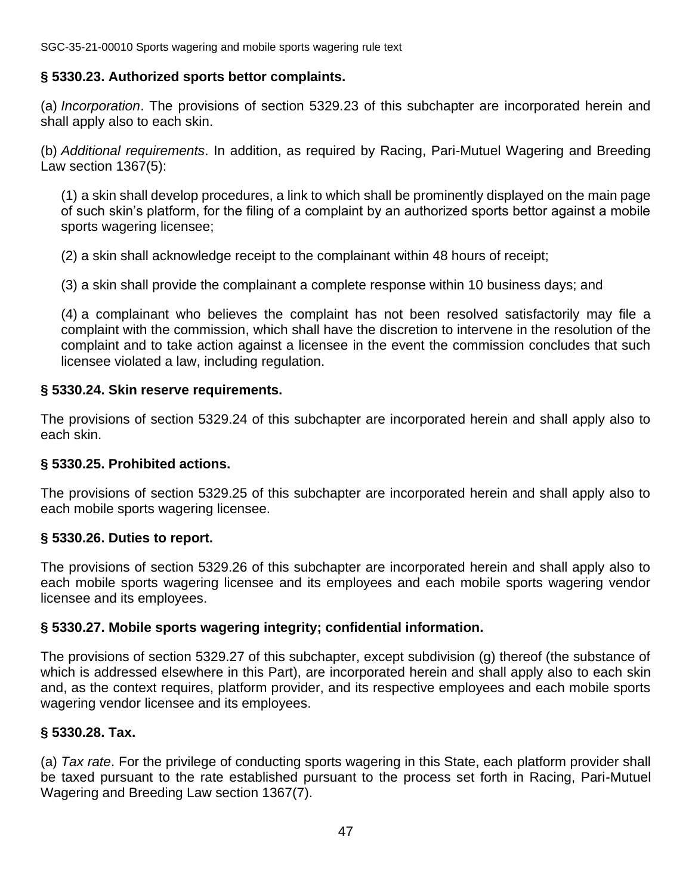#### **§ 5330.23. Authorized sports bettor complaints.**

(a) *Incorporation*. The provisions of section 5329.23 of this subchapter are incorporated herein and shall apply also to each skin.

(b) *Additional requirements*. In addition, as required by Racing, Pari-Mutuel Wagering and Breeding Law section 1367(5):

(1) a skin shall develop procedures, a link to which shall be prominently displayed on the main page of such skin's platform, for the filing of a complaint by an authorized sports bettor against a mobile sports wagering licensee;

(2) a skin shall acknowledge receipt to the complainant within 48 hours of receipt;

(3) a skin shall provide the complainant a complete response within 10 business days; and

(4) a complainant who believes the complaint has not been resolved satisfactorily may file a complaint with the commission, which shall have the discretion to intervene in the resolution of the complaint and to take action against a licensee in the event the commission concludes that such licensee violated a law, including regulation.

#### **§ 5330.24. Skin reserve requirements.**

The provisions of section 5329.24 of this subchapter are incorporated herein and shall apply also to each skin.

#### **§ 5330.25. Prohibited actions.**

The provisions of section 5329.25 of this subchapter are incorporated herein and shall apply also to each mobile sports wagering licensee.

#### **§ 5330.26. Duties to report.**

The provisions of section 5329.26 of this subchapter are incorporated herein and shall apply also to each mobile sports wagering licensee and its employees and each mobile sports wagering vendor licensee and its employees.

#### **§ 5330.27. Mobile sports wagering integrity; confidential information.**

The provisions of section 5329.27 of this subchapter, except subdivision (g) thereof (the substance of which is addressed elsewhere in this Part), are incorporated herein and shall apply also to each skin and, as the context requires, platform provider, and its respective employees and each mobile sports wagering vendor licensee and its employees.

#### **§ 5330.28. Tax.**

(a) *Tax rate*. For the privilege of conducting sports wagering in this State, each platform provider shall be taxed pursuant to the rate established pursuant to the process set forth in Racing, Pari-Mutuel Wagering and Breeding Law section 1367(7).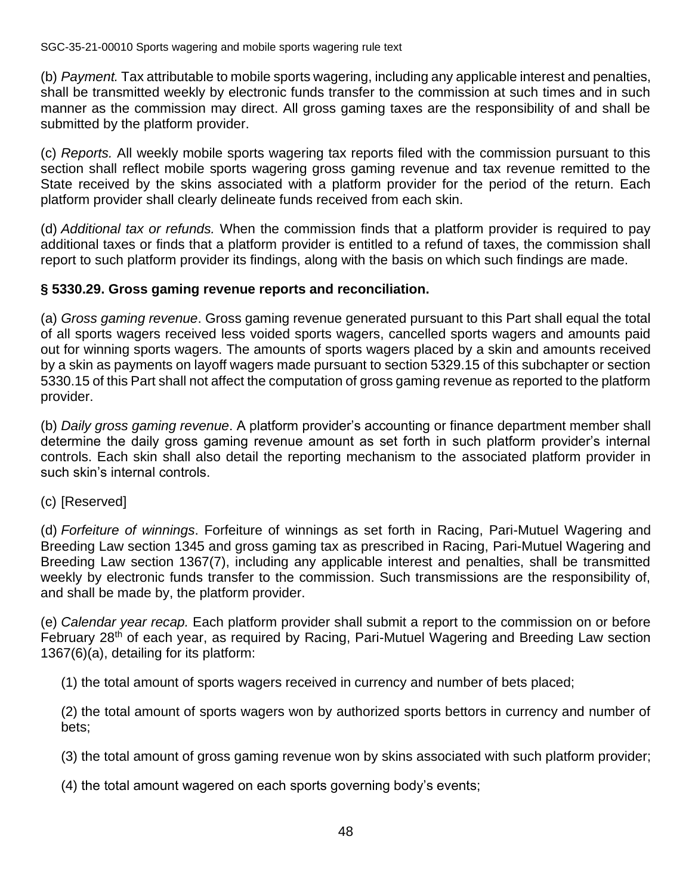(b) *Payment.* Tax attributable to mobile sports wagering, including any applicable interest and penalties, shall be transmitted weekly by electronic funds transfer to the commission at such times and in such manner as the commission may direct. All gross gaming taxes are the responsibility of and shall be submitted by the platform provider.

(c) *Reports.* All weekly mobile sports wagering tax reports filed with the commission pursuant to this section shall reflect mobile sports wagering gross gaming revenue and tax revenue remitted to the State received by the skins associated with a platform provider for the period of the return. Each platform provider shall clearly delineate funds received from each skin.

(d) *Additional tax or refunds.* When the commission finds that a platform provider is required to pay additional taxes or finds that a platform provider is entitled to a refund of taxes, the commission shall report to such platform provider its findings, along with the basis on which such findings are made.

# **§ 5330.29. Gross gaming revenue reports and reconciliation.**

(a) *Gross gaming revenue*. Gross gaming revenue generated pursuant to this Part shall equal the total of all sports wagers received less voided sports wagers, cancelled sports wagers and amounts paid out for winning sports wagers. The amounts of sports wagers placed by a skin and amounts received by a skin as payments on layoff wagers made pursuant to section 5329.15 of this subchapter or section 5330.15 of this Part shall not affect the computation of gross gaming revenue as reported to the platform provider.

(b) *Daily gross gaming revenue*. A platform provider's accounting or finance department member shall determine the daily gross gaming revenue amount as set forth in such platform provider's internal controls. Each skin shall also detail the reporting mechanism to the associated platform provider in such skin's internal controls.

#### (c) [Reserved]

(d) *Forfeiture of winnings*. Forfeiture of winnings as set forth in Racing, Pari-Mutuel Wagering and Breeding Law section 1345 and gross gaming tax as prescribed in Racing, Pari-Mutuel Wagering and Breeding Law section 1367(7), including any applicable interest and penalties, shall be transmitted weekly by electronic funds transfer to the commission. Such transmissions are the responsibility of, and shall be made by, the platform provider.

(e) *Calendar year recap.* Each platform provider shall submit a report to the commission on or before February 28<sup>th</sup> of each year, as required by Racing, Pari-Mutuel Wagering and Breeding Law section 1367(6)(a), detailing for its platform:

(1) the total amount of sports wagers received in currency and number of bets placed;

(2) the total amount of sports wagers won by authorized sports bettors in currency and number of bets;

(3) the total amount of gross gaming revenue won by skins associated with such platform provider;

(4) the total amount wagered on each sports governing body's events;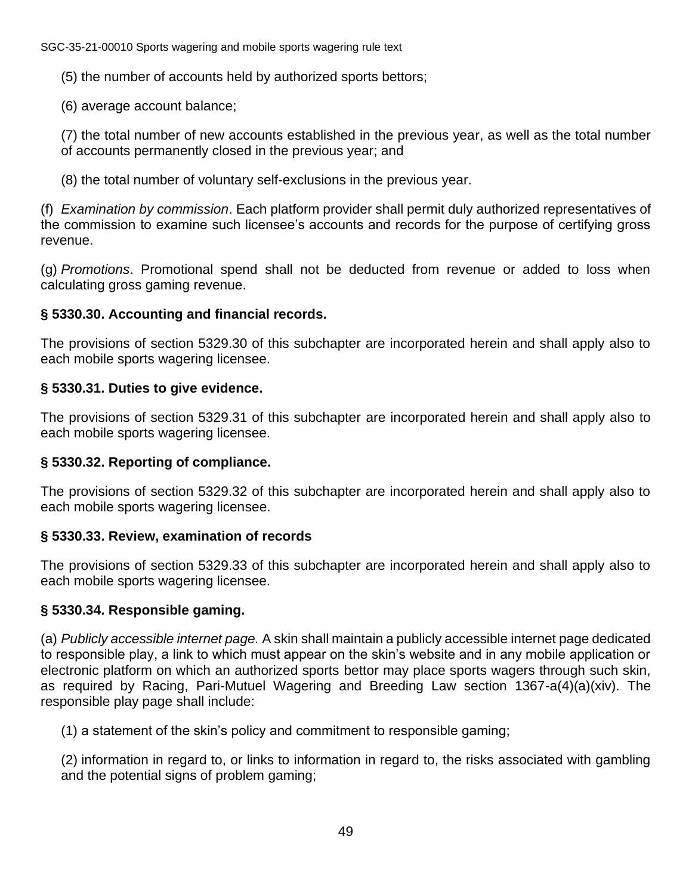(5) the number of accounts held by authorized sports bettors;

(6) average account balance;

(7) the total number of new accounts established in the previous year, as well as the total number of accounts permanently closed in the previous year; and

(8) the total number of voluntary self-exclusions in the previous year.

(f) *Examination by commission*. Each platform provider shall permit duly authorized representatives of the commission to examine such licensee's accounts and records for the purpose of certifying gross revenue.

(g) *Promotions*. Promotional spend shall not be deducted from revenue or added to loss when calculating gross gaming revenue.

# **§ 5330.30. Accounting and financial records.**

The provisions of section 5329.30 of this subchapter are incorporated herein and shall apply also to each mobile sports wagering licensee.

# **§ 5330.31. Duties to give evidence.**

The provisions of section 5329.31 of this subchapter are incorporated herein and shall apply also to each mobile sports wagering licensee.

# **§ 5330.32. Reporting of compliance.**

The provisions of section 5329.32 of this subchapter are incorporated herein and shall apply also to each mobile sports wagering licensee.

# **§ 5330.33. Review, examination of records**

The provisions of section 5329.33 of this subchapter are incorporated herein and shall apply also to each mobile sports wagering licensee.

# **§ 5330.34. Responsible gaming.**

(a) *Publicly accessible internet page.* A skin shall maintain a publicly accessible internet page dedicated to responsible play, a link to which must appear on the skin's website and in any mobile application or electronic platform on which an authorized sports bettor may place sports wagers through such skin, as required by Racing, Pari-Mutuel Wagering and Breeding Law section 1367-a(4)(a)(xiv). The responsible play page shall include:

(1) a statement of the skin's policy and commitment to responsible gaming;

(2) information in regard to, or links to information in regard to, the risks associated with gambling and the potential signs of problem gaming;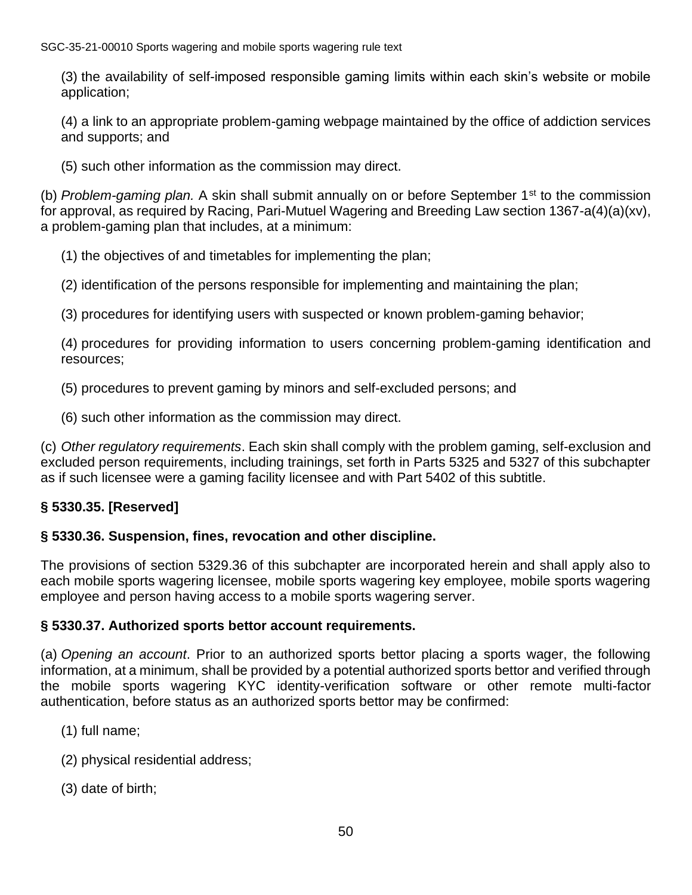(3) the availability of self-imposed responsible gaming limits within each skin's website or mobile application;

(4) a link to an appropriate problem-gaming webpage maintained by the office of addiction services and supports; and

(5) such other information as the commission may direct.

(b) *Problem-gaming plan.* A skin shall submit annually on or before September 1st to the commission for approval, as required by Racing, Pari-Mutuel Wagering and Breeding Law section 1367-a(4)(a)(xv), a problem-gaming plan that includes, at a minimum:

(1) the objectives of and timetables for implementing the plan;

(2) identification of the persons responsible for implementing and maintaining the plan;

(3) procedures for identifying users with suspected or known problem-gaming behavior;

(4) procedures for providing information to users concerning problem-gaming identification and resources;

(5) procedures to prevent gaming by minors and self-excluded persons; and

(6) such other information as the commission may direct.

(c) *Other regulatory requirements*. Each skin shall comply with the problem gaming, self-exclusion and excluded person requirements, including trainings, set forth in Parts 5325 and 5327 of this subchapter as if such licensee were a gaming facility licensee and with Part 5402 of this subtitle.

# **§ 5330.35. [Reserved]**

# **§ 5330.36. Suspension, fines, revocation and other discipline.**

The provisions of section 5329.36 of this subchapter are incorporated herein and shall apply also to each mobile sports wagering licensee, mobile sports wagering key employee, mobile sports wagering employee and person having access to a mobile sports wagering server.

#### **§ 5330.37. Authorized sports bettor account requirements.**

(a) *Opening an account*. Prior to an authorized sports bettor placing a sports wager, the following information, at a minimum, shall be provided by a potential authorized sports bettor and verified through the mobile sports wagering KYC identity-verification software or other remote multi-factor authentication, before status as an authorized sports bettor may be confirmed:

- (1) full name;
- (2) physical residential address;
- (3) date of birth;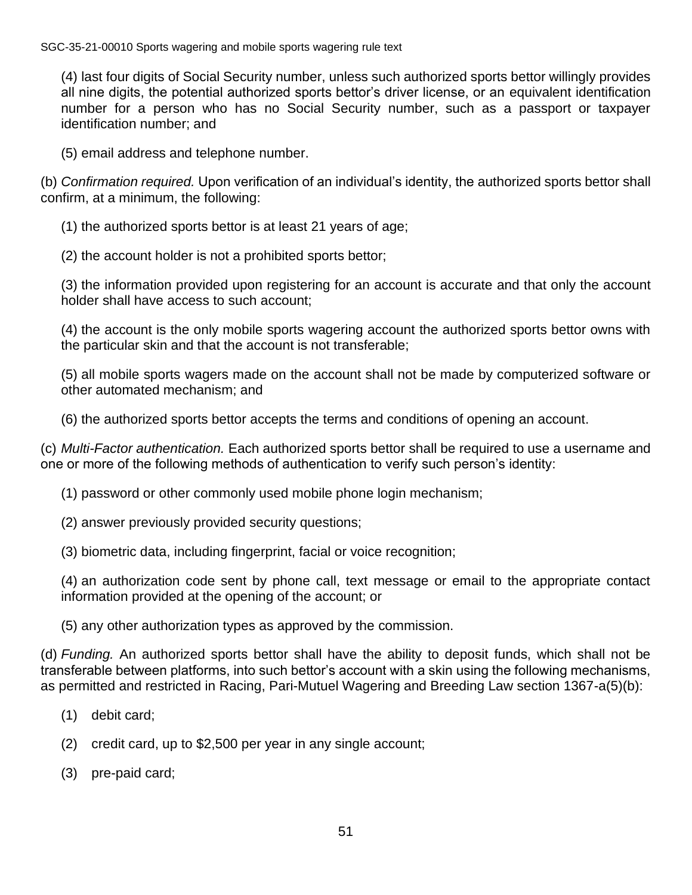(4) last four digits of Social Security number, unless such authorized sports bettor willingly provides all nine digits, the potential authorized sports bettor's driver license, or an equivalent identification number for a person who has no Social Security number, such as a passport or taxpayer identification number; and

(5) email address and telephone number.

(b) *Confirmation required.* Upon verification of an individual's identity, the authorized sports bettor shall confirm, at a minimum, the following:

(1) the authorized sports bettor is at least 21 years of age;

(2) the account holder is not a prohibited sports bettor;

(3) the information provided upon registering for an account is accurate and that only the account holder shall have access to such account;

(4) the account is the only mobile sports wagering account the authorized sports bettor owns with the particular skin and that the account is not transferable;

(5) all mobile sports wagers made on the account shall not be made by computerized software or other automated mechanism; and

(6) the authorized sports bettor accepts the terms and conditions of opening an account.

(c) *Multi-Factor authentication.* Each authorized sports bettor shall be required to use a username and one or more of the following methods of authentication to verify such person's identity:

- (1) password or other commonly used mobile phone login mechanism;
- (2) answer previously provided security questions;
- (3) biometric data, including fingerprint, facial or voice recognition;

(4) an authorization code sent by phone call, text message or email to the appropriate contact information provided at the opening of the account; or

(5) any other authorization types as approved by the commission.

(d) *Funding.* An authorized sports bettor shall have the ability to deposit funds, which shall not be transferable between platforms, into such bettor's account with a skin using the following mechanisms, as permitted and restricted in Racing, Pari-Mutuel Wagering and Breeding Law section 1367-a(5)(b):

- (1) debit card;
- (2) credit card, up to \$2,500 per year in any single account;
- (3) pre-paid card;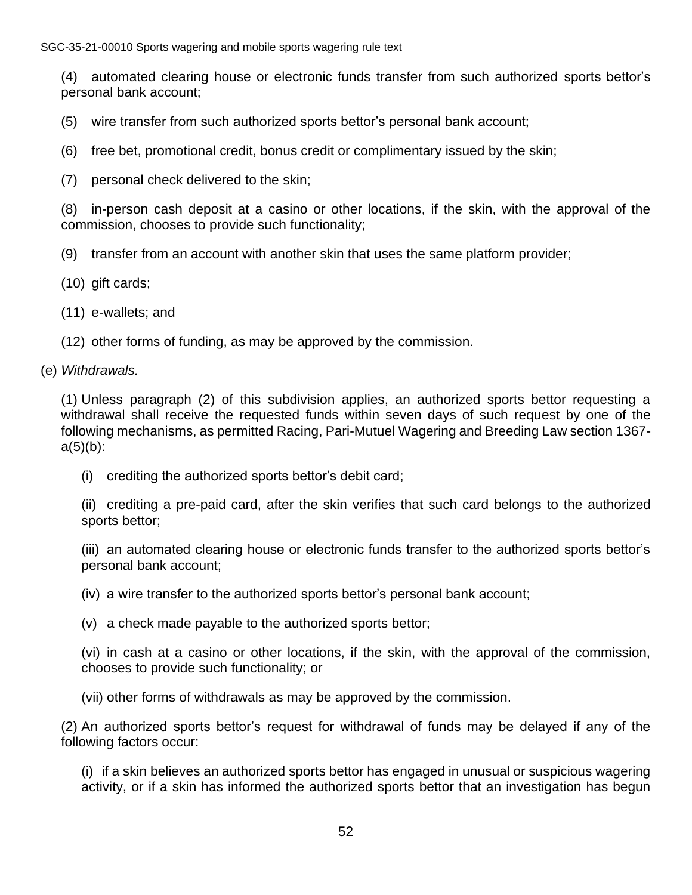(4) automated clearing house or electronic funds transfer from such authorized sports bettor's personal bank account;

(5) wire transfer from such authorized sports bettor's personal bank account;

- (6) free bet, promotional credit, bonus credit or complimentary issued by the skin;
- (7) personal check delivered to the skin;

(8) in-person cash deposit at a casino or other locations, if the skin, with the approval of the commission, chooses to provide such functionality;

(9) transfer from an account with another skin that uses the same platform provider;

- (10) gift cards;
- (11) e-wallets; and
- (12) other forms of funding, as may be approved by the commission.

#### (e) *Withdrawals.*

(1) Unless paragraph (2) of this subdivision applies, an authorized sports bettor requesting a withdrawal shall receive the requested funds within seven days of such request by one of the following mechanisms, as permitted Racing, Pari-Mutuel Wagering and Breeding Law section 1367  $a(5)(b)$ :

(i) crediting the authorized sports bettor's debit card;

(ii) crediting a pre-paid card, after the skin verifies that such card belongs to the authorized sports bettor;

(iii) an automated clearing house or electronic funds transfer to the authorized sports bettor's personal bank account;

(iv) a wire transfer to the authorized sports bettor's personal bank account;

(v) a check made payable to the authorized sports bettor;

(vi) in cash at a casino or other locations, if the skin, with the approval of the commission, chooses to provide such functionality; or

(vii) other forms of withdrawals as may be approved by the commission.

(2) An authorized sports bettor's request for withdrawal of funds may be delayed if any of the following factors occur:

(i) if a skin believes an authorized sports bettor has engaged in unusual or suspicious wagering activity, or if a skin has informed the authorized sports bettor that an investigation has begun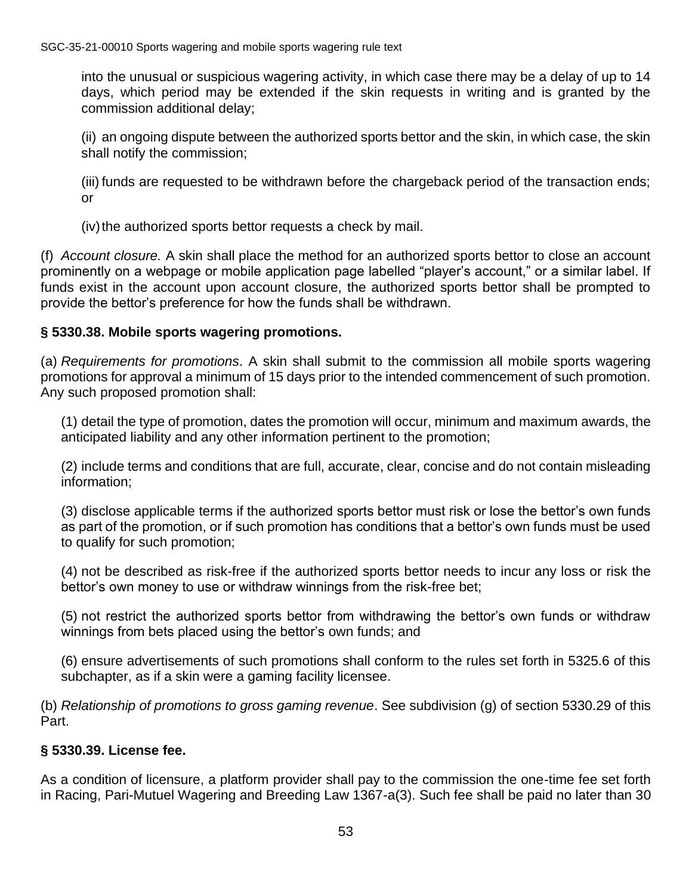into the unusual or suspicious wagering activity, in which case there may be a delay of up to 14 days, which period may be extended if the skin requests in writing and is granted by the commission additional delay;

(ii) an ongoing dispute between the authorized sports bettor and the skin, in which case, the skin shall notify the commission;

(iii) funds are requested to be withdrawn before the chargeback period of the transaction ends; or

(iv) the authorized sports bettor requests a check by mail.

(f) *Account closure.* A skin shall place the method for an authorized sports bettor to close an account prominently on a webpage or mobile application page labelled "player's account," or a similar label. If funds exist in the account upon account closure, the authorized sports bettor shall be prompted to provide the bettor's preference for how the funds shall be withdrawn.

#### **§ 5330.38. Mobile sports wagering promotions.**

(a) *Requirements for promotions*. A skin shall submit to the commission all mobile sports wagering promotions for approval a minimum of 15 days prior to the intended commencement of such promotion. Any such proposed promotion shall:

(1) detail the type of promotion, dates the promotion will occur, minimum and maximum awards, the anticipated liability and any other information pertinent to the promotion;

(2) include terms and conditions that are full, accurate, clear, concise and do not contain misleading information;

(3) disclose applicable terms if the authorized sports bettor must risk or lose the bettor's own funds as part of the promotion, or if such promotion has conditions that a bettor's own funds must be used to qualify for such promotion;

(4) not be described as risk-free if the authorized sports bettor needs to incur any loss or risk the bettor's own money to use or withdraw winnings from the risk-free bet;

(5) not restrict the authorized sports bettor from withdrawing the bettor's own funds or withdraw winnings from bets placed using the bettor's own funds; and

(6) ensure advertisements of such promotions shall conform to the rules set forth in 5325.6 of this subchapter, as if a skin were a gaming facility licensee.

(b) *Relationship of promotions to gross gaming revenue*. See subdivision (g) of section 5330.29 of this Part.

#### **§ 5330.39. License fee.**

As a condition of licensure, a platform provider shall pay to the commission the one-time fee set forth in Racing, Pari-Mutuel Wagering and Breeding Law 1367-a(3). Such fee shall be paid no later than 30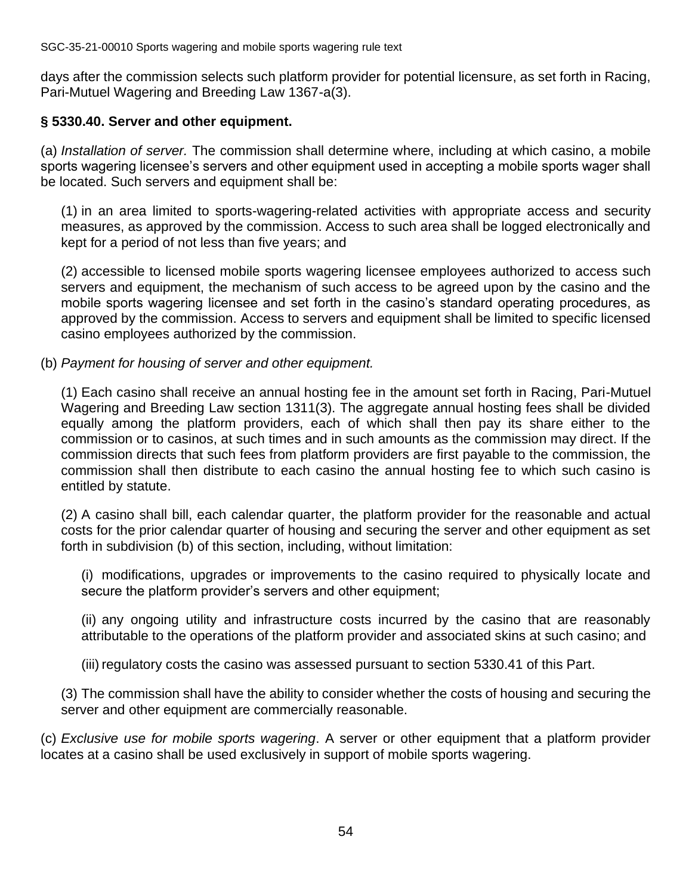days after the commission selects such platform provider for potential licensure, as set forth in Racing, Pari-Mutuel Wagering and Breeding Law 1367-a(3).

#### **§ 5330.40. Server and other equipment.**

(a) *Installation of server.* The commission shall determine where, including at which casino, a mobile sports wagering licensee's servers and other equipment used in accepting a mobile sports wager shall be located. Such servers and equipment shall be:

(1) in an area limited to sports-wagering-related activities with appropriate access and security measures, as approved by the commission. Access to such area shall be logged electronically and kept for a period of not less than five years; and

(2) accessible to licensed mobile sports wagering licensee employees authorized to access such servers and equipment, the mechanism of such access to be agreed upon by the casino and the mobile sports wagering licensee and set forth in the casino's standard operating procedures, as approved by the commission. Access to servers and equipment shall be limited to specific licensed casino employees authorized by the commission.

#### (b) *Payment for housing of server and other equipment.*

(1) Each casino shall receive an annual hosting fee in the amount set forth in Racing, Pari-Mutuel Wagering and Breeding Law section 1311(3). The aggregate annual hosting fees shall be divided equally among the platform providers, each of which shall then pay its share either to the commission or to casinos, at such times and in such amounts as the commission may direct. If the commission directs that such fees from platform providers are first payable to the commission, the commission shall then distribute to each casino the annual hosting fee to which such casino is entitled by statute.

(2) A casino shall bill, each calendar quarter, the platform provider for the reasonable and actual costs for the prior calendar quarter of housing and securing the server and other equipment as set forth in subdivision (b) of this section, including, without limitation:

(i) modifications, upgrades or improvements to the casino required to physically locate and secure the platform provider's servers and other equipment;

(ii) any ongoing utility and infrastructure costs incurred by the casino that are reasonably attributable to the operations of the platform provider and associated skins at such casino; and

(iii) regulatory costs the casino was assessed pursuant to section 5330.41 of this Part.

(3) The commission shall have the ability to consider whether the costs of housing and securing the server and other equipment are commercially reasonable.

(c) *Exclusive use for mobile sports wagering*. A server or other equipment that a platform provider locates at a casino shall be used exclusively in support of mobile sports wagering.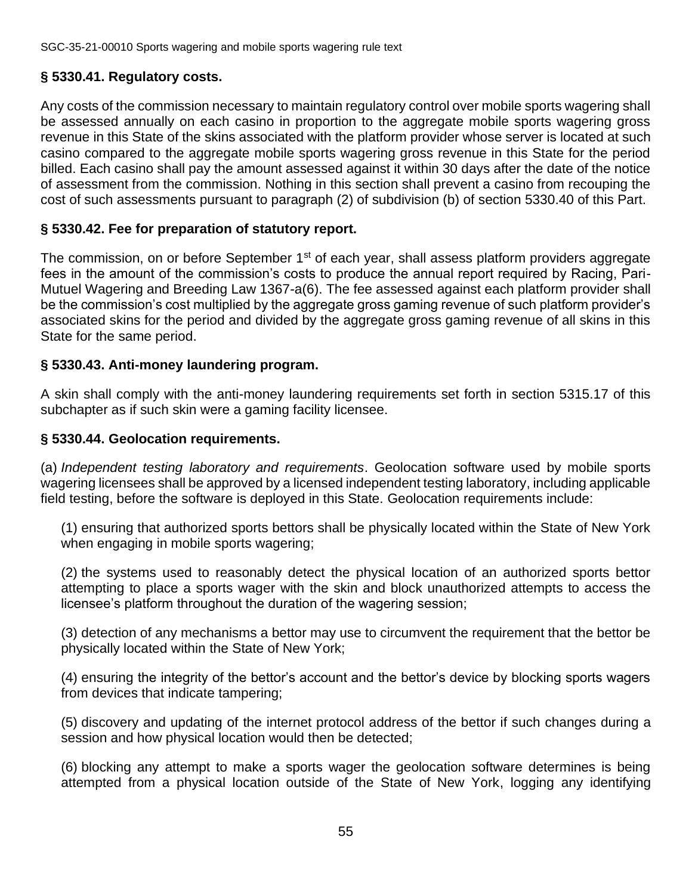# **§ 5330.41. Regulatory costs.**

Any costs of the commission necessary to maintain regulatory control over mobile sports wagering shall be assessed annually on each casino in proportion to the aggregate mobile sports wagering gross revenue in this State of the skins associated with the platform provider whose server is located at such casino compared to the aggregate mobile sports wagering gross revenue in this State for the period billed. Each casino shall pay the amount assessed against it within 30 days after the date of the notice of assessment from the commission. Nothing in this section shall prevent a casino from recouping the cost of such assessments pursuant to paragraph (2) of subdivision (b) of section 5330.40 of this Part.

# **§ 5330.42. Fee for preparation of statutory report.**

The commission, on or before September 1<sup>st</sup> of each year, shall assess platform providers aggregate fees in the amount of the commission's costs to produce the annual report required by Racing, Pari-Mutuel Wagering and Breeding Law 1367-a(6). The fee assessed against each platform provider shall be the commission's cost multiplied by the aggregate gross gaming revenue of such platform provider's associated skins for the period and divided by the aggregate gross gaming revenue of all skins in this State for the same period.

# **§ 5330.43. Anti-money laundering program.**

A skin shall comply with the anti-money laundering requirements set forth in section 5315.17 of this subchapter as if such skin were a gaming facility licensee.

# **§ 5330.44. Geolocation requirements.**

(a) *Independent testing laboratory and requirements*. Geolocation software used by mobile sports wagering licensees shall be approved by a licensed independent testing laboratory, including applicable field testing, before the software is deployed in this State. Geolocation requirements include:

(1) ensuring that authorized sports bettors shall be physically located within the State of New York when engaging in mobile sports wagering;

(2) the systems used to reasonably detect the physical location of an authorized sports bettor attempting to place a sports wager with the skin and block unauthorized attempts to access the licensee's platform throughout the duration of the wagering session;

(3) detection of any mechanisms a bettor may use to circumvent the requirement that the bettor be physically located within the State of New York;

(4) ensuring the integrity of the bettor's account and the bettor's device by blocking sports wagers from devices that indicate tampering;

(5) discovery and updating of the internet protocol address of the bettor if such changes during a session and how physical location would then be detected;

(6) blocking any attempt to make a sports wager the geolocation software determines is being attempted from a physical location outside of the State of New York, logging any identifying